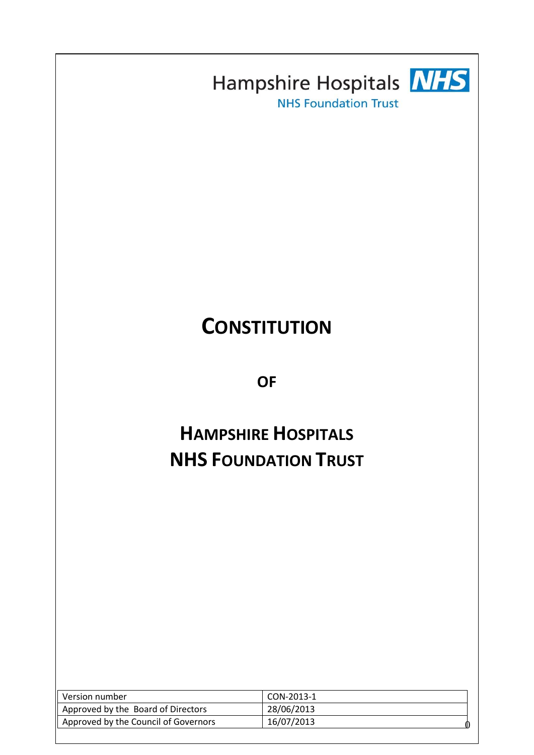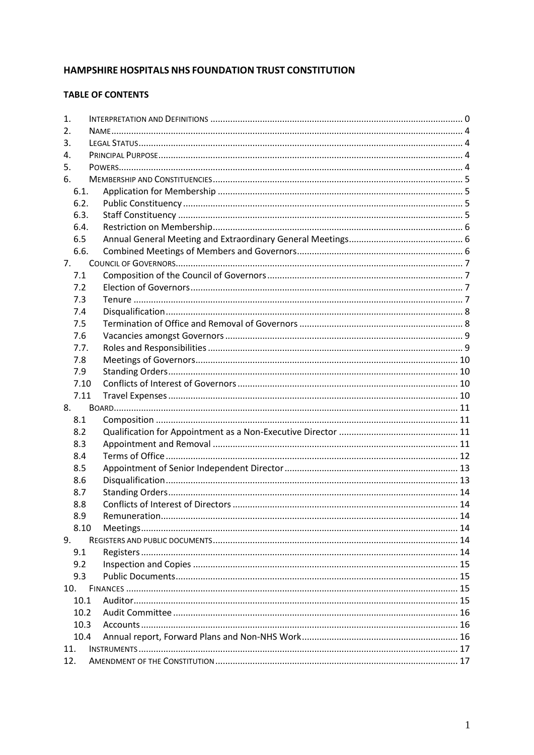# HAMPSHIRE HOSPITALS NHS FOUNDATION TRUST CONSTITUTION

# **TABLE OF CONTENTS**

| 1.   |  |  |
|------|--|--|
| 2.   |  |  |
| 3.   |  |  |
| 4.   |  |  |
| 5.   |  |  |
| 6.   |  |  |
| 6.1. |  |  |
| 6.2. |  |  |
| 6.3. |  |  |
| 6.4. |  |  |
| 6.5  |  |  |
| 6.6. |  |  |
| 7.   |  |  |
| 7.1  |  |  |
| 7.2  |  |  |
| 7.3  |  |  |
| 7.4  |  |  |
| 7.5  |  |  |
| 7.6  |  |  |
| 7.7. |  |  |
| 7.8  |  |  |
| 7.9  |  |  |
| 7.10 |  |  |
| 7.11 |  |  |
| 8.   |  |  |
|      |  |  |
| 8.1  |  |  |
| 8.2  |  |  |
| 8.3  |  |  |
| 8.4  |  |  |
| 8.5  |  |  |
| 8.6  |  |  |
| 8.7  |  |  |
| 8.8  |  |  |
| 8.9  |  |  |
| 8.10 |  |  |
| 9.   |  |  |
| 9.1  |  |  |
| 9.2  |  |  |
| 9.3  |  |  |
| 10.  |  |  |
| 10.1 |  |  |
| 10.2 |  |  |
| 10.3 |  |  |
| 10.4 |  |  |
| 11.  |  |  |
| 12.  |  |  |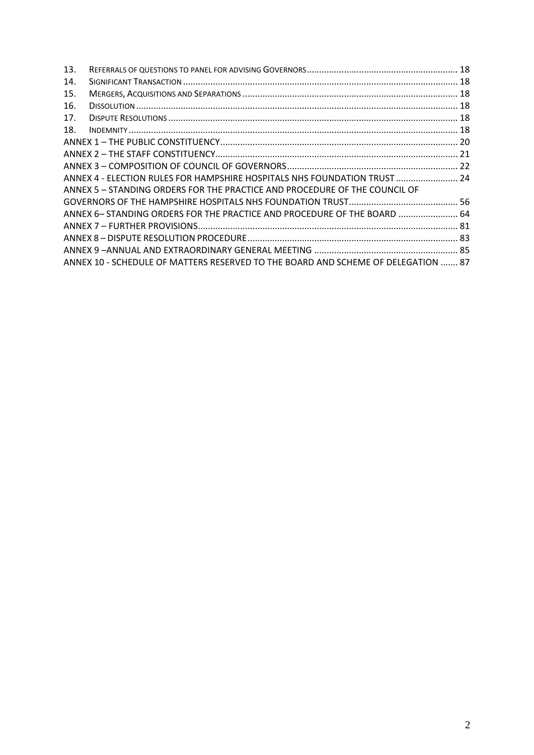| 13. |                                                                                   |  |
|-----|-----------------------------------------------------------------------------------|--|
| 14. |                                                                                   |  |
| 15. |                                                                                   |  |
| 16. |                                                                                   |  |
| 17. |                                                                                   |  |
| 18. |                                                                                   |  |
|     |                                                                                   |  |
|     |                                                                                   |  |
|     |                                                                                   |  |
|     | ANNEX 4 - ELECTION RULES FOR HAMPSHIRE HOSPITALS NHS FOUNDATION TRUST  24         |  |
|     | ANNEX 5 – STANDING ORDERS FOR THE PRACTICE AND PROCEDURE OF THE COUNCIL OF        |  |
|     |                                                                                   |  |
|     | ANNEX 6- STANDING ORDERS FOR THE PRACTICE AND PROCEDURE OF THE BOARD  64          |  |
|     |                                                                                   |  |
|     |                                                                                   |  |
|     |                                                                                   |  |
|     | ANNEX 10 - SCHEDULE OF MATTERS RESERVED TO THE BOARD AND SCHEME OF DELEGATION  87 |  |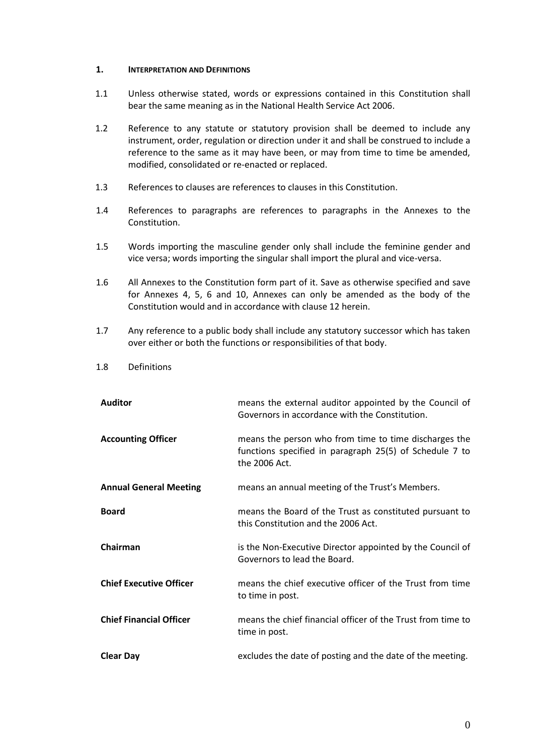### <span id="page-3-0"></span>**1. INTERPRETATION AND DEFINITIONS**

- 1.1 Unless otherwise stated, words or expressions contained in this Constitution shall bear the same meaning as in the National Health Service Act 2006.
- 1.2 Reference to any statute or statutory provision shall be deemed to include any instrument, order, regulation or direction under it and shall be construed to include a reference to the same as it may have been, or may from time to time be amended, modified, consolidated or re-enacted or replaced.
- 1.3 References to clauses are references to clauses in this Constitution.
- 1.4 References to paragraphs are references to paragraphs in the Annexes to the Constitution.
- 1.5 Words importing the masculine gender only shall include the feminine gender and vice versa; words importing the singular shall import the plural and vice-versa.
- 1.6 All Annexes to the Constitution form part of it. Save as otherwise specified and save for Annexes 4, 5, 6 and 10, Annexes can only be amended as the body of the Constitution would and in accordance with clause 12 herein.
- 1.7 Any reference to a public body shall include any statutory successor which has taken over either or both the functions or responsibilities of that body.
- 1.8 Definitions

| <b>Auditor</b>                 | means the external auditor appointed by the Council of<br>Governors in accordance with the Constitution.                          |
|--------------------------------|-----------------------------------------------------------------------------------------------------------------------------------|
| <b>Accounting Officer</b>      | means the person who from time to time discharges the<br>functions specified in paragraph 25(5) of Schedule 7 to<br>the 2006 Act. |
| <b>Annual General Meeting</b>  | means an annual meeting of the Trust's Members.                                                                                   |
| <b>Board</b>                   | means the Board of the Trust as constituted pursuant to<br>this Constitution and the 2006 Act.                                    |
| Chairman                       | is the Non-Executive Director appointed by the Council of<br>Governors to lead the Board.                                         |
| <b>Chief Executive Officer</b> | means the chief executive officer of the Trust from time<br>to time in post.                                                      |
| <b>Chief Financial Officer</b> | means the chief financial officer of the Trust from time to<br>time in post.                                                      |
| <b>Clear Day</b>               | excludes the date of posting and the date of the meeting.                                                                         |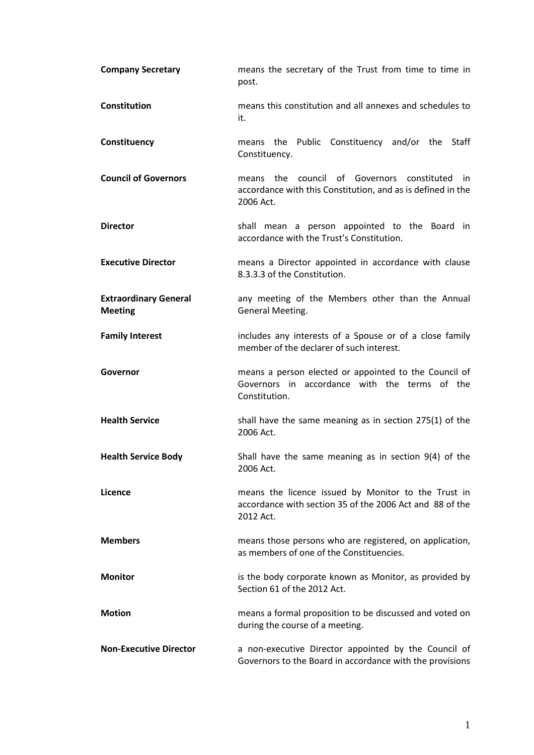| <b>Company Secretary</b>                       | means the secretary of the Trust from time to time in<br>post.                                                               |  |
|------------------------------------------------|------------------------------------------------------------------------------------------------------------------------------|--|
| Constitution                                   | means this constitution and all annexes and schedules to<br>it.                                                              |  |
| Constituency                                   | means the Public Constituency and/or the Staff<br>Constituency.                                                              |  |
| <b>Council of Governors</b>                    | means the council of Governors constituted<br>in<br>accordance with this Constitution, and as is defined in the<br>2006 Act. |  |
| <b>Director</b>                                | shall mean a person appointed to the Board in<br>accordance with the Trust's Constitution.                                   |  |
| <b>Executive Director</b>                      | means a Director appointed in accordance with clause<br>8.3.3.3 of the Constitution.                                         |  |
| <b>Extraordinary General</b><br><b>Meeting</b> | any meeting of the Members other than the Annual<br>General Meeting.                                                         |  |
| <b>Family Interest</b>                         | includes any interests of a Spouse or of a close family<br>member of the declarer of such interest.                          |  |
| Governor                                       | means a person elected or appointed to the Council of<br>Governors in accordance with the terms of the<br>Constitution.      |  |
| <b>Health Service</b>                          | shall have the same meaning as in section 275(1) of the<br>2006 Act.                                                         |  |
| <b>Health Service Body</b>                     | Shall have the same meaning as in section 9(4) of the<br>2006 Act.                                                           |  |
| Licence                                        | means the licence issued by Monitor to the Trust in<br>accordance with section 35 of the 2006 Act and 88 of the<br>2012 Act. |  |
| <b>Members</b>                                 | means those persons who are registered, on application,<br>as members of one of the Constituencies.                          |  |
| <b>Monitor</b>                                 | is the body corporate known as Monitor, as provided by<br>Section 61 of the 2012 Act.                                        |  |
| <b>Motion</b>                                  | means a formal proposition to be discussed and voted on<br>during the course of a meeting.                                   |  |
| <b>Non-Executive Director</b>                  | a non-executive Director appointed by the Council of<br>Governors to the Board in accordance with the provisions             |  |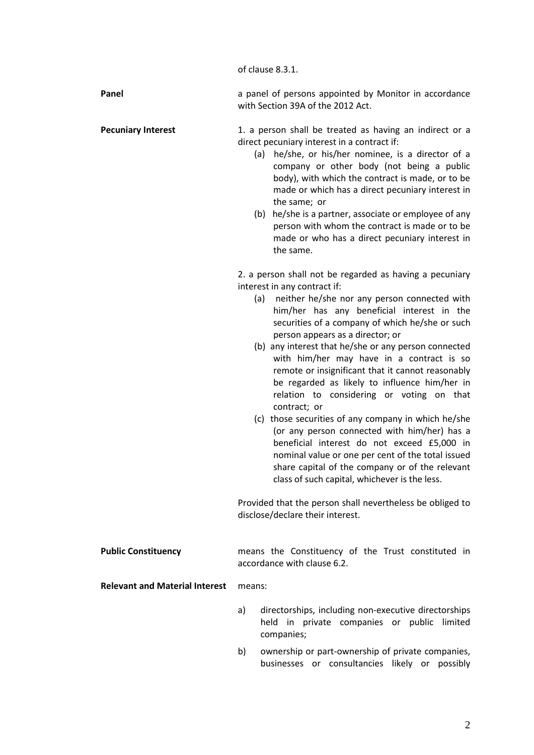of clause 8.3.1.

| Panel                     | a panel of persons appointed by Monitor in accordance<br>with Section 39A of the 2012 Act.             |
|---------------------------|--------------------------------------------------------------------------------------------------------|
| <b>Pecuniary Interest</b> | 1. a person shall be treated as having an indirect or a<br>direct pecuniary interest in a contract if: |

- (a) he/she, or his/her nominee, is a director of a company or other body (not being a public body), with which the contract is made, or to be made or which has a direct pecuniary interest in the same; or
- (b) he/she is a partner, associate or employee of any person with whom the contract is made or to be made or who has a direct pecuniary interest in the same.

2. a person shall not be regarded as having a pecuniary interest in any contract if:

- (a) neither he/she nor any person connected with him/her has any beneficial interest in the securities of a company of which he/she or such person appears as a director; or
- (b) any interest that he/she or any person connected with him/her may have in a contract is so remote or insignificant that it cannot reasonably be regarded as likely to influence him/her in relation to considering or voting on that contract; or
- (c) those securities of any company in which he/she (or any person connected with him/her) has a beneficial interest do not exceed £5,000 in nominal value or one per cent of the total issued share capital of the company or of the relevant class of such capital, whichever is the less.

Provided that the person shall nevertheless be obliged to disclose/declare their interest.

**Public Constituency** means the Constituency of the Trust constituted in accordance with clause 6.2.

**Relevant and Material Interest** means:

- a) directorships, including non-executive directorships held in private companies or public limited companies;
- b) ownership or part-ownership of private companies, businesses or consultancies likely or possibly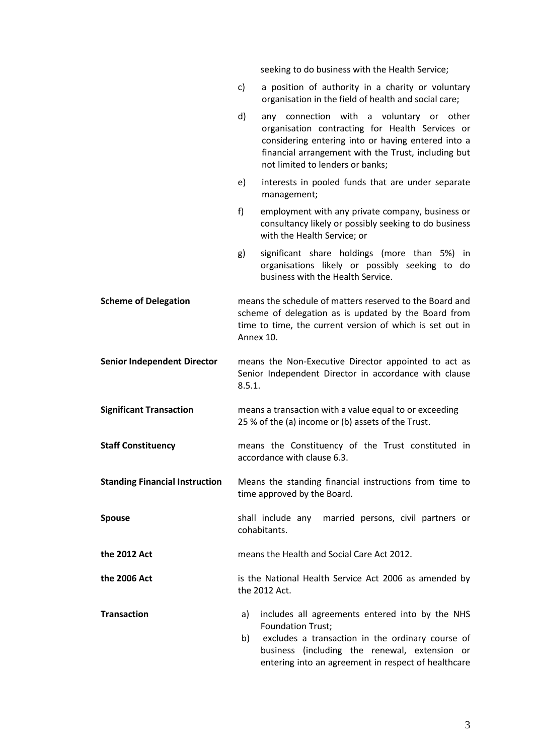seeking to do business with the Health Service;

c) a position of authority in a charity or voluntary organisation in the field of health and social care; d) any connection with a voluntary or other organisation contracting for Health Services or considering entering into or having entered into a financial arrangement with the Trust, including but not limited to lenders or banks; e) interests in pooled funds that are under separate management; f) employment with any private company, business or consultancy likely or possibly seeking to do business with the Health Service; or g) significant share holdings (more than 5%) in organisations likely or possibly seeking to do business with the Health Service. **Scheme of Delegation** means the schedule of matters reserved to the Board and scheme of delegation as is updated by the Board from time to time, the current version of which is set out in Annex 10. **Senior Independent Director** means the Non-Executive Director appointed to act as Senior Independent Director in accordance with clause 8.5.1. **Significant Transaction** means a transaction with a value equal to or exceeding 25 % of the (a) income or (b) assets of the Trust. **Staff Constituency** means the Constituency of the Trust constituted in accordance with clause 6.3. **Standing Financial Instruction** Means the standing financial instructions from time to time approved by the Board. **Spouse** shall include any married persons, civil partners or cohabitants. **the 2012 Act** means the Health and Social Care Act 2012. **the 2006 Act** is the National Health Service Act 2006 as amended by the 2012 Act. **Transaction a**) includes all agreements entered into by the NHS Foundation Trust; b) excludes a transaction in the ordinary course of business (including the renewal, extension or

entering into an agreement in respect of healthcare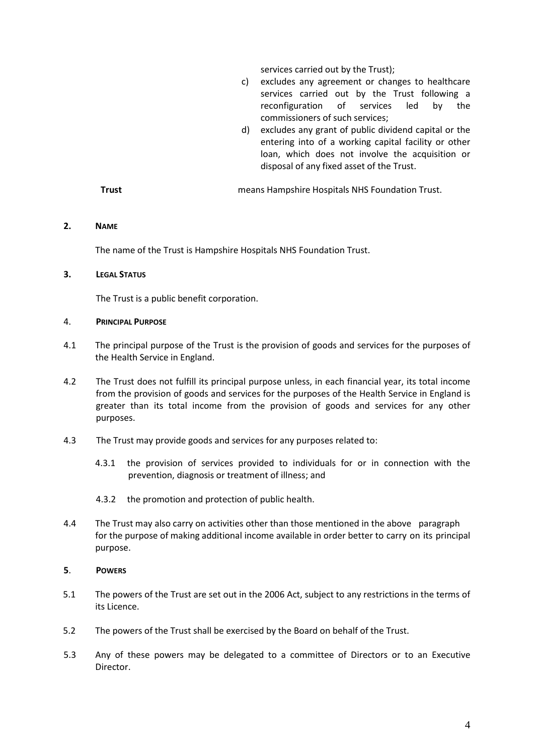services carried out by the Trust);

- c) excludes any agreement or changes to healthcare services carried out by the Trust following a reconfiguration of services led by the commissioners of such services;
- d) excludes any grant of public dividend capital or the entering into of a working capital facility or other loan, which does not involve the acquisition or disposal of any fixed asset of the Trust.

**Trust** means Hampshire Hospitals NHS Foundation Trust.

### <span id="page-7-0"></span>**2. NAME**

The name of the Trust is Hampshire Hospitals NHS Foundation Trust.

### <span id="page-7-1"></span>**3. LEGAL STATUS**

The Trust is a public benefit corporation.

### <span id="page-7-2"></span>4. **PRINCIPAL PURPOSE**

- 4.1 The principal purpose of the Trust is the provision of goods and services for the purposes of the Health Service in England.
- 4.2 The Trust does not fulfill its principal purpose unless, in each financial year, its total income from the provision of goods and services for the purposes of the Health Service in England is greater than its total income from the provision of goods and services for any other purposes.
- 4.3 The Trust may provide goods and services for any purposes related to:
	- 4.3.1 the provision of services provided to individuals for or in connection with the prevention, diagnosis or treatment of illness; and
	- 4.3.2 the promotion and protection of public health.
- 4.4 The Trust may also carry on activities other than those mentioned in the above paragraph for the purpose of making additional income available in order better to carry on its principal purpose.

### <span id="page-7-3"></span>**5**. **POWERS**

- 5.1 The powers of the Trust are set out in the 2006 Act, subject to any restrictions in the terms of its Licence.
- 5.2 The powers of the Trust shall be exercised by the Board on behalf of the Trust.
- 5.3 Any of these powers may be delegated to a committee of Directors or to an Executive Director.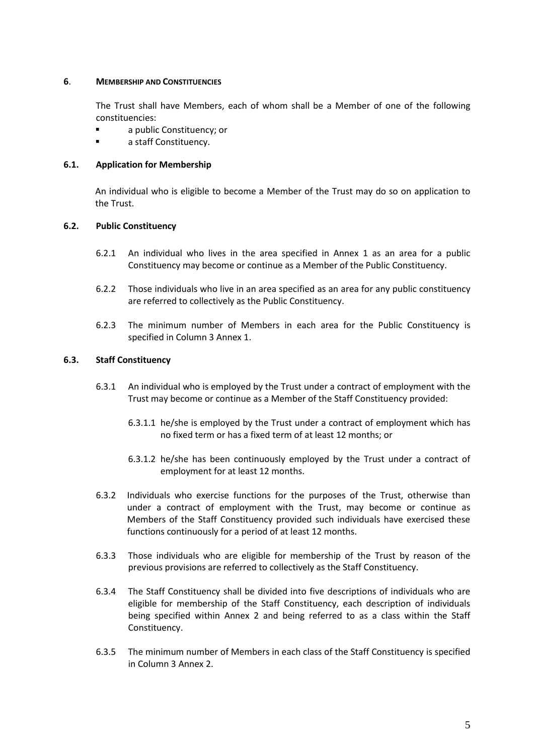# <span id="page-8-0"></span>**6**. **MEMBERSHIP AND CONSTITUENCIES**

The Trust shall have Members, each of whom shall be a Member of one of the following constituencies:

- a public Constituency; or
- a staff Constituency.

# <span id="page-8-1"></span>**6.1. Application for Membership**

An individual who is eligible to become a Member of the Trust may do so on application to the Trust.

# <span id="page-8-2"></span>**6.2. Public Constituency**

- 6.2.1 An individual who lives in the area specified in Annex 1 as an area for a public Constituency may become or continue as a Member of the Public Constituency.
- 6.2.2 Those individuals who live in an area specified as an area for any public constituency are referred to collectively as the Public Constituency.
- 6.2.3 The minimum number of Members in each area for the Public Constituency is specified in Column 3 Annex 1.

# <span id="page-8-3"></span>**6.3. Staff Constituency**

- 6.3.1 An individual who is employed by the Trust under a contract of employment with the Trust may become or continue as a Member of the Staff Constituency provided:
	- 6.3.1.1 he/she is employed by the Trust under a contract of employment which has no fixed term or has a fixed term of at least 12 months; or
	- 6.3.1.2 he/she has been continuously employed by the Trust under a contract of employment for at least 12 months.
- 6.3.2 Individuals who exercise functions for the purposes of the Trust, otherwise than under a contract of employment with the Trust, may become or continue as Members of the Staff Constituency provided such individuals have exercised these functions continuously for a period of at least 12 months.
- 6.3.3 Those individuals who are eligible for membership of the Trust by reason of the previous provisions are referred to collectively as the Staff Constituency.
- 6.3.4 The Staff Constituency shall be divided into five descriptions of individuals who are eligible for membership of the Staff Constituency, each description of individuals being specified within Annex 2 and being referred to as a class within the Staff Constituency.
- 6.3.5 The minimum number of Members in each class of the Staff Constituency is specified in Column 3 Annex 2.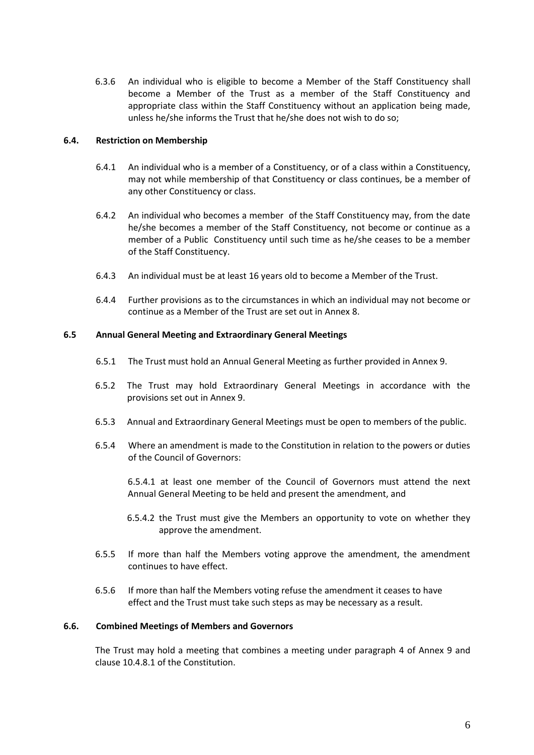6.3.6 An individual who is eligible to become a Member of the Staff Constituency shall become a Member of the Trust as a member of the Staff Constituency and appropriate class within the Staff Constituency without an application being made, unless he/she informs the Trust that he/she does not wish to do so;

# <span id="page-9-0"></span>**6.4. Restriction on Membership**

- 6.4.1 An individual who is a member of a Constituency, or of a class within a Constituency, may not while membership of that Constituency or class continues, be a member of any other Constituency or class.
- 6.4.2 An individual who becomes a member of the Staff Constituency may, from the date he/she becomes a member of the Staff Constituency, not become or continue as a member of a Public Constituency until such time as he/she ceases to be a member of the Staff Constituency.
- 6.4.3 An individual must be at least 16 years old to become a Member of the Trust.
- 6.4.4 Further provisions as to the circumstances in which an individual may not become or continue as a Member of the Trust are set out in Annex 8.

## <span id="page-9-1"></span>**6.5 Annual General Meeting and Extraordinary General Meetings**

- 6.5.1 The Trust must hold an Annual General Meeting as further provided in Annex 9.
- 6.5.2 The Trust may hold Extraordinary General Meetings in accordance with the provisions set out in Annex 9.
- 6.5.3 Annual and Extraordinary General Meetings must be open to members of the public.
- 6.5.4 Where an amendment is made to the Constitution in relation to the powers or duties of the Council of Governors:

6.5.4.1 at least one member of the Council of Governors must attend the next Annual General Meeting to be held and present the amendment, and

- 6.5.4.2 the Trust must give the Members an opportunity to vote on whether they approve the amendment.
- 6.5.5 If more than half the Members voting approve the amendment, the amendment continues to have effect.
- 6.5.6 If more than half the Members voting refuse the amendment it ceases to have effect and the Trust must take such steps as may be necessary as a result.

## <span id="page-9-2"></span>**6.6. Combined Meetings of Members and Governors**

The Trust may hold a meeting that combines a meeting under paragraph 4 of Annex 9 and clause 10.4.8.1 of the Constitution.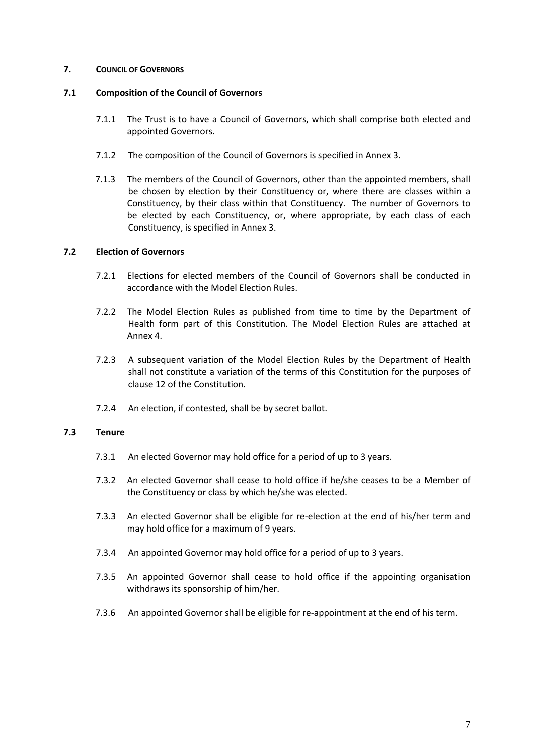# <span id="page-10-0"></span>**7. COUNCIL OF GOVERNORS**

# <span id="page-10-1"></span>**7.1 Composition of the Council of Governors**

- 7.1.1 The Trust is to have a Council of Governors, which shall comprise both elected and appointed Governors.
- 7.1.2 The composition of the Council of Governors is specified in Annex 3.
- 7.1.3 The members of the Council of Governors, other than the appointed members, shall be chosen by election by their Constituency or, where there are classes within a Constituency, by their class within that Constituency. The number of Governors to be elected by each Constituency, or, where appropriate, by each class of each Constituency, is specified in Annex 3.

# <span id="page-10-2"></span>**7.2 Election of Governors**

- 7.2.1 Elections for elected members of the Council of Governors shall be conducted in accordance with the Model Election Rules.
- 7.2.2 The Model Election Rules as published from time to time by the Department of Health form part of this Constitution. The Model Election Rules are attached at Annex 4.
- 7.2.3 A subsequent variation of the Model Election Rules by the Department of Health shall not constitute a variation of the terms of this Constitution for the purposes of clause 12 of the Constitution.
- 7.2.4 An election, if contested, shall be by secret ballot.

## <span id="page-10-3"></span>**7.3 Tenure**

- 7.3.1 An elected Governor may hold office for a period of up to 3 years.
- 7.3.2 An elected Governor shall cease to hold office if he/she ceases to be a Member of the Constituency or class by which he/she was elected.
- 7.3.3 An elected Governor shall be eligible for re-election at the end of his/her term and may hold office for a maximum of 9 years.
- 7.3.4 An appointed Governor may hold office for a period of up to 3 years.
- 7.3.5 An appointed Governor shall cease to hold office if the appointing organisation withdraws its sponsorship of him/her.
- 7.3.6 An appointed Governor shall be eligible for re-appointment at the end of his term.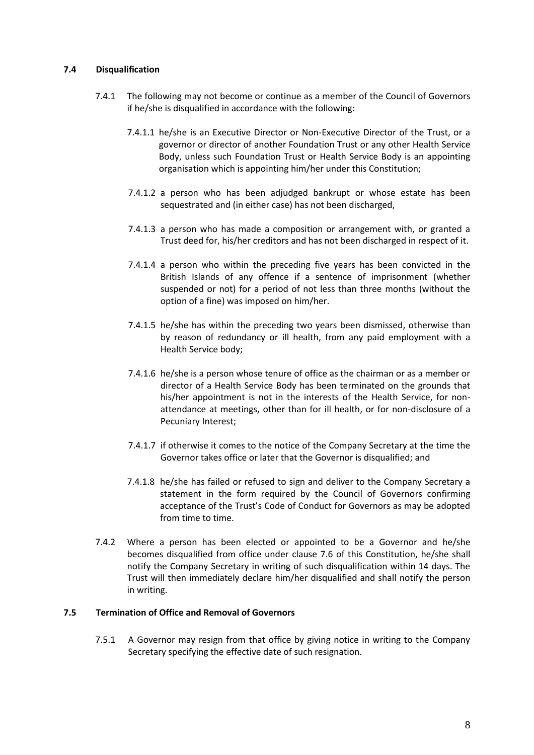# <span id="page-11-0"></span>**7.4 Disqualification**

- 7.4.1 The following may not become or continue as a member of the Council of Governors if he/she is disqualified in accordance with the following:
	- 7.4.1.1 he/she is an Executive Director or Non-Executive Director of the Trust, or a governor or director of another Foundation Trust or any other Health Service Body, unless such Foundation Trust or Health Service Body is an appointing organisation which is appointing him/her under this Constitution;
	- 7.4.1.2 a person who has been adjudged bankrupt or whose estate has been sequestrated and (in either case) has not been discharged,
	- 7.4.1.3 a person who has made a composition or arrangement with, or granted a Trust deed for, his/her creditors and has not been discharged in respect of it.
	- 7.4.1.4 a person who within the preceding five years has been convicted in the British Islands of any offence if a sentence of imprisonment (whether suspended or not) for a period of not less than three months (without the option of a fine) was imposed on him/her.
	- 7.4.1.5 he/she has within the preceding two years been dismissed, otherwise than by reason of redundancy or ill health, from any paid employment with a Health Service body;
	- 7.4.1.6 he/she is a person whose tenure of office as the chairman or as a member or director of a Health Service Body has been terminated on the grounds that his/her appointment is not in the interests of the Health Service, for nonattendance at meetings, other than for ill health, or for non-disclosure of a Pecuniary Interest;
	- 7.4.1.7 if otherwise it comes to the notice of the Company Secretary at the time the Governor takes office or later that the Governor is disqualified; and
	- 7.4.1.8 he/she has failed or refused to sign and deliver to the Company Secretary a statement in the form required by the Council of Governors confirming acceptance of the Trust's Code of Conduct for Governors as may be adopted from time to time.
- 7.4.2 Where a person has been elected or appointed to be a Governor and he/she becomes disqualified from office under clause 7.6 of this Constitution, he/she shall notify the Company Secretary in writing of such disqualification within 14 days. The Trust will then immediately declare him/her disqualified and shall notify the person in writing.

# <span id="page-11-1"></span>**7.5 Termination of Office and Removal of Governors**

7.5.1 A Governor may resign from that office by giving notice in writing to the Company Secretary specifying the effective date of such resignation.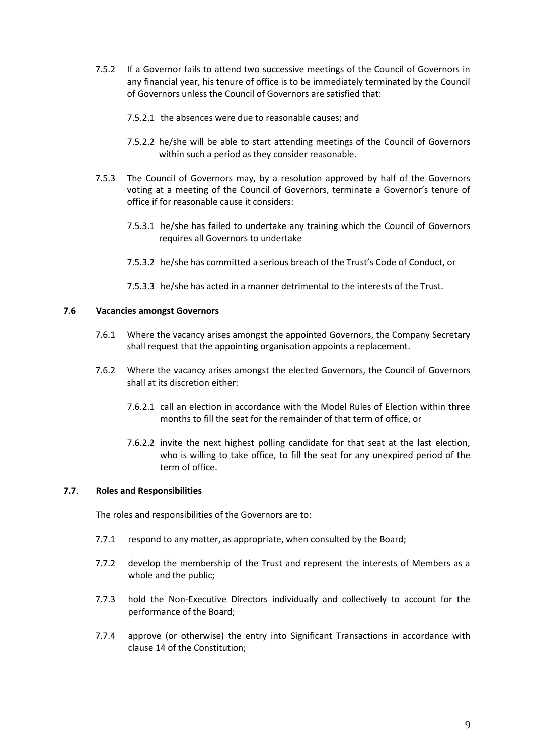- 7.5.2 If a Governor fails to attend two successive meetings of the Council of Governors in any financial year, his tenure of office is to be immediately terminated by the Council of Governors unless the Council of Governors are satisfied that:
	- 7.5.2.1 the absences were due to reasonable causes; and
	- 7.5.2.2 he/she will be able to start attending meetings of the Council of Governors within such a period as they consider reasonable.
- 7.5.3 The Council of Governors may, by a resolution approved by half of the Governors voting at a meeting of the Council of Governors, terminate a Governor's tenure of office if for reasonable cause it considers:
	- 7.5.3.1 he/she has failed to undertake any training which the Council of Governors requires all Governors to undertake
	- 7.5.3.2 he/she has committed a serious breach of the Trust's Code of Conduct, or
	- 7.5.3.3 he/she has acted in a manner detrimental to the interests of the Trust.

# <span id="page-12-0"></span>**7**.**6 Vacancies amongst Governors**

- 7.6.1 Where the vacancy arises amongst the appointed Governors, the Company Secretary shall request that the appointing organisation appoints a replacement.
- 7.6.2 Where the vacancy arises amongst the elected Governors, the Council of Governors shall at its discretion either:
	- 7.6.2.1 call an election in accordance with the Model Rules of Election within three months to fill the seat for the remainder of that term of office, or
	- 7.6.2.2 invite the next highest polling candidate for that seat at the last election, who is willing to take office, to fill the seat for any unexpired period of the term of office.

## <span id="page-12-1"></span>**7.7**. **Roles and Responsibilities**

The roles and responsibilities of the Governors are to:

- 7.7.1 respond to any matter, as appropriate, when consulted by the Board;
- 7.7.2 develop the membership of the Trust and represent the interests of Members as a whole and the public;
- 7.7.3 hold the Non-Executive Directors individually and collectively to account for the performance of the Board;
- 7.7.4 approve (or otherwise) the entry into Significant Transactions in accordance with clause 14 of the Constitution;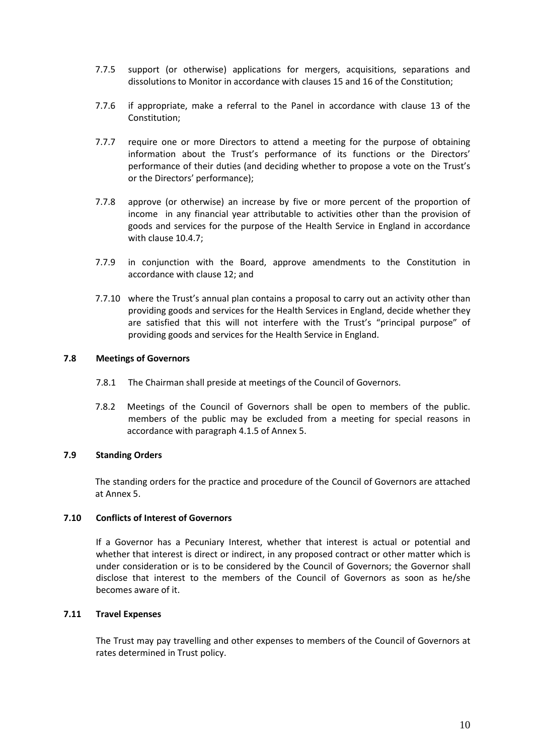- 7.7.5 support (or otherwise) applications for mergers, acquisitions, separations and dissolutions to Monitor in accordance with clauses 15 and 16 of the Constitution;
- 7.7.6 if appropriate, make a referral to the Panel in accordance with clause 13 of the Constitution;
- 7.7.7 require one or more Directors to attend a meeting for the purpose of obtaining information about the Trust's performance of its functions or the Directors' performance of their duties (and deciding whether to propose a vote on the Trust's or the Directors' performance);
- 7.7.8 approve (or otherwise) an increase by five or more percent of the proportion of income in any financial year attributable to activities other than the provision of goods and services for the purpose of the Health Service in England in accordance with clause 10.4.7;
- 7.7.9 in conjunction with the Board, approve amendments to the Constitution in accordance with clause 12; and
- 7.7.10 where the Trust's annual plan contains a proposal to carry out an activity other than providing goods and services for the Health Services in England, decide whether they are satisfied that this will not interfere with the Trust's "principal purpose" of providing goods and services for the Health Service in England.

## <span id="page-13-0"></span>**7.8 Meetings of Governors**

- 7.8.1 The Chairman shall preside at meetings of the Council of Governors.
- 7.8.2 Meetings of the Council of Governors shall be open to members of the public. members of the public may be excluded from a meeting for special reasons in accordance with paragraph 4.1.5 of Annex 5.

### <span id="page-13-1"></span>**7.9 Standing Orders**

The standing orders for the practice and procedure of the Council of Governors are attached at Annex 5.

# <span id="page-13-2"></span>**7.10 Conflicts of Interest of Governors**

If a Governor has a Pecuniary Interest, whether that interest is actual or potential and whether that interest is direct or indirect, in any proposed contract or other matter which is under consideration or is to be considered by the Council of Governors; the Governor shall disclose that interest to the members of the Council of Governors as soon as he/she becomes aware of it.

### <span id="page-13-3"></span>**7.11 Travel Expenses**

The Trust may pay travelling and other expenses to members of the Council of Governors at rates determined in Trust policy.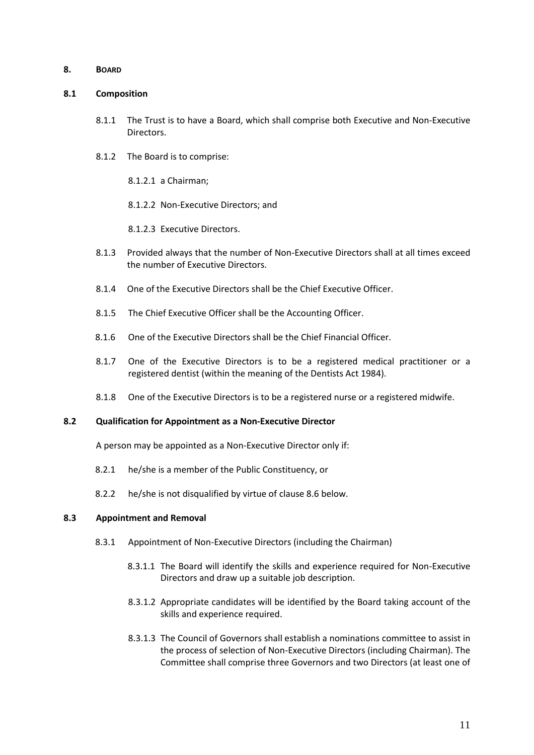### <span id="page-14-0"></span>**8. BOARD**

### <span id="page-14-1"></span>**8.1 Composition**

- 8.1.1 The Trust is to have a Board, which shall comprise both Executive and Non-Executive Directors.
- 8.1.2 The Board is to comprise:
	- 8.1.2.1 a Chairman;
	- 8.1.2.2 Non-Executive Directors; and

8.1.2.3 Executive Directors.

- 8.1.3 Provided always that the number of Non-Executive Directors shall at all times exceed the number of Executive Directors.
- 8.1.4 One of the Executive Directors shall be the Chief Executive Officer.
- 8.1.5 The Chief Executive Officer shall be the Accounting Officer.
- 8.1.6 One of the Executive Directors shall be the Chief Financial Officer.
- 8.1.7 One of the Executive Directors is to be a registered medical practitioner or a registered dentist (within the meaning of the Dentists Act 1984).
- 8.1.8 One of the Executive Directors is to be a registered nurse or a registered midwife.

## <span id="page-14-2"></span>**8.2 Qualification for Appointment as a Non-Executive Director**

A person may be appointed as a Non-Executive Director only if:

- 8.2.1 he/she is a member of the Public Constituency, or
- 8.2.2 he/she is not disqualified by virtue of clause 8.6 below.

### <span id="page-14-3"></span>**8.3 Appointment and Removal**

- 8.3.1 Appointment of Non-Executive Directors (including the Chairman)
	- 8.3.1.1 The Board will identify the skills and experience required for Non-Executive Directors and draw up a suitable job description.
	- 8.3.1.2 Appropriate candidates will be identified by the Board taking account of the skills and experience required.
	- 8.3.1.3 The Council of Governors shall establish a nominations committee to assist in the process of selection of Non-Executive Directors (including Chairman). The Committee shall comprise three Governors and two Directors (at least one of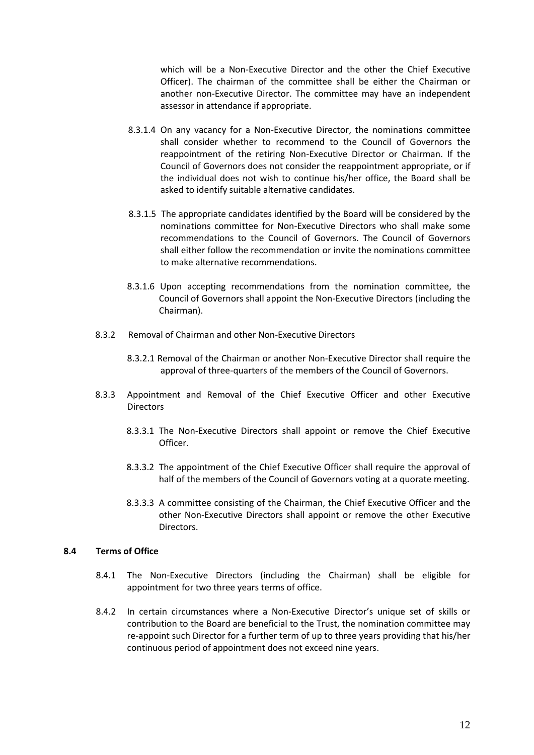which will be a Non-Executive Director and the other the Chief Executive Officer). The chairman of the committee shall be either the Chairman or another non-Executive Director. The committee may have an independent assessor in attendance if appropriate.

- 8.3.1.4 On any vacancy for a Non-Executive Director, the nominations committee shall consider whether to recommend to the Council of Governors the reappointment of the retiring Non-Executive Director or Chairman. If the Council of Governors does not consider the reappointment appropriate, or if the individual does not wish to continue his/her office, the Board shall be asked to identify suitable alternative candidates.
- 8.3.1.5 The appropriate candidates identified by the Board will be considered by the nominations committee for Non-Executive Directors who shall make some recommendations to the Council of Governors. The Council of Governors shall either follow the recommendation or invite the nominations committee to make alternative recommendations.
- 8.3.1.6 Upon accepting recommendations from the nomination committee, the Council of Governors shall appoint the Non-Executive Directors (including the Chairman).
- 8.3.2 Removal of Chairman and other Non-Executive Directors
	- 8.3.2.1 Removal of the Chairman or another Non-Executive Director shall require the approval of three-quarters of the members of the Council of Governors.
- 8.3.3 Appointment and Removal of the Chief Executive Officer and other Executive Directors
	- 8.3.3.1 The Non-Executive Directors shall appoint or remove the Chief Executive Officer.
	- 8.3.3.2 The appointment of the Chief Executive Officer shall require the approval of half of the members of the Council of Governors voting at a quorate meeting.
	- 8.3.3.3 A committee consisting of the Chairman, the Chief Executive Officer and the other Non-Executive Directors shall appoint or remove the other Executive Directors.

## <span id="page-15-0"></span>**8.4 Terms of Office**

- 8.4.1 The Non-Executive Directors (including the Chairman) shall be eligible for appointment for two three years terms of office.
- 8.4.2 In certain circumstances where a Non-Executive Director's unique set of skills or contribution to the Board are beneficial to the Trust, the nomination committee may re-appoint such Director for a further term of up to three years providing that his/her continuous period of appointment does not exceed nine years.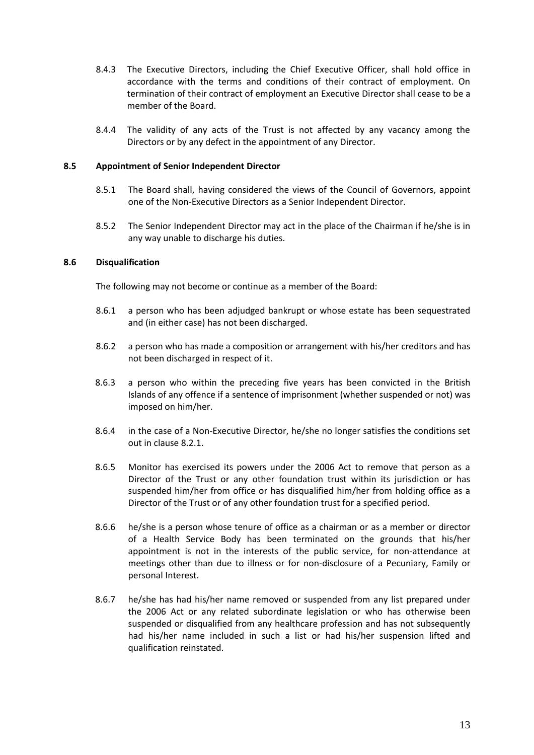- 8.4.3 The Executive Directors, including the Chief Executive Officer, shall hold office in accordance with the terms and conditions of their contract of employment. On termination of their contract of employment an Executive Director shall cease to be a member of the Board.
- 8.4.4 The validity of any acts of the Trust is not affected by any vacancy among the Directors or by any defect in the appointment of any Director.

## <span id="page-16-0"></span>**8.5 Appointment of Senior Independent Director**

- 8.5.1 The Board shall, having considered the views of the Council of Governors, appoint one of the Non-Executive Directors as a Senior Independent Director.
- 8.5.2 The Senior Independent Director may act in the place of the Chairman if he/she is in any way unable to discharge his duties.

## <span id="page-16-1"></span>**8.6 Disqualification**

The following may not become or continue as a member of the Board:

- 8.6.1 a person who has been adjudged bankrupt or whose estate has been sequestrated and (in either case) has not been discharged.
- 8.6.2 a person who has made a composition or arrangement with his/her creditors and has not been discharged in respect of it.
- 8.6.3 a person who within the preceding five years has been convicted in the British Islands of any offence if a sentence of imprisonment (whether suspended or not) was imposed on him/her.
- 8.6.4 in the case of a Non-Executive Director, he/she no longer satisfies the conditions set out in clause 8.2.1.
- 8.6.5 Monitor has exercised its powers under the 2006 Act to remove that person as a Director of the Trust or any other foundation trust within its jurisdiction or has suspended him/her from office or has disqualified him/her from holding office as a Director of the Trust or of any other foundation trust for a specified period.
- 8.6.6 he/she is a person whose tenure of office as a chairman or as a member or director of a Health Service Body has been terminated on the grounds that his/her appointment is not in the interests of the public service, for non-attendance at meetings other than due to illness or for non-disclosure of a Pecuniary, Family or personal Interest.
- 8.6.7 he/she has had his/her name removed or suspended from any list prepared under the 2006 Act or any related subordinate legislation or who has otherwise been suspended or disqualified from any healthcare profession and has not subsequently had his/her name included in such a list or had his/her suspension lifted and qualification reinstated.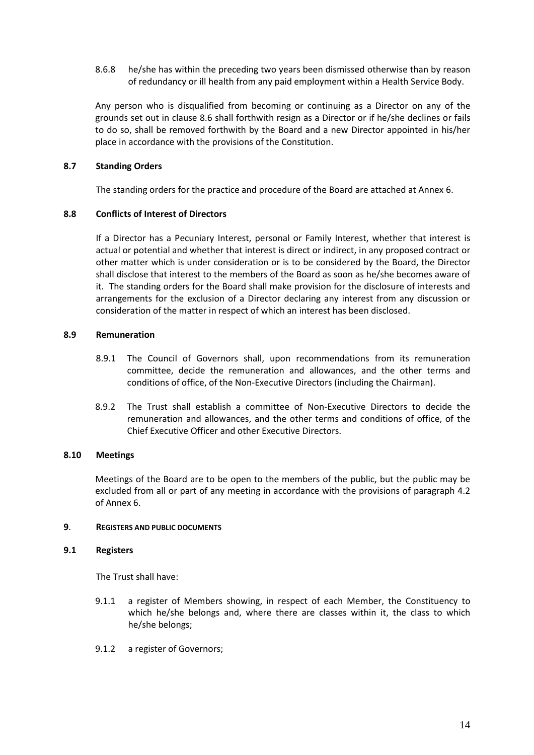8.6.8 he/she has within the preceding two years been dismissed otherwise than by reason of redundancy or ill health from any paid employment within a Health Service Body.

Any person who is disqualified from becoming or continuing as a Director on any of the grounds set out in clause 8.6 shall forthwith resign as a Director or if he/she declines or fails to do so, shall be removed forthwith by the Board and a new Director appointed in his/her place in accordance with the provisions of the Constitution.

# <span id="page-17-0"></span>**8.7 Standing Orders**

The standing orders for the practice and procedure of the Board are attached at Annex 6.

# <span id="page-17-1"></span>**8.8 Conflicts of Interest of Directors**

If a Director has a Pecuniary Interest, personal or Family Interest, whether that interest is actual or potential and whether that interest is direct or indirect, in any proposed contract or other matter which is under consideration or is to be considered by the Board, the Director shall disclose that interest to the members of the Board as soon as he/she becomes aware of it. The standing orders for the Board shall make provision for the disclosure of interests and arrangements for the exclusion of a Director declaring any interest from any discussion or consideration of the matter in respect of which an interest has been disclosed.

# <span id="page-17-2"></span>**8.9 Remuneration**

- 8.9.1 The Council of Governors shall, upon recommendations from its remuneration committee, decide the remuneration and allowances, and the other terms and conditions of office, of the Non-Executive Directors (including the Chairman).
- 8.9.2 The Trust shall establish a committee of Non-Executive Directors to decide the remuneration and allowances, and the other terms and conditions of office, of the Chief Executive Officer and other Executive Directors.

## <span id="page-17-3"></span>**8.10 Meetings**

Meetings of the Board are to be open to the members of the public, but the public may be excluded from all or part of any meeting in accordance with the provisions of paragraph 4.2 of Annex 6.

## <span id="page-17-5"></span><span id="page-17-4"></span>**9**. **REGISTERS AND PUBLIC DOCUMENTS**

## **9.1 Registers**

The Trust shall have:

- 9.1.1 a register of Members showing, in respect of each Member, the Constituency to which he/she belongs and, where there are classes within it, the class to which he/she belongs;
- 9.1.2 a register of Governors;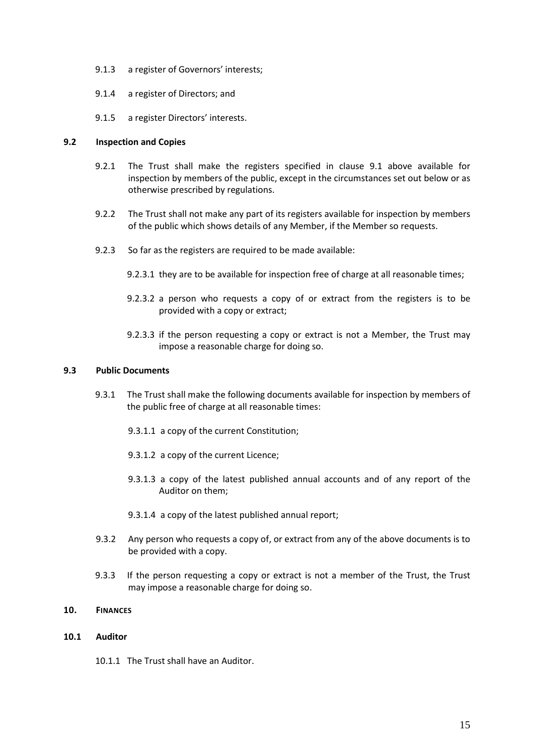- 9.1.3 a register of Governors' interests;
- 9.1.4 a register of Directors; and
- 9.1.5 a register Directors' interests.

### <span id="page-18-0"></span>**9.2 Inspection and Copies**

- 9.2.1 The Trust shall make the registers specified in clause 9.1 above available for inspection by members of the public, except in the circumstances set out below or as otherwise prescribed by regulations.
- 9.2.2 The Trust shall not make any part of its registers available for inspection by members of the public which shows details of any Member, if the Member so requests.
- 9.2.3 So far as the registers are required to be made available:
	- 9.2.3.1 they are to be available for inspection free of charge at all reasonable times;
	- 9.2.3.2 a person who requests a copy of or extract from the registers is to be provided with a copy or extract;
	- 9.2.3.3 if the person requesting a copy or extract is not a Member, the Trust may impose a reasonable charge for doing so.

### <span id="page-18-1"></span>**9.3 Public Documents**

- 9.3.1 The Trust shall make the following documents available for inspection by members of the public free of charge at all reasonable times:
	- 9.3.1.1 a copy of the current Constitution;
	- 9.3.1.2 a copy of the current Licence;
	- 9.3.1.3 a copy of the latest published annual accounts and of any report of the Auditor on them;
	- 9.3.1.4 a copy of the latest published annual report;
- 9.3.2 Any person who requests a copy of, or extract from any of the above documents is to be provided with a copy.
- 9.3.3 If the person requesting a copy or extract is not a member of the Trust, the Trust may impose a reasonable charge for doing so.

### <span id="page-18-2"></span>**10. FINANCES**

### <span id="page-18-3"></span>**10.1 Auditor**

10.1.1 The Trust shall have an Auditor.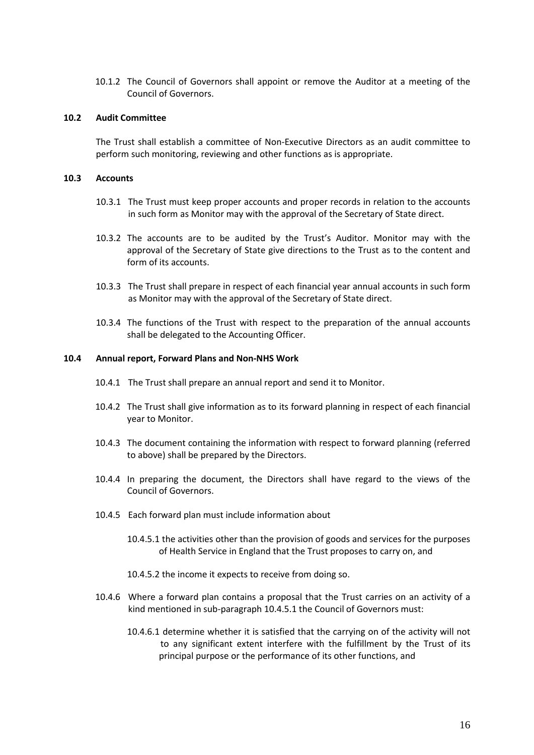10.1.2 The Council of Governors shall appoint or remove the Auditor at a meeting of the Council of Governors.

## <span id="page-19-0"></span>**10.2 Audit Committee**

The Trust shall establish a committee of Non-Executive Directors as an audit committee to perform such monitoring, reviewing and other functions as is appropriate.

### <span id="page-19-1"></span>**10.3 Accounts**

- 10.3.1 The Trust must keep proper accounts and proper records in relation to the accounts in such form as Monitor may with the approval of the Secretary of State direct.
- 10.3.2 The accounts are to be audited by the Trust's Auditor. Monitor may with the approval of the Secretary of State give directions to the Trust as to the content and form of its accounts.
- 10.3.3 The Trust shall prepare in respect of each financial year annual accounts in such form as Monitor may with the approval of the Secretary of State direct.
- 10.3.4 The functions of the Trust with respect to the preparation of the annual accounts shall be delegated to the Accounting Officer.

### <span id="page-19-2"></span>**10.4 Annual report, Forward Plans and Non-NHS Work**

- 10.4.1 The Trust shall prepare an annual report and send it to Monitor.
- 10.4.2 The Trust shall give information as to its forward planning in respect of each financial year to Monitor.
- 10.4.3 The document containing the information with respect to forward planning (referred to above) shall be prepared by the Directors.
- 10.4.4 In preparing the document, the Directors shall have regard to the views of the Council of Governors.
- 10.4.5 Each forward plan must include information about
	- 10.4.5.1 the activities other than the provision of goods and services for the purposes of Health Service in England that the Trust proposes to carry on, and
	- 10.4.5.2 the income it expects to receive from doing so.
- 10.4.6 Where a forward plan contains a proposal that the Trust carries on an activity of a kind mentioned in sub-paragraph 10.4.5.1 the Council of Governors must:
	- 10.4.6.1 determine whether it is satisfied that the carrying on of the activity will not to any significant extent interfere with the fulfillment by the Trust of its principal purpose or the performance of its other functions, and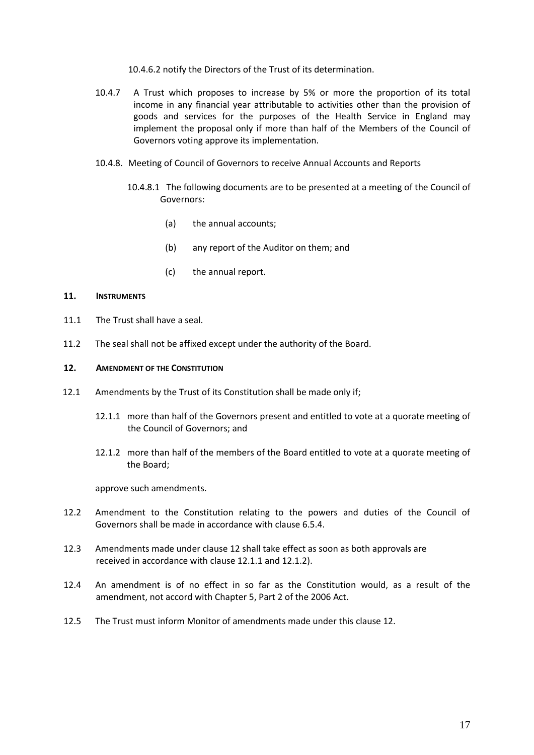10.4.6.2 notify the Directors of the Trust of its determination.

- 10.4.7 A Trust which proposes to increase by 5% or more the proportion of its total income in any financial year attributable to activities other than the provision of goods and services for the purposes of the Health Service in England may implement the proposal only if more than half of the Members of the Council of Governors voting approve its implementation.
- 10.4.8. Meeting of Council of Governors to receive Annual Accounts and Reports
	- 10.4.8.1 The following documents are to be presented at a meeting of the Council of Governors:
		- (a) the annual accounts;
		- (b) any report of the Auditor on them; and
		- (c) the annual report.

### <span id="page-20-0"></span>**11. INSTRUMENTS**

- 11.1 The Trust shall have a seal.
- 11.2 The seal shall not be affixed except under the authority of the Board.

### <span id="page-20-1"></span>**12. AMENDMENT OF THE CONSTITUTION**

- 12.1 Amendments by the Trust of its Constitution shall be made only if;
	- 12.1.1 more than half of the Governors present and entitled to vote at a quorate meeting of the Council of Governors; and
	- 12.1.2 more than half of the members of the Board entitled to vote at a quorate meeting of the Board;

approve such amendments.

- 12.2 Amendment to the Constitution relating to the powers and duties of the Council of Governors shall be made in accordance with clause 6.5.4.
- 12.3 Amendments made under clause 12 shall take effect as soon as both approvals are received in accordance with clause 12.1.1 and 12.1.2).
- 12.4 An amendment is of no effect in so far as the Constitution would, as a result of the amendment, not accord with Chapter 5, Part 2 of the 2006 Act.
- 12.5 The Trust must inform Monitor of amendments made under this clause 12.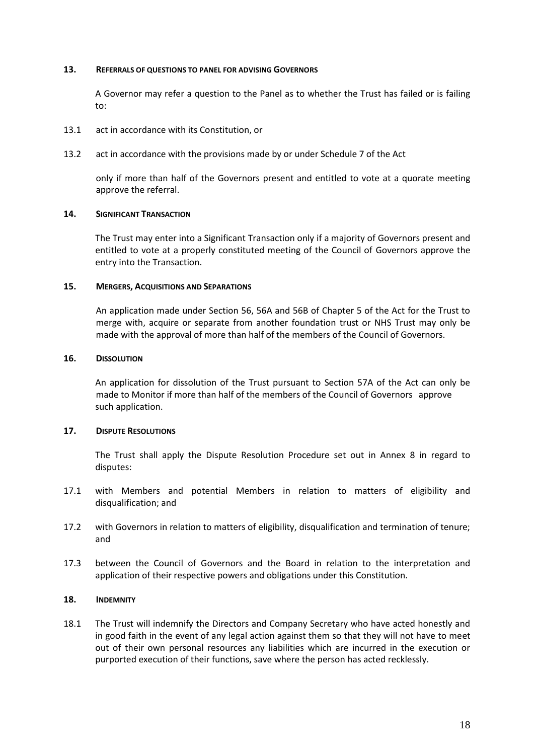### <span id="page-21-0"></span>**13. REFERRALS OF QUESTIONS TO PANEL FOR ADVISING GOVERNORS**

A Governor may refer a question to the Panel as to whether the Trust has failed or is failing to:

- 13.1 act in accordance with its Constitution, or
- 13.2 act in accordance with the provisions made by or under Schedule 7 of the Act

only if more than half of the Governors present and entitled to vote at a quorate meeting approve the referral.

### <span id="page-21-1"></span>**14. SIGNIFICANT TRANSACTION**

The Trust may enter into a Significant Transaction only if a majority of Governors present and entitled to vote at a properly constituted meeting of the Council of Governors approve the entry into the Transaction.

### <span id="page-21-2"></span>**15. MERGERS, ACQUISITIONS AND SEPARATIONS**

An application made under Section 56, 56A and 56B of Chapter 5 of the Act for the Trust to merge with, acquire or separate from another foundation trust or NHS Trust may only be made with the approval of more than half of the members of the Council of Governors.

### <span id="page-21-3"></span>**16. DISSOLUTION**

An application for dissolution of the Trust pursuant to Section 57A of the Act can only be made to Monitor if more than half of the members of the Council of Governors approve such application.

## <span id="page-21-4"></span>**17. DISPUTE RESOLUTIONS**

The Trust shall apply the Dispute Resolution Procedure set out in Annex 8 in regard to disputes:

- 17.1 with Members and potential Members in relation to matters of eligibility and disqualification; and
- 17.2 with Governors in relation to matters of eligibility, disqualification and termination of tenure; and
- 17.3 between the Council of Governors and the Board in relation to the interpretation and application of their respective powers and obligations under this Constitution.

### <span id="page-21-5"></span>**18. INDEMNITY**

18.1 The Trust will indemnify the Directors and Company Secretary who have acted honestly and in good faith in the event of any legal action against them so that they will not have to meet out of their own personal resources any liabilities which are incurred in the execution or purported execution of their functions, save where the person has acted recklessly.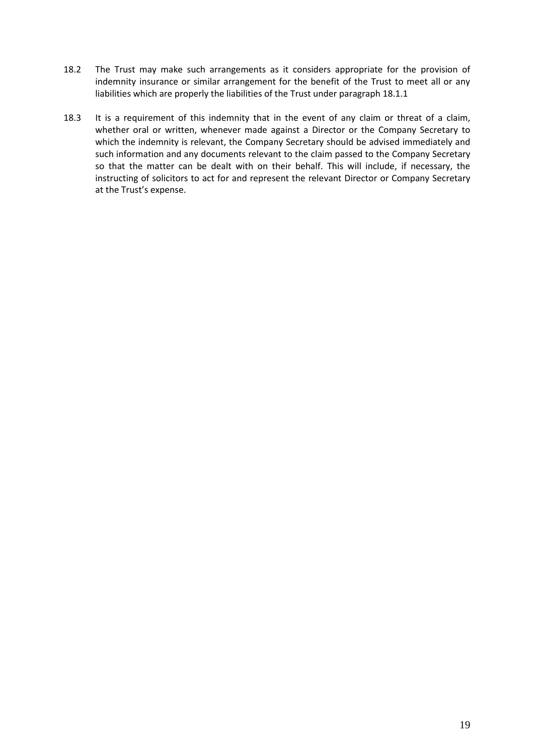- 18.2 The Trust may make such arrangements as it considers appropriate for the provision of indemnity insurance or similar arrangement for the benefit of the Trust to meet all or any liabilities which are properly the liabilities of the Trust under paragraph 18.1.1
- 18.3 It is a requirement of this indemnity that in the event of any claim or threat of a claim, whether oral or written, whenever made against a Director or the Company Secretary to which the indemnity is relevant, the Company Secretary should be advised immediately and such information and any documents relevant to the claim passed to the Company Secretary so that the matter can be dealt with on their behalf. This will include, if necessary, the instructing of solicitors to act for and represent the relevant Director or Company Secretary at the Trust's expense.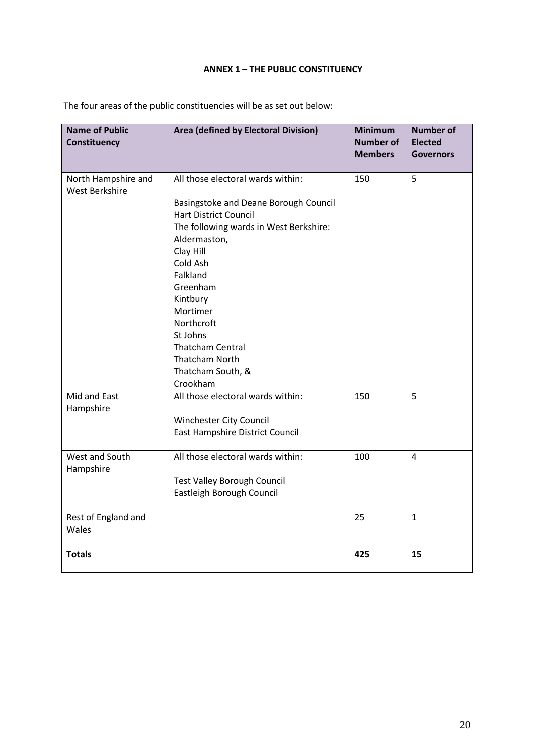# **ANNEX 1 – THE PUBLIC CONSTITUENCY**

| <b>Name of Public</b><br>Constituency        | Area (defined by Electoral Division)                                                                                                                                                                                                                                                                                                                  | <b>Minimum</b><br><b>Number of</b><br><b>Members</b> | <b>Number of</b><br><b>Elected</b><br><b>Governors</b> |
|----------------------------------------------|-------------------------------------------------------------------------------------------------------------------------------------------------------------------------------------------------------------------------------------------------------------------------------------------------------------------------------------------------------|------------------------------------------------------|--------------------------------------------------------|
| North Hampshire and<br><b>West Berkshire</b> | All those electoral wards within:<br>Basingstoke and Deane Borough Council<br><b>Hart District Council</b><br>The following wards in West Berkshire:<br>Aldermaston,<br>Clay Hill<br>Cold Ash<br>Falkland<br>Greenham<br>Kintbury<br>Mortimer<br>Northcroft<br>St Johns<br><b>Thatcham Central</b><br>Thatcham North<br>Thatcham South, &<br>Crookham | 150                                                  | 5                                                      |
| Mid and East<br>Hampshire                    | All those electoral wards within:<br>Winchester City Council<br>East Hampshire District Council                                                                                                                                                                                                                                                       | 150                                                  | 5                                                      |
| West and South<br>Hampshire                  | All those electoral wards within:<br><b>Test Valley Borough Council</b><br>Eastleigh Borough Council                                                                                                                                                                                                                                                  | 100                                                  | 4                                                      |
| Rest of England and<br>Wales                 |                                                                                                                                                                                                                                                                                                                                                       | 25                                                   | $\mathbf{1}$                                           |
| <b>Totals</b>                                |                                                                                                                                                                                                                                                                                                                                                       | 425                                                  | 15                                                     |

<span id="page-23-0"></span>The four areas of the public constituencies will be as set out below: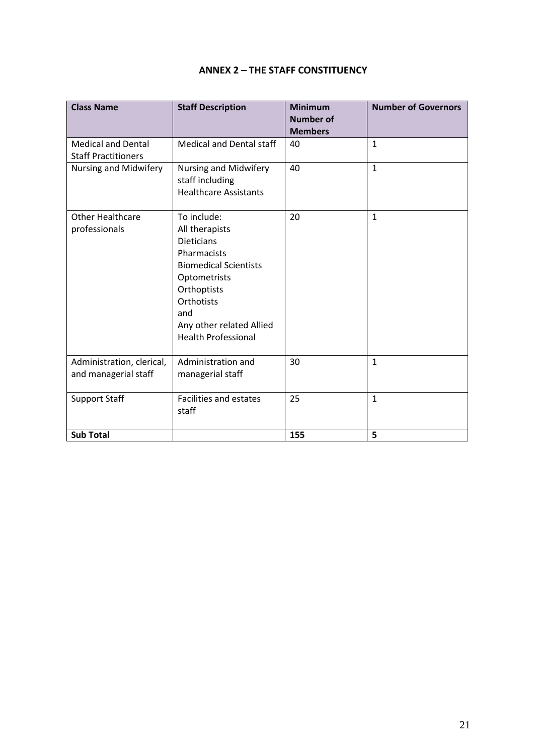# **ANNEX 2 – THE STAFF CONSTITUENCY**

<span id="page-24-0"></span>

| <b>Class Name</b>                                       | <b>Staff Description</b>                                                                                                                                                                                        | <b>Minimum</b><br><b>Number of</b><br><b>Members</b> | <b>Number of Governors</b> |
|---------------------------------------------------------|-----------------------------------------------------------------------------------------------------------------------------------------------------------------------------------------------------------------|------------------------------------------------------|----------------------------|
| <b>Medical and Dental</b><br><b>Staff Practitioners</b> | <b>Medical and Dental staff</b>                                                                                                                                                                                 | 40                                                   | $\mathbf{1}$               |
| Nursing and Midwifery                                   | Nursing and Midwifery<br>staff including<br><b>Healthcare Assistants</b>                                                                                                                                        | 40                                                   | $\mathbf{1}$               |
| <b>Other Healthcare</b><br>professionals                | To include:<br>All therapists<br><b>Dieticians</b><br>Pharmacists<br><b>Biomedical Scientists</b><br>Optometrists<br>Orthoptists<br>Orthotists<br>and<br>Any other related Allied<br><b>Health Professional</b> | 20                                                   | $\mathbf{1}$               |
| Administration, clerical,<br>and managerial staff       | Administration and<br>managerial staff                                                                                                                                                                          | 30                                                   | $\mathbf{1}$               |
| <b>Support Staff</b>                                    | <b>Facilities and estates</b><br>staff                                                                                                                                                                          | 25                                                   | $\mathbf{1}$               |
| <b>Sub Total</b>                                        |                                                                                                                                                                                                                 | 155                                                  | 5                          |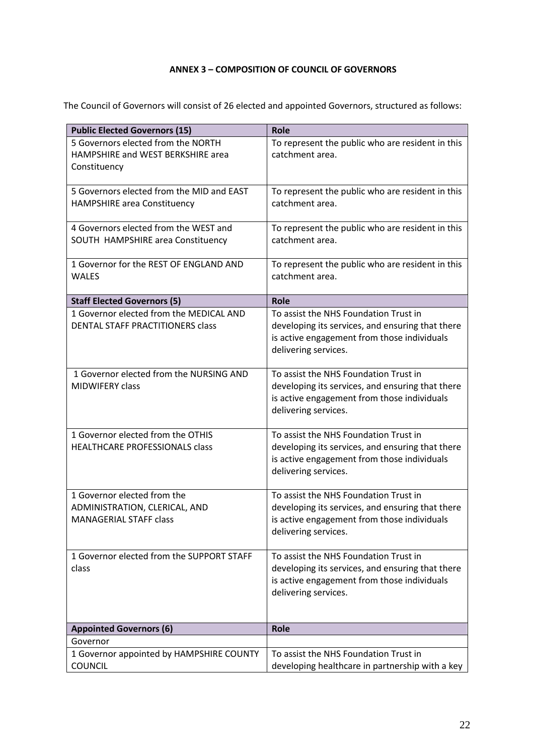# **ANNEX 3 – COMPOSITION OF COUNCIL OF GOVERNORS**

<span id="page-25-0"></span>The Council of Governors will consist of 26 elected and appointed Governors, structured as follows:

| <b>Public Elected Governors (15)</b>                 | <b>Role</b>                                                         |
|------------------------------------------------------|---------------------------------------------------------------------|
| 5 Governors elected from the NORTH                   | To represent the public who are resident in this                    |
| HAMPSHIRE and WEST BERKSHIRE area                    | catchment area.                                                     |
| Constituency                                         |                                                                     |
|                                                      |                                                                     |
| 5 Governors elected from the MID and EAST            | To represent the public who are resident in this                    |
| <b>HAMPSHIRE area Constituency</b>                   | catchment area.                                                     |
|                                                      |                                                                     |
| 4 Governors elected from the WEST and                | To represent the public who are resident in this<br>catchment area. |
| SOUTH HAMPSHIRE area Constituency                    |                                                                     |
| 1 Governor for the REST OF ENGLAND AND               | To represent the public who are resident in this                    |
| <b>WALES</b>                                         | catchment area.                                                     |
|                                                      |                                                                     |
| <b>Staff Elected Governors (5)</b>                   | Role                                                                |
| 1 Governor elected from the MEDICAL AND              | To assist the NHS Foundation Trust in                               |
| DENTAL STAFF PRACTITIONERS class                     | developing its services, and ensuring that there                    |
|                                                      | is active engagement from those individuals                         |
|                                                      | delivering services.                                                |
|                                                      |                                                                     |
| 1 Governor elected from the NURSING AND              | To assist the NHS Foundation Trust in                               |
| <b>MIDWIFERY class</b>                               | developing its services, and ensuring that there                    |
|                                                      | is active engagement from those individuals<br>delivering services. |
|                                                      |                                                                     |
| 1 Governor elected from the OTHIS                    | To assist the NHS Foundation Trust in                               |
| HEALTHCARE PROFESSIONALS class                       | developing its services, and ensuring that there                    |
|                                                      | is active engagement from those individuals                         |
|                                                      | delivering services.                                                |
|                                                      |                                                                     |
| 1 Governor elected from the                          | To assist the NHS Foundation Trust in                               |
| ADMINISTRATION, CLERICAL, AND                        | developing its services, and ensuring that there                    |
| <b>MANAGERIAL STAFF class</b>                        | is active engagement from those individuals                         |
|                                                      | delivering services.                                                |
| 1 Governor elected from the SUPPORT STAFF            | To assist the NHS Foundation Trust in                               |
| class                                                | developing its services, and ensuring that there                    |
|                                                      | is active engagement from those individuals                         |
|                                                      | delivering services.                                                |
|                                                      |                                                                     |
|                                                      |                                                                     |
| <b>Appointed Governors (6)</b>                       | <b>Role</b>                                                         |
| Governor<br>1 Governor appointed by HAMPSHIRE COUNTY | To assist the NHS Foundation Trust in                               |
| <b>COUNCIL</b>                                       | developing healthcare in partnership with a key                     |
|                                                      |                                                                     |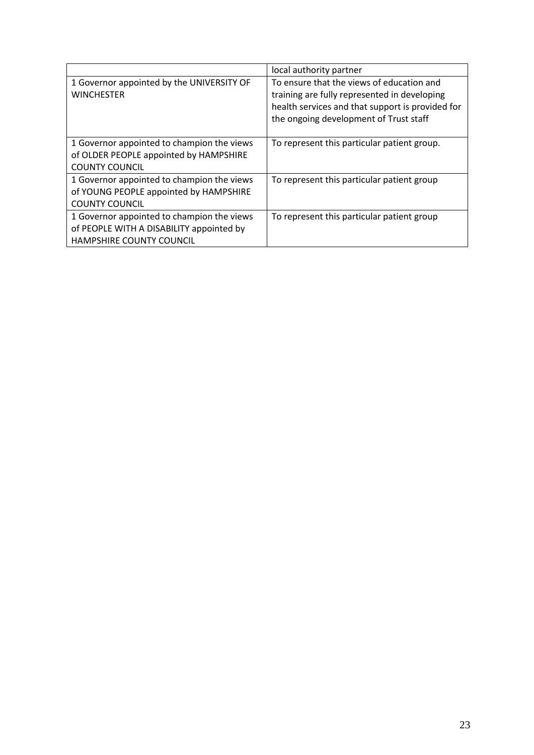|                                                                                                                           | local authority partner                                                                                                                                                                 |
|---------------------------------------------------------------------------------------------------------------------------|-----------------------------------------------------------------------------------------------------------------------------------------------------------------------------------------|
| 1 Governor appointed by the UNIVERSITY OF<br><b>WINCHESTER</b>                                                            | To ensure that the views of education and<br>training are fully represented in developing<br>health services and that support is provided for<br>the ongoing development of Trust staff |
| 1 Governor appointed to champion the views<br>of OLDER PEOPLE appointed by HAMPSHIRE<br><b>COUNTY COUNCIL</b>             | To represent this particular patient group.                                                                                                                                             |
| 1 Governor appointed to champion the views<br>of YOUNG PEOPLE appointed by HAMPSHIRE<br><b>COUNTY COUNCIL</b>             | To represent this particular patient group                                                                                                                                              |
| 1 Governor appointed to champion the views<br>of PEOPLE WITH A DISABILITY appointed by<br><b>HAMPSHIRE COUNTY COUNCIL</b> | To represent this particular patient group                                                                                                                                              |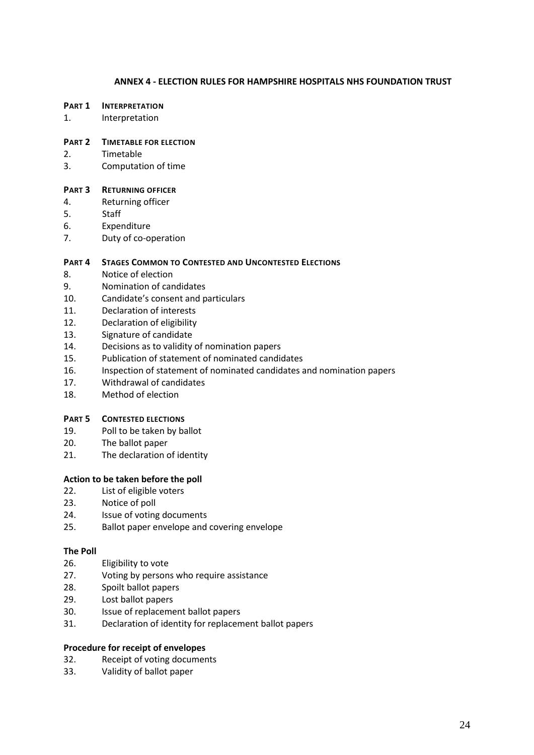## **ANNEX 4 - ELECTION RULES FOR HAMPSHIRE HOSPITALS NHS FOUNDATION TRUST**

#### <span id="page-27-0"></span>**PART 1 INTERPRETATION**

1. Interpretation

### **PART 2 TIMETABLE FOR ELECTION**

- 2. Timetable
- 3. Computation of time

### **PART 3 RETURNING OFFICER**

- 4. Returning officer
- 5. Staff
- 6. Expenditure
- 7. Duty of co-operation

## **PART 4 STAGES COMMON TO CONTESTED AND UNCONTESTED ELECTIONS**

- 8. Notice of election
- 9. Nomination of candidates
- 10. Candidate's consent and particulars
- 11. Declaration of interests
- 12. Declaration of eligibility
- 13. Signature of candidate
- 14. Decisions as to validity of nomination papers
- 15. Publication of statement of nominated candidates
- 16. Inspection of statement of nominated candidates and nomination papers
- 17. Withdrawal of candidates
- 18. Method of election

# **PART 5 CONTESTED ELECTIONS**

- 19. Poll to be taken by ballot
- 20. The ballot paper
- 21. The declaration of identity

## **Action to be taken before the poll**

- 22. List of eligible voters
- 23. Notice of poll
- 24. Issue of voting documents
- 25. Ballot paper envelope and covering envelope

### **The Poll**

- 26. Eligibility to vote
- 27. Voting by persons who require assistance
- 28. Spoilt ballot papers
- 29. Lost ballot papers
- 30. Issue of replacement ballot papers
- 31. Declaration of identity for replacement ballot papers

### **Procedure for receipt of envelopes**

- 32. Receipt of voting documents
- 33. Validity of ballot paper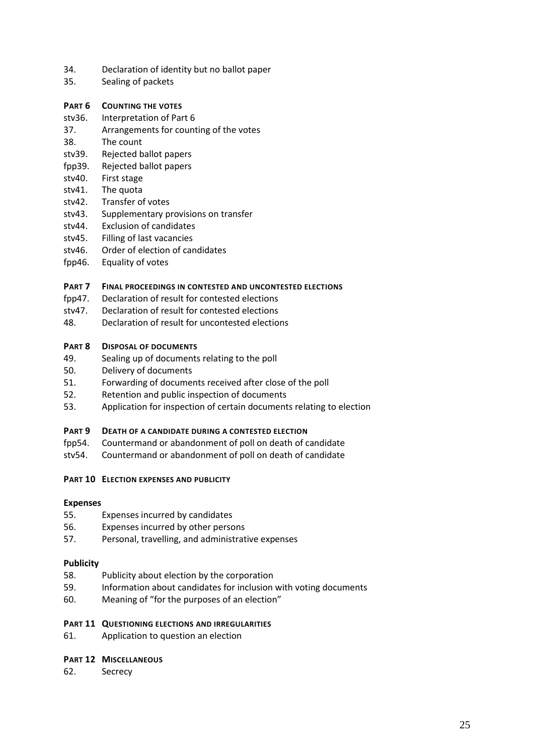- 34. Declaration of identity but no ballot paper
- 35. Sealing of packets

# **PART 6 COUNTING THE VOTES**

- stv36. Interpretation of Part 6
- 37. Arrangements for counting of the votes
- 38. The count
- stv39. Rejected ballot papers
- fpp39. Rejected ballot papers
- stv40. First stage
- stv41. The quota
- stv42. Transfer of votes
- stv43. Supplementary provisions on transfer
- stv44. Exclusion of candidates
- stv45. Filling of last vacancies
- stv46. Order of election of candidates
- fpp46. Equality of votes

## **PART 7 FINAL PROCEEDINGS IN CONTESTED AND UNCONTESTED ELECTIONS**

- fpp47. Declaration of result for contested elections
- stv47. Declaration of result for contested elections
- 48. Declaration of result for uncontested elections

## **PART 8 DISPOSAL OF DOCUMENTS**

- 49. Sealing up of documents relating to the poll
- 50. Delivery of documents
- 51. Forwarding of documents received after close of the poll
- 52. Retention and public inspection of documents
- 53. Application for inspection of certain documents relating to election

## **PART 9 DEATH OF A CANDIDATE DURING A CONTESTED ELECTION**

- fpp54. Countermand or abandonment of poll on death of candidate
- stv54. Countermand or abandonment of poll on death of candidate

## **PART 10 ELECTION EXPENSES AND PUBLICITY**

## **Expenses**

- 55. Expenses incurred by candidates
- 56. Expenses incurred by other persons
- 57. Personal, travelling, and administrative expenses

## **Publicity**

- 58. Publicity about election by the corporation
- 59. Information about candidates for inclusion with voting documents
- 60. Meaning of "for the purposes of an election"

## **PART 11 QUESTIONING ELECTIONS AND IRREGULARITIES**

61. Application to question an election

## **PART 12 MISCELLANEOUS**

62. Secrecy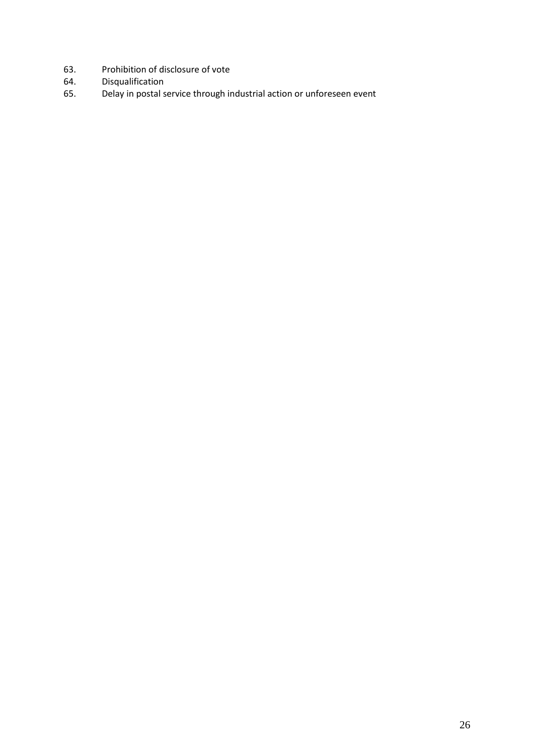- 63. Prohibition of disclosure of vote<br>64. Disqualification
- 64. Disqualification<br>65. Delay in postal s
- Delay in postal service through industrial action or unforeseen event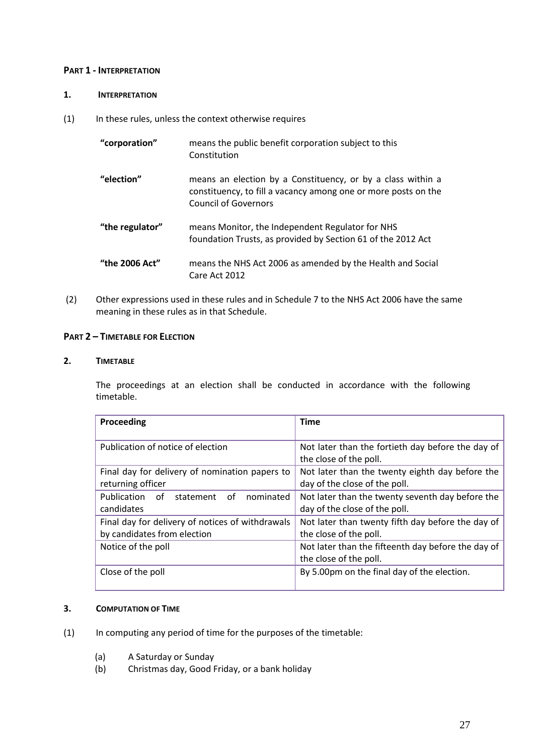## **PART 1 - INTERPRETATION**

# **1. INTERPRETATION**

(1) In these rules, unless the context otherwise requires

| "corporation"   | means the public benefit corporation subject to this<br>Constitution                                                                                         |
|-----------------|--------------------------------------------------------------------------------------------------------------------------------------------------------------|
| "election"      | means an election by a Constituency, or by a class within a<br>constituency, to fill a vacancy among one or more posts on the<br><b>Council of Governors</b> |
| "the regulator" | means Monitor, the Independent Regulator for NHS<br>foundation Trusts, as provided by Section 61 of the 2012 Act                                             |
| "the 2006 Act"  | means the NHS Act 2006 as amended by the Health and Social<br>Care Act 2012                                                                                  |

(2) Other expressions used in these rules and in Schedule 7 to the NHS Act 2006 have the same meaning in these rules as in that Schedule.

# **PART 2 – TIMETABLE FOR ELECTION**

## **2. TIMETABLE**

The proceedings at an election shall be conducted in accordance with the following timetable.

| Proceeding                                       | <b>Time</b>                                                                 |
|--------------------------------------------------|-----------------------------------------------------------------------------|
|                                                  |                                                                             |
| Publication of notice of election                | Not later than the fortieth day before the day of<br>the close of the poll. |
| Final day for delivery of nomination papers to   | Not later than the twenty eighth day before the                             |
| returning officer                                | day of the close of the poll.                                               |
| Publication of<br>nominated<br>statement<br>of   | Not later than the twenty seventh day before the                            |
| candidates                                       | day of the close of the poll.                                               |
| Final day for delivery of notices of withdrawals | Not later than twenty fifth day before the day of                           |
| by candidates from election                      | the close of the poll.                                                      |
| Notice of the poll                               | Not later than the fifteenth day before the day of                          |
|                                                  | the close of the poll.                                                      |
| Close of the poll                                | By 5.00pm on the final day of the election.                                 |
|                                                  |                                                                             |

# **3. COMPUTATION OF TIME**

- (1) In computing any period of time for the purposes of the timetable:
	- (a) A Saturday or Sunday
	- (b) Christmas day, Good Friday, or a bank holiday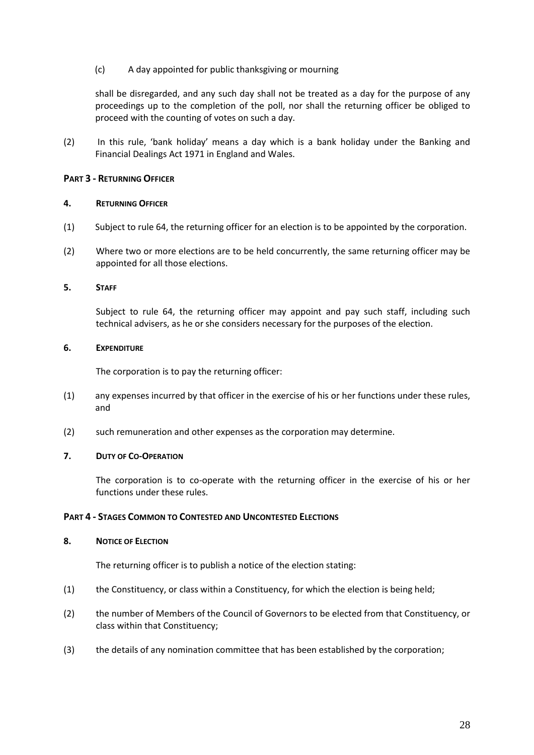# (c) A day appointed for public thanksgiving or mourning

shall be disregarded, and any such day shall not be treated as a day for the purpose of any proceedings up to the completion of the poll, nor shall the returning officer be obliged to proceed with the counting of votes on such a day.

(2) In this rule, 'bank holiday' means a day which is a bank holiday under the Banking and Financial Dealings Act 1971 in England and Wales.

# **PART 3 - RETURNING OFFICER**

### **4. RETURNING OFFICER**

- (1) Subject to rule 64, the returning officer for an election is to be appointed by the corporation.
- (2) Where two or more elections are to be held concurrently, the same returning officer may be appointed for all those elections.

### **5. STAFF**

Subject to rule 64, the returning officer may appoint and pay such staff, including such technical advisers, as he or she considers necessary for the purposes of the election.

## **6. EXPENDITURE**

The corporation is to pay the returning officer:

- (1) any expenses incurred by that officer in the exercise of his or her functions under these rules, and
- (2) such remuneration and other expenses as the corporation may determine.

## **7. DUTY OF CO-OPERATION**

The corporation is to co-operate with the returning officer in the exercise of his or her functions under these rules.

## **PART 4 - STAGES COMMON TO CONTESTED AND UNCONTESTED ELECTIONS**

### 8. NOTICE OF **ELECTION**

The returning officer is to publish a notice of the election stating:

- (1) the Constituency, or class within a Constituency, for which the election is being held;
- (2) the number of Members of the Council of Governors to be elected from that Constituency, or class within that Constituency;
- (3) the details of any nomination committee that has been established by the corporation;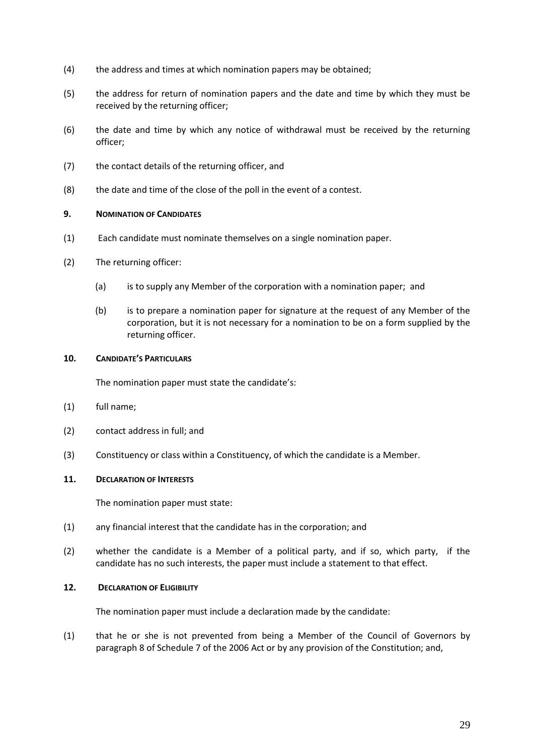- (4) the address and times at which nomination papers may be obtained;
- (5) the address for return of nomination papers and the date and time by which they must be received by the returning officer;
- (6) the date and time by which any notice of withdrawal must be received by the returning officer;
- (7) the contact details of the returning officer, and
- (8) the date and time of the close of the poll in the event of a contest.

## **9. NOMINATION OF CANDIDATES**

- (1) Each candidate must nominate themselves on a single nomination paper.
- (2) The returning officer:
	- (a) is to supply any Member of the corporation with a nomination paper; and
	- (b) is to prepare a nomination paper for signature at the request of any Member of the corporation, but it is not necessary for a nomination to be on a form supplied by the returning officer.

## **10. CANDIDATE'S PARTICULARS**

The nomination paper must state the candidate's:

- (1) full name;
- (2) contact address in full; and
- (3) Constituency or class within a Constituency, of which the candidate is a Member.

## **11. DECLARATION OF INTERESTS**

The nomination paper must state:

- (1) any financial interest that the candidate has in the corporation; and
- (2) whether the candidate is a Member of a political party, and if so, which party, if the candidate has no such interests, the paper must include a statement to that effect.

# **12. DECLARATION OF ELIGIBILITY**

The nomination paper must include a declaration made by the candidate:

(1) that he or she is not prevented from being a Member of the Council of Governors by paragraph 8 of Schedule 7 of the 2006 Act or by any provision of the Constitution; and,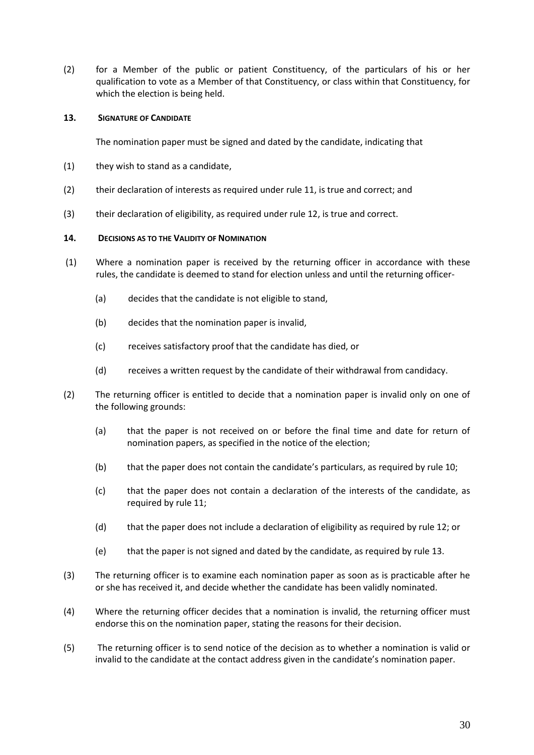(2) for a Member of the public or patient Constituency, of the particulars of his or her qualification to vote as a Member of that Constituency, or class within that Constituency, for which the election is being held.

## **13. SIGNATURE OF CANDIDATE**

The nomination paper must be signed and dated by the candidate, indicating that

- (1) they wish to stand as a candidate,
- (2) their declaration of interests as required under rule 11, is true and correct; and
- (3) their declaration of eligibility, as required under rule 12, is true and correct.

### **14. DECISIONS AS TO THE VALIDITY OF NOMINATION**

- (1) Where a nomination paper is received by the returning officer in accordance with these rules, the candidate is deemed to stand for election unless and until the returning officer-
	- (a) decides that the candidate is not eligible to stand,
	- (b) decides that the nomination paper is invalid,
	- (c) receives satisfactory proof that the candidate has died, or
	- (d) receives a written request by the candidate of their withdrawal from candidacy.
- (2) The returning officer is entitled to decide that a nomination paper is invalid only on one of the following grounds:
	- (a) that the paper is not received on or before the final time and date for return of nomination papers, as specified in the notice of the election;
	- (b) that the paper does not contain the candidate's particulars, as required by rule 10;
	- (c) that the paper does not contain a declaration of the interests of the candidate, as required by rule 11;
	- (d) that the paper does not include a declaration of eligibility as required by rule 12; or
	- (e) that the paper is not signed and dated by the candidate, as required by rule 13.
- (3) The returning officer is to examine each nomination paper as soon as is practicable after he or she has received it, and decide whether the candidate has been validly nominated.
- (4) Where the returning officer decides that a nomination is invalid, the returning officer must endorse this on the nomination paper, stating the reasons for their decision.
- (5) The returning officer is to send notice of the decision as to whether a nomination is valid or invalid to the candidate at the contact address given in the candidate's nomination paper.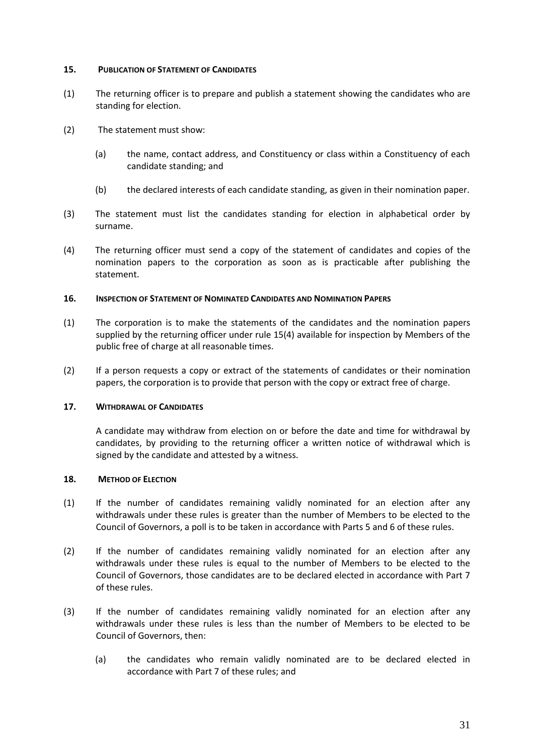## **15. PUBLICATION OF STATEMENT OF CANDIDATES**

- (1) The returning officer is to prepare and publish a statement showing the candidates who are standing for election.
- (2) The statement must show:
	- (a) the name, contact address, and Constituency or class within a Constituency of each candidate standing; and
	- (b) the declared interests of each candidate standing, as given in their nomination paper.
- (3) The statement must list the candidates standing for election in alphabetical order by surname.
- (4) The returning officer must send a copy of the statement of candidates and copies of the nomination papers to the corporation as soon as is practicable after publishing the statement.

### **16. INSPECTION OF STATEMENT OF NOMINATED CANDIDATES AND NOMINATION PAPERS**

- (1) The corporation is to make the statements of the candidates and the nomination papers supplied by the returning officer under rule 15(4) available for inspection by Members of the public free of charge at all reasonable times.
- (2) If a person requests a copy or extract of the statements of candidates or their nomination papers, the corporation is to provide that person with the copy or extract free of charge.

### **17. WITHDRAWAL OF CANDIDATES**

A candidate may withdraw from election on or before the date and time for withdrawal by candidates, by providing to the returning officer a written notice of withdrawal which is signed by the candidate and attested by a witness.

## **18. METHOD OF ELECTION**

- (1) If the number of candidates remaining validly nominated for an election after any withdrawals under these rules is greater than the number of Members to be elected to the Council of Governors, a poll is to be taken in accordance with Parts 5 and 6 of these rules.
- (2) If the number of candidates remaining validly nominated for an election after any withdrawals under these rules is equal to the number of Members to be elected to the Council of Governors, those candidates are to be declared elected in accordance with Part 7 of these rules.
- (3) If the number of candidates remaining validly nominated for an election after any withdrawals under these rules is less than the number of Members to be elected to be Council of Governors, then:
	- (a) the candidates who remain validly nominated are to be declared elected in accordance with Part 7 of these rules; and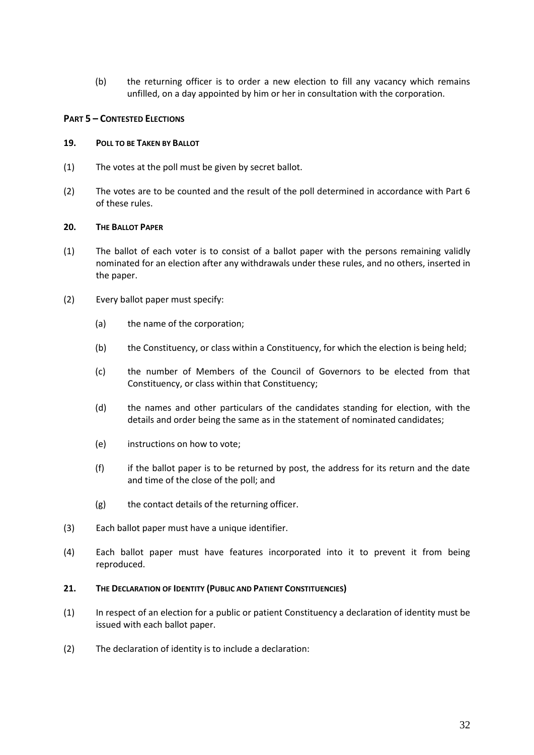(b) the returning officer is to order a new election to fill any vacancy which remains unfilled, on a day appointed by him or her in consultation with the corporation.

# **PART 5 – CONTESTED ELECTIONS**

## **19. POLL TO BE TAKEN BY BALLOT**

- (1) The votes at the poll must be given by secret ballot.
- (2) The votes are to be counted and the result of the poll determined in accordance with Part 6 of these rules.

### **20. THE BALLOT PAPER**

- (1) The ballot of each voter is to consist of a ballot paper with the persons remaining validly nominated for an election after any withdrawals under these rules, and no others, inserted in the paper.
- (2) Every ballot paper must specify:
	- (a) the name of the corporation;
	- (b) the Constituency, or class within a Constituency, for which the election is being held;
	- (c) the number of Members of the Council of Governors to be elected from that Constituency, or class within that Constituency;
	- (d) the names and other particulars of the candidates standing for election, with the details and order being the same as in the statement of nominated candidates;
	- (e) instructions on how to vote;
	- (f) if the ballot paper is to be returned by post, the address for its return and the date and time of the close of the poll; and
	- (g) the contact details of the returning officer.
- (3) Each ballot paper must have a unique identifier.
- (4) Each ballot paper must have features incorporated into it to prevent it from being reproduced.

### **21. THE DECLARATION OF IDENTITY (PUBLIC AND PATIENT CONSTITUENCIES)**

- (1) In respect of an election for a public or patient Constituency a declaration of identity must be issued with each ballot paper.
- (2) The declaration of identity is to include a declaration: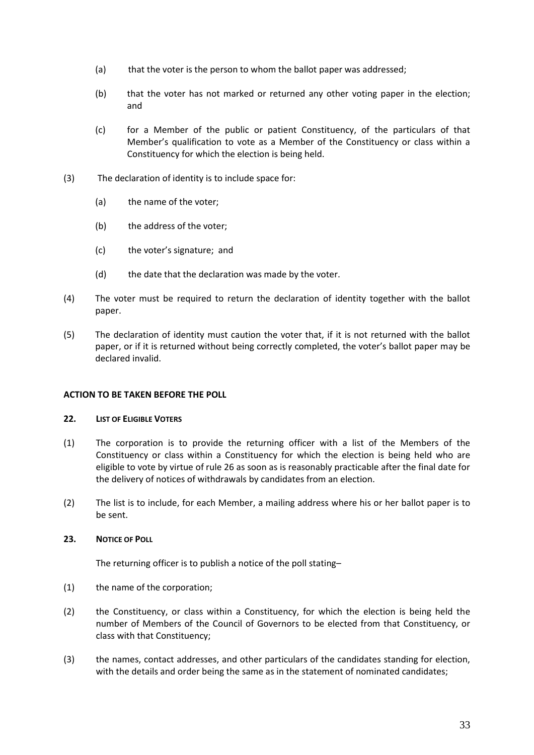- (a) that the voter is the person to whom the ballot paper was addressed;
- (b) that the voter has not marked or returned any other voting paper in the election; and
- (c) for a Member of the public or patient Constituency, of the particulars of that Member's qualification to vote as a Member of the Constituency or class within a Constituency for which the election is being held.
- (3) The declaration of identity is to include space for:
	- (a) the name of the voter;
	- (b) the address of the voter;
	- (c) the voter's signature; and
	- (d) the date that the declaration was made by the voter.
- (4) The voter must be required to return the declaration of identity together with the ballot paper.
- (5) The declaration of identity must caution the voter that, if it is not returned with the ballot paper, or if it is returned without being correctly completed, the voter's ballot paper may be declared invalid.

### **ACTION TO BE TAKEN BEFORE THE POLL**

### **22. LIST OF ELIGIBLE VOTERS**

- (1) The corporation is to provide the returning officer with a list of the Members of the Constituency or class within a Constituency for which the election is being held who are eligible to vote by virtue of rule 26 as soon as is reasonably practicable after the final date for the delivery of notices of withdrawals by candidates from an election.
- (2) The list is to include, for each Member, a mailing address where his or her ballot paper is to be sent.

### **23. NOTICE OF POLL**

The returning officer is to publish a notice of the poll stating–

- (1) the name of the corporation;
- (2) the Constituency, or class within a Constituency, for which the election is being held the number of Members of the Council of Governors to be elected from that Constituency, or class with that Constituency;
- (3) the names, contact addresses, and other particulars of the candidates standing for election, with the details and order being the same as in the statement of nominated candidates;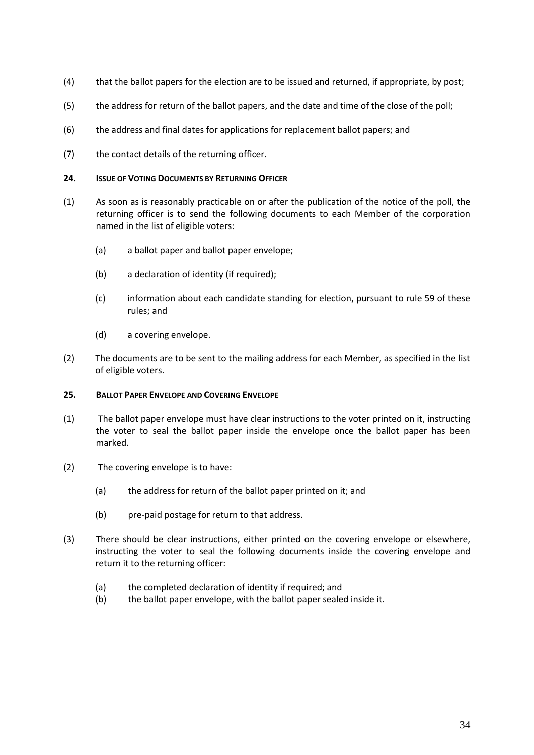- (4) that the ballot papers for the election are to be issued and returned, if appropriate, by post;
- (5) the address for return of the ballot papers, and the date and time of the close of the poll;
- (6) the address and final dates for applications for replacement ballot papers; and
- (7) the contact details of the returning officer.

### **24. ISSUE OF VOTING DOCUMENTS BY RETURNING OFFICER**

- (1) As soon as is reasonably practicable on or after the publication of the notice of the poll, the returning officer is to send the following documents to each Member of the corporation named in the list of eligible voters:
	- (a) a ballot paper and ballot paper envelope;
	- (b) a declaration of identity (if required);
	- (c) information about each candidate standing for election, pursuant to rule 59 of these rules; and
	- (d) a covering envelope.
- (2) The documents are to be sent to the mailing address for each Member, as specified in the list of eligible voters.

#### **25. BALLOT PAPER ENVELOPE AND COVERING ENVELOPE**

- (1) The ballot paper envelope must have clear instructions to the voter printed on it, instructing the voter to seal the ballot paper inside the envelope once the ballot paper has been marked.
- (2) The covering envelope is to have:
	- (a) the address for return of the ballot paper printed on it; and
	- (b) pre-paid postage for return to that address.
- (3) There should be clear instructions, either printed on the covering envelope or elsewhere, instructing the voter to seal the following documents inside the covering envelope and return it to the returning officer:
	- (a) the completed declaration of identity if required; and
	- (b) the ballot paper envelope, with the ballot paper sealed inside it.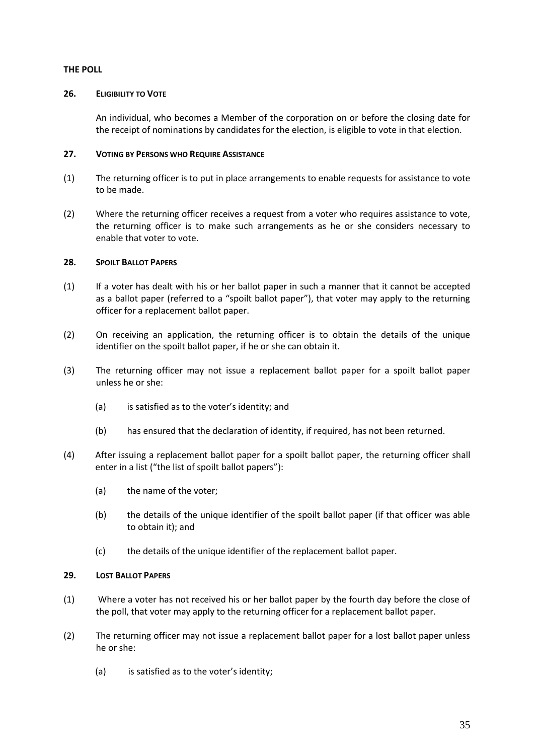### **THE POLL**

### **26. ELIGIBILITY TO VOTE**

An individual, who becomes a Member of the corporation on or before the closing date for the receipt of nominations by candidates for the election, is eligible to vote in that election.

# **27. VOTING BY PERSONS WHO REQUIRE ASSISTANCE**

- (1) The returning officer is to put in place arrangements to enable requests for assistance to vote to be made.
- (2) Where the returning officer receives a request from a voter who requires assistance to vote, the returning officer is to make such arrangements as he or she considers necessary to enable that voter to vote.

# **28. SPOILT BALLOT PAPERS**

- (1) If a voter has dealt with his or her ballot paper in such a manner that it cannot be accepted as a ballot paper (referred to a "spoilt ballot paper"), that voter may apply to the returning officer for a replacement ballot paper.
- (2) On receiving an application, the returning officer is to obtain the details of the unique identifier on the spoilt ballot paper, if he or she can obtain it.
- (3) The returning officer may not issue a replacement ballot paper for a spoilt ballot paper unless he or she:
	- (a) is satisfied as to the voter's identity; and
	- (b) has ensured that the declaration of identity, if required, has not been returned.
- (4) After issuing a replacement ballot paper for a spoilt ballot paper, the returning officer shall enter in a list ("the list of spoilt ballot papers"):
	- (a) the name of the voter;
	- (b) the details of the unique identifier of the spoilt ballot paper (if that officer was able to obtain it); and
	- (c) the details of the unique identifier of the replacement ballot paper.

### **29. LOST BALLOT PAPERS**

- (1) Where a voter has not received his or her ballot paper by the fourth day before the close of the poll, that voter may apply to the returning officer for a replacement ballot paper.
- (2) The returning officer may not issue a replacement ballot paper for a lost ballot paper unless he or she:
	- (a) is satisfied as to the voter's identity;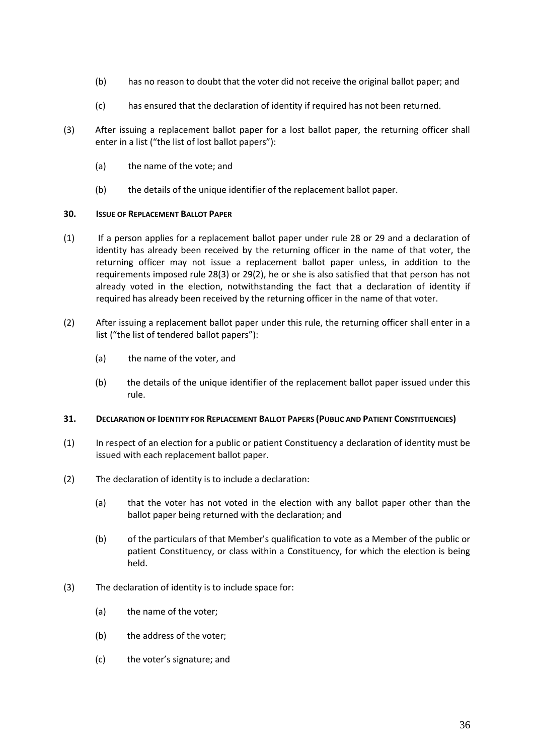- (b) has no reason to doubt that the voter did not receive the original ballot paper; and
- (c) has ensured that the declaration of identity if required has not been returned.
- (3) After issuing a replacement ballot paper for a lost ballot paper, the returning officer shall enter in a list ("the list of lost ballot papers"):
	- (a) the name of the vote; and
	- (b) the details of the unique identifier of the replacement ballot paper.

### **30. ISSUE OF REPLACEMENT BALLOT PAPER**

- (1) If a person applies for a replacement ballot paper under rule 28 or 29 and a declaration of identity has already been received by the returning officer in the name of that voter, the returning officer may not issue a replacement ballot paper unless, in addition to the requirements imposed rule 28(3) or 29(2), he or she is also satisfied that that person has not already voted in the election, notwithstanding the fact that a declaration of identity if required has already been received by the returning officer in the name of that voter.
- (2) After issuing a replacement ballot paper under this rule, the returning officer shall enter in a list ("the list of tendered ballot papers"):
	- (a) the name of the voter, and
	- (b) the details of the unique identifier of the replacement ballot paper issued under this rule.

### **31. DECLARATION OF IDENTITY FOR REPLACEMENT BALLOT PAPERS (PUBLIC AND PATIENT CONSTITUENCIES)**

- (1) In respect of an election for a public or patient Constituency a declaration of identity must be issued with each replacement ballot paper.
- (2) The declaration of identity is to include a declaration:
	- (a) that the voter has not voted in the election with any ballot paper other than the ballot paper being returned with the declaration; and
	- (b) of the particulars of that Member's qualification to vote as a Member of the public or patient Constituency, or class within a Constituency, for which the election is being held.
- (3) The declaration of identity is to include space for:
	- (a) the name of the voter;
	- (b) the address of the voter;
	- (c) the voter's signature; and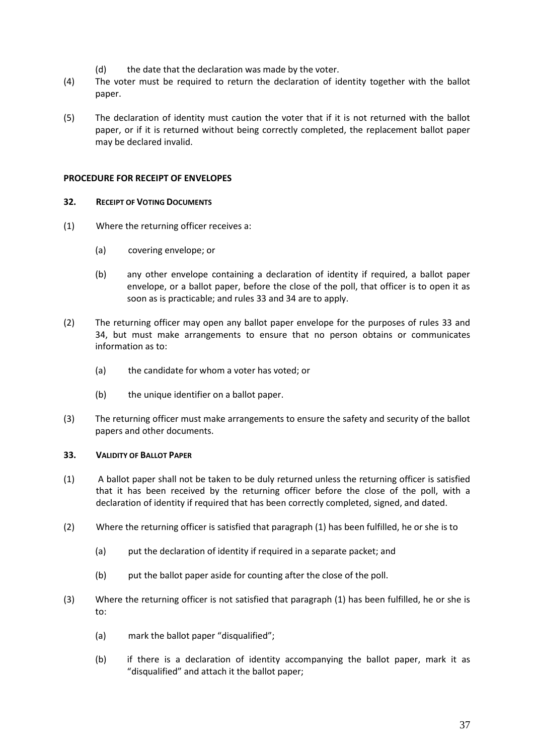- (d) the date that the declaration was made by the voter.
- (4) The voter must be required to return the declaration of identity together with the ballot paper.
- (5) The declaration of identity must caution the voter that if it is not returned with the ballot paper, or if it is returned without being correctly completed, the replacement ballot paper may be declared invalid.

### **PROCEDURE FOR RECEIPT OF ENVELOPES**

### **32. RECEIPT OF VOTING DOCUMENTS**

- (1) Where the returning officer receives a:
	- (a) covering envelope; or
	- (b) any other envelope containing a declaration of identity if required, a ballot paper envelope, or a ballot paper, before the close of the poll, that officer is to open it as soon as is practicable; and rules 33 and 34 are to apply.
- (2) The returning officer may open any ballot paper envelope for the purposes of rules 33 and 34, but must make arrangements to ensure that no person obtains or communicates information as to:
	- (a) the candidate for whom a voter has voted; or
	- (b) the unique identifier on a ballot paper.
- (3) The returning officer must make arrangements to ensure the safety and security of the ballot papers and other documents.

### **33. VALIDITY OF BALLOT PAPER**

- (1) A ballot paper shall not be taken to be duly returned unless the returning officer is satisfied that it has been received by the returning officer before the close of the poll, with a declaration of identity if required that has been correctly completed, signed, and dated.
- (2) Where the returning officer is satisfied that paragraph (1) has been fulfilled, he or she is to
	- (a) put the declaration of identity if required in a separate packet; and
	- (b) put the ballot paper aside for counting after the close of the poll.
- (3) Where the returning officer is not satisfied that paragraph (1) has been fulfilled, he or she is to:
	- (a) mark the ballot paper "disqualified";
	- (b) if there is a declaration of identity accompanying the ballot paper, mark it as "disqualified" and attach it the ballot paper;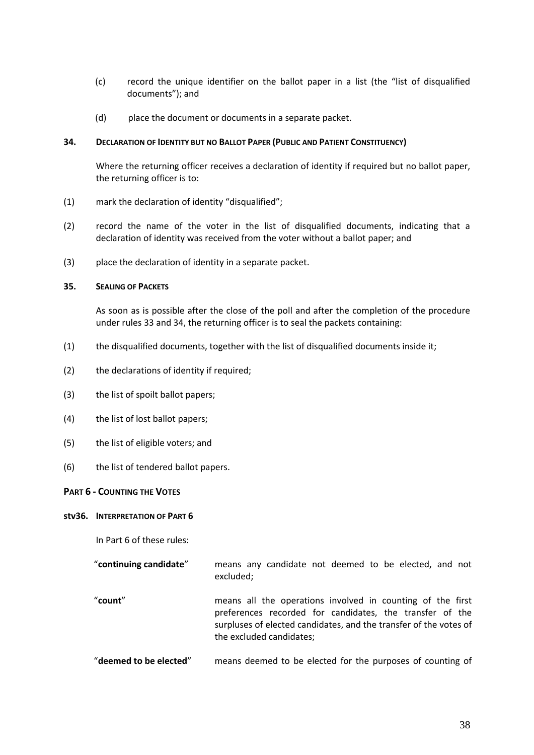- (c) record the unique identifier on the ballot paper in a list (the "list of disqualified documents"); and
- (d) place the document or documents in a separate packet.

#### **34. DECLARATION OF IDENTITY BUT NO BALLOT PAPER (PUBLIC AND PATIENT CONSTITUENCY)**

Where the returning officer receives a declaration of identity if required but no ballot paper, the returning officer is to:

- (1) mark the declaration of identity "disqualified";
- (2) record the name of the voter in the list of disqualified documents, indicating that a declaration of identity was received from the voter without a ballot paper; and
- (3) place the declaration of identity in a separate packet.

#### **35. SEALING OF PACKETS**

As soon as is possible after the close of the poll and after the completion of the procedure under rules 33 and 34, the returning officer is to seal the packets containing:

- (1) the disqualified documents, together with the list of disqualified documents inside it;
- (2) the declarations of identity if required;
- (3) the list of spoilt ballot papers;
- (4) the list of lost ballot papers;
- (5) the list of eligible voters; and
- (6) the list of tendered ballot papers.

#### **PART 6 - COUNTING THE VOTES**

#### **stv36. INTERPRETATION OF PART 6**

In Part 6 of these rules:

| "continuing candidate" |           | means any candidate not deemed to be elected, and not |  |  |  |  |
|------------------------|-----------|-------------------------------------------------------|--|--|--|--|
|                        | excluded: |                                                       |  |  |  |  |

- "**count**" means all the operations involved in counting of the first preferences recorded for candidates, the transfer of the surpluses of elected candidates, and the transfer of the votes of the excluded candidates;
- "**deemed to be elected**" means deemed to be elected for the purposes of counting of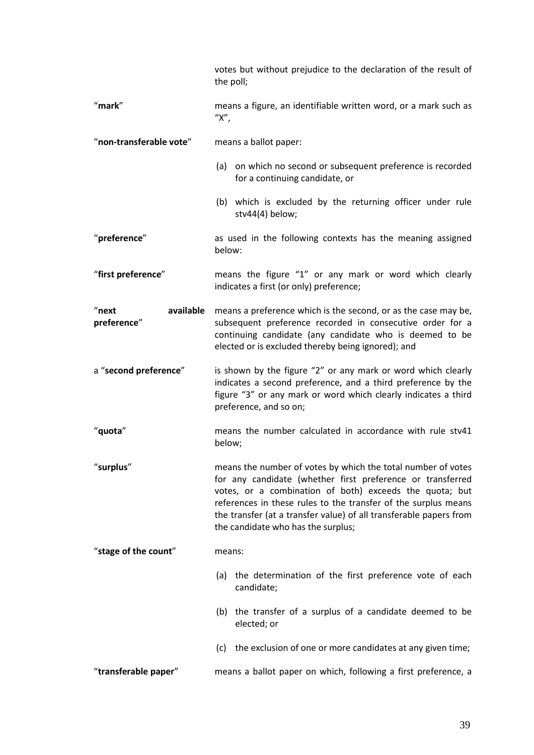|                                   | votes but without prejudice to the declaration of the result of<br>the poll;                                                                                                                                                                                                                                                                                        |  |  |  |
|-----------------------------------|---------------------------------------------------------------------------------------------------------------------------------------------------------------------------------------------------------------------------------------------------------------------------------------------------------------------------------------------------------------------|--|--|--|
| "mark"                            | means a figure, an identifiable written word, or a mark such as<br>" $X$ ",                                                                                                                                                                                                                                                                                         |  |  |  |
| "non-transferable vote"           | means a ballot paper:                                                                                                                                                                                                                                                                                                                                               |  |  |  |
|                                   | (a) on which no second or subsequent preference is recorded<br>for a continuing candidate, or                                                                                                                                                                                                                                                                       |  |  |  |
|                                   | (b) which is excluded by the returning officer under rule<br>stv44(4) below;                                                                                                                                                                                                                                                                                        |  |  |  |
| "preference"                      | as used in the following contexts has the meaning assigned<br>below:                                                                                                                                                                                                                                                                                                |  |  |  |
| "first preference"                | means the figure "1" or any mark or word which clearly<br>indicates a first (or only) preference;                                                                                                                                                                                                                                                                   |  |  |  |
| "next<br>available<br>preference" | means a preference which is the second, or as the case may be,<br>subsequent preference recorded in consecutive order for a<br>continuing candidate (any candidate who is deemed to be<br>elected or is excluded thereby being ignored); and                                                                                                                        |  |  |  |
| a "second preference"             | is shown by the figure "2" or any mark or word which clearly<br>indicates a second preference, and a third preference by the<br>figure "3" or any mark or word which clearly indicates a third<br>preference, and so on;                                                                                                                                            |  |  |  |
| "quota"                           | means the number calculated in accordance with rule stv41<br>below;                                                                                                                                                                                                                                                                                                 |  |  |  |
| "surplus"                         | means the number of votes by which the total number of votes<br>for any candidate (whether first preference or transferred<br>votes, or a combination of both) exceeds the quota; but<br>references in these rules to the transfer of the surplus means<br>the transfer (at a transfer value) of all transferable papers from<br>the candidate who has the surplus; |  |  |  |
| "stage of the count"              | means:                                                                                                                                                                                                                                                                                                                                                              |  |  |  |
|                                   | the determination of the first preference vote of each<br>(a)<br>candidate;                                                                                                                                                                                                                                                                                         |  |  |  |
|                                   | (b) the transfer of a surplus of a candidate deemed to be<br>elected; or                                                                                                                                                                                                                                                                                            |  |  |  |
|                                   | (c) the exclusion of one or more candidates at any given time;                                                                                                                                                                                                                                                                                                      |  |  |  |
| "transferable paper"              | means a ballot paper on which, following a first preference, a                                                                                                                                                                                                                                                                                                      |  |  |  |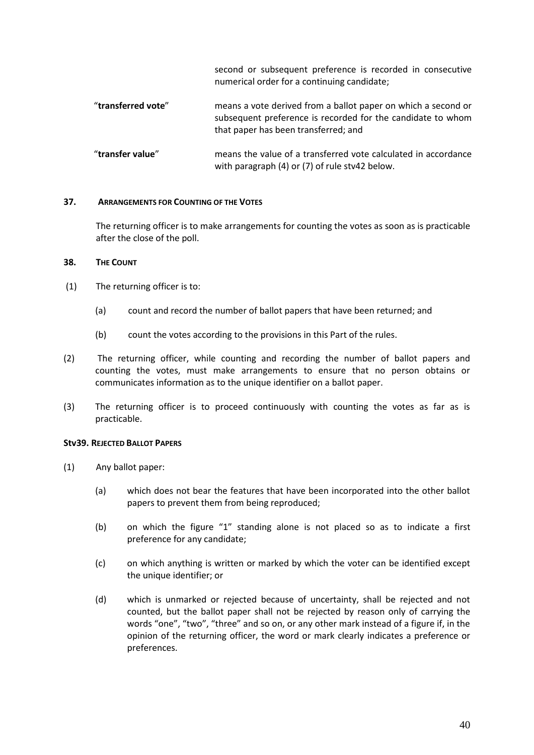second or subsequent preference is recorded in consecutive numerical order for a continuing candidate;

- "**transferred vote**" means a vote derived from a ballot paper on which a second or subsequent preference is recorded for the candidate to whom that paper has been transferred; and
- "**transfer value**" means the value of a transferred vote calculated in accordance with paragraph (4) or (7) of rule stv42 below.

### **37. ARRANGEMENTS FOR COUNTING OF THE VOTES**

The returning officer is to make arrangements for counting the votes as soon as is practicable after the close of the poll.

# **38. THE COUNT**

- (1) The returning officer is to:
	- (a) count and record the number of ballot papers that have been returned; and
	- (b) count the votes according to the provisions in this Part of the rules.
- (2) The returning officer, while counting and recording the number of ballot papers and counting the votes, must make arrangements to ensure that no person obtains or communicates information as to the unique identifier on a ballot paper.
- (3) The returning officer is to proceed continuously with counting the votes as far as is practicable.

### **Stv39. REJECTED BALLOT PAPERS**

- (1) Any ballot paper:
	- (a) which does not bear the features that have been incorporated into the other ballot papers to prevent them from being reproduced;
	- (b) on which the figure "1" standing alone is not placed so as to indicate a first preference for any candidate;
	- (c) on which anything is written or marked by which the voter can be identified except the unique identifier; or
	- (d) which is unmarked or rejected because of uncertainty, shall be rejected and not counted, but the ballot paper shall not be rejected by reason only of carrying the words "one", "two", "three" and so on, or any other mark instead of a figure if, in the opinion of the returning officer, the word or mark clearly indicates a preference or preferences.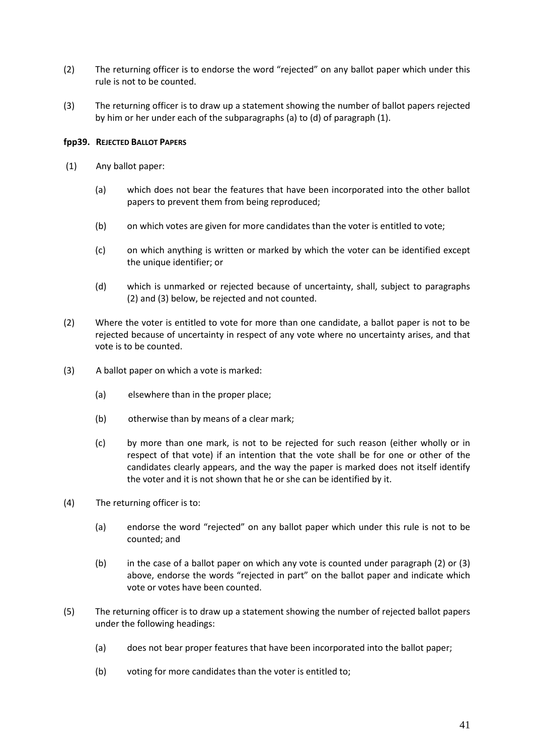- (2) The returning officer is to endorse the word "rejected" on any ballot paper which under this rule is not to be counted.
- (3) The returning officer is to draw up a statement showing the number of ballot papers rejected by him or her under each of the subparagraphs (a) to (d) of paragraph (1).

# **fpp39. REJECTED BALLOT PAPERS**

- (1) Any ballot paper:
	- (a) which does not bear the features that have been incorporated into the other ballot papers to prevent them from being reproduced;
	- (b) on which votes are given for more candidates than the voter is entitled to vote;
	- (c) on which anything is written or marked by which the voter can be identified except the unique identifier; or
	- (d) which is unmarked or rejected because of uncertainty, shall, subject to paragraphs (2) and (3) below, be rejected and not counted.
- (2) Where the voter is entitled to vote for more than one candidate, a ballot paper is not to be rejected because of uncertainty in respect of any vote where no uncertainty arises, and that vote is to be counted.
- (3) A ballot paper on which a vote is marked:
	- (a) elsewhere than in the proper place;
	- (b) otherwise than by means of a clear mark;
	- (c) by more than one mark, is not to be rejected for such reason (either wholly or in respect of that vote) if an intention that the vote shall be for one or other of the candidates clearly appears, and the way the paper is marked does not itself identify the voter and it is not shown that he or she can be identified by it.
- (4) The returning officer is to:
	- (a) endorse the word "rejected" on any ballot paper which under this rule is not to be counted; and
	- (b) in the case of a ballot paper on which any vote is counted under paragraph (2) or (3) above, endorse the words "rejected in part" on the ballot paper and indicate which vote or votes have been counted.
- (5) The returning officer is to draw up a statement showing the number of rejected ballot papers under the following headings:
	- (a) does not bear proper features that have been incorporated into the ballot paper;
	- (b) voting for more candidates than the voter is entitled to;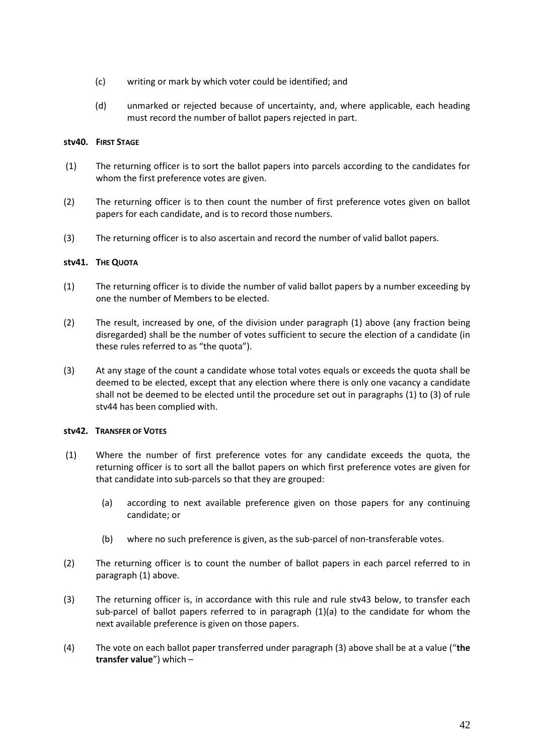- (c) writing or mark by which voter could be identified; and
- (d) unmarked or rejected because of uncertainty, and, where applicable, each heading must record the number of ballot papers rejected in part.

### **stv40. FIRST STAGE**

- (1) The returning officer is to sort the ballot papers into parcels according to the candidates for whom the first preference votes are given.
- (2) The returning officer is to then count the number of first preference votes given on ballot papers for each candidate, and is to record those numbers.
- (3) The returning officer is to also ascertain and record the number of valid ballot papers.

# **stv41. THE QUOTA**

- (1) The returning officer is to divide the number of valid ballot papers by a number exceeding by one the number of Members to be elected.
- (2) The result, increased by one, of the division under paragraph (1) above (any fraction being disregarded) shall be the number of votes sufficient to secure the election of a candidate (in these rules referred to as "the quota").
- (3) At any stage of the count a candidate whose total votes equals or exceeds the quota shall be deemed to be elected, except that any election where there is only one vacancy a candidate shall not be deemed to be elected until the procedure set out in paragraphs (1) to (3) of rule stv44 has been complied with.

### **stv42. TRANSFER OF VOTES**

- (1) Where the number of first preference votes for any candidate exceeds the quota, the returning officer is to sort all the ballot papers on which first preference votes are given for that candidate into sub-parcels so that they are grouped:
	- (a) according to next available preference given on those papers for any continuing candidate; or
	- (b) where no such preference is given, as the sub-parcel of non-transferable votes.
- (2) The returning officer is to count the number of ballot papers in each parcel referred to in paragraph (1) above.
- (3) The returning officer is, in accordance with this rule and rule stv43 below, to transfer each sub-parcel of ballot papers referred to in paragraph (1)(a) to the candidate for whom the next available preference is given on those papers.
- (4) The vote on each ballot paper transferred under paragraph (3) above shall be at a value ("**the transfer value**") which –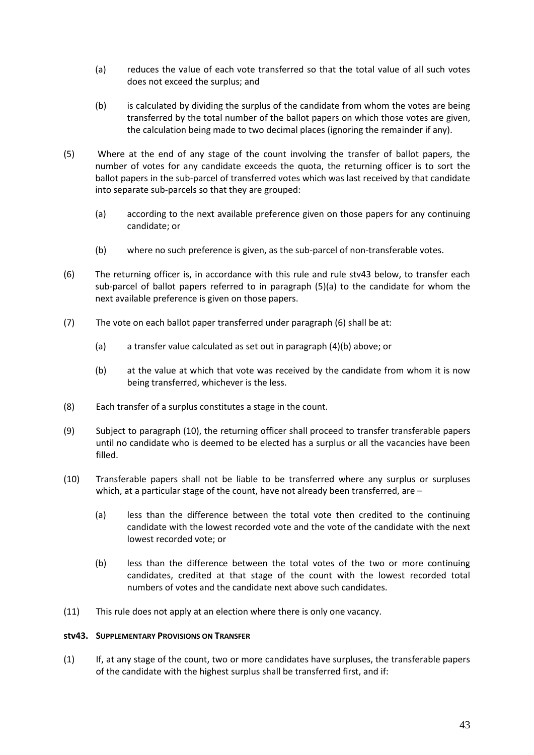- (a) reduces the value of each vote transferred so that the total value of all such votes does not exceed the surplus; and
- (b) is calculated by dividing the surplus of the candidate from whom the votes are being transferred by the total number of the ballot papers on which those votes are given, the calculation being made to two decimal places (ignoring the remainder if any).
- (5) Where at the end of any stage of the count involving the transfer of ballot papers, the number of votes for any candidate exceeds the quota, the returning officer is to sort the ballot papers in the sub-parcel of transferred votes which was last received by that candidate into separate sub-parcels so that they are grouped:
	- (a) according to the next available preference given on those papers for any continuing candidate; or
	- (b) where no such preference is given, as the sub-parcel of non-transferable votes.
- (6) The returning officer is, in accordance with this rule and rule stv43 below, to transfer each sub-parcel of ballot papers referred to in paragraph (5)(a) to the candidate for whom the next available preference is given on those papers.
- (7) The vote on each ballot paper transferred under paragraph (6) shall be at:
	- (a) a transfer value calculated as set out in paragraph (4)(b) above; or
	- (b) at the value at which that vote was received by the candidate from whom it is now being transferred, whichever is the less.
- (8) Each transfer of a surplus constitutes a stage in the count.
- (9) Subject to paragraph (10), the returning officer shall proceed to transfer transferable papers until no candidate who is deemed to be elected has a surplus or all the vacancies have been filled.
- (10) Transferable papers shall not be liable to be transferred where any surplus or surpluses which, at a particular stage of the count, have not already been transferred, are -
	- (a) less than the difference between the total vote then credited to the continuing candidate with the lowest recorded vote and the vote of the candidate with the next lowest recorded vote; or
	- (b) less than the difference between the total votes of the two or more continuing candidates, credited at that stage of the count with the lowest recorded total numbers of votes and the candidate next above such candidates.
- (11) This rule does not apply at an election where there is only one vacancy.

### **stv43. SUPPLEMENTARY PROVISIONS ON TRANSFER**

(1) If, at any stage of the count, two or more candidates have surpluses, the transferable papers of the candidate with the highest surplus shall be transferred first, and if: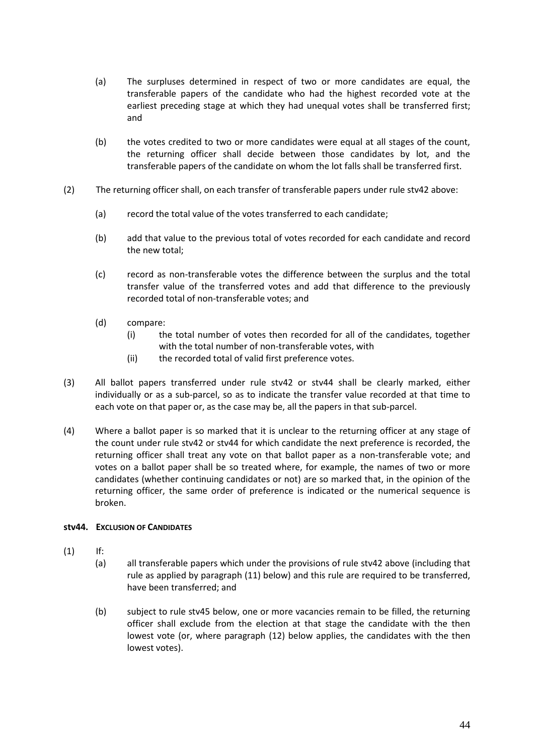- (a) The surpluses determined in respect of two or more candidates are equal, the transferable papers of the candidate who had the highest recorded vote at the earliest preceding stage at which they had unequal votes shall be transferred first; and
- (b) the votes credited to two or more candidates were equal at all stages of the count, the returning officer shall decide between those candidates by lot, and the transferable papers of the candidate on whom the lot falls shall be transferred first.
- (2) The returning officer shall, on each transfer of transferable papers under rule stv42 above:
	- (a) record the total value of the votes transferred to each candidate;
	- (b) add that value to the previous total of votes recorded for each candidate and record the new total;
	- (c) record as non-transferable votes the difference between the surplus and the total transfer value of the transferred votes and add that difference to the previously recorded total of non-transferable votes; and
	- (d) compare:
		- (i) the total number of votes then recorded for all of the candidates, together with the total number of non-transferable votes, with
		- (ii) the recorded total of valid first preference votes.
- (3) All ballot papers transferred under rule stv42 or stv44 shall be clearly marked, either individually or as a sub-parcel, so as to indicate the transfer value recorded at that time to each vote on that paper or, as the case may be, all the papers in that sub-parcel.
- (4) Where a ballot paper is so marked that it is unclear to the returning officer at any stage of the count under rule stv42 or stv44 for which candidate the next preference is recorded, the returning officer shall treat any vote on that ballot paper as a non-transferable vote; and votes on a ballot paper shall be so treated where, for example, the names of two or more candidates (whether continuing candidates or not) are so marked that, in the opinion of the returning officer, the same order of preference is indicated or the numerical sequence is broken.

### **stv44. EXCLUSION OF CANDIDATES**

- (1) If:
	- (a) all transferable papers which under the provisions of rule stv42 above (including that rule as applied by paragraph (11) below) and this rule are required to be transferred, have been transferred; and
	- (b) subject to rule stv45 below, one or more vacancies remain to be filled, the returning officer shall exclude from the election at that stage the candidate with the then lowest vote (or, where paragraph (12) below applies, the candidates with the then lowest votes).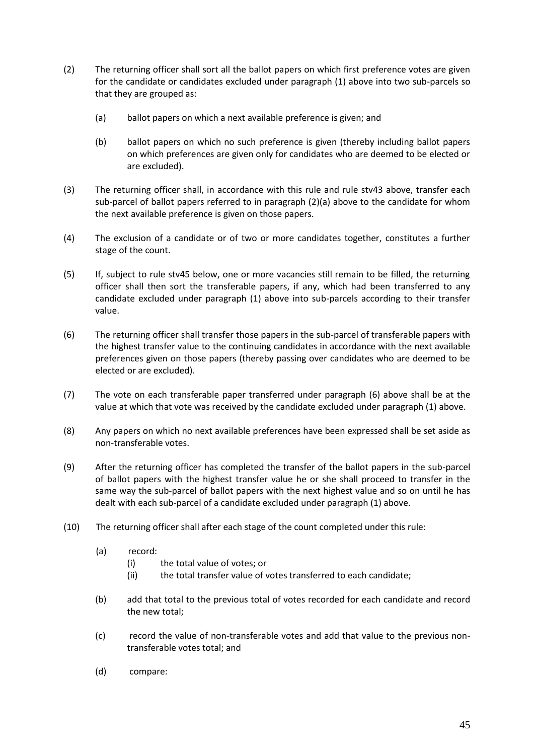- (2) The returning officer shall sort all the ballot papers on which first preference votes are given for the candidate or candidates excluded under paragraph (1) above into two sub-parcels so that they are grouped as:
	- (a) ballot papers on which a next available preference is given; and
	- (b) ballot papers on which no such preference is given (thereby including ballot papers on which preferences are given only for candidates who are deemed to be elected or are excluded).
- (3) The returning officer shall, in accordance with this rule and rule stv43 above, transfer each sub-parcel of ballot papers referred to in paragraph (2)(a) above to the candidate for whom the next available preference is given on those papers.
- (4) The exclusion of a candidate or of two or more candidates together, constitutes a further stage of the count.
- (5) If, subject to rule stv45 below, one or more vacancies still remain to be filled, the returning officer shall then sort the transferable papers, if any, which had been transferred to any candidate excluded under paragraph (1) above into sub-parcels according to their transfer value.
- (6) The returning officer shall transfer those papers in the sub-parcel of transferable papers with the highest transfer value to the continuing candidates in accordance with the next available preferences given on those papers (thereby passing over candidates who are deemed to be elected or are excluded).
- (7) The vote on each transferable paper transferred under paragraph (6) above shall be at the value at which that vote was received by the candidate excluded under paragraph (1) above.
- (8) Any papers on which no next available preferences have been expressed shall be set aside as non-transferable votes.
- (9) After the returning officer has completed the transfer of the ballot papers in the sub-parcel of ballot papers with the highest transfer value he or she shall proceed to transfer in the same way the sub-parcel of ballot papers with the next highest value and so on until he has dealt with each sub-parcel of a candidate excluded under paragraph (1) above.
- (10) The returning officer shall after each stage of the count completed under this rule:
	- (a) record:
		- (i) the total value of votes; or
		- (ii) the total transfer value of votes transferred to each candidate;
	- (b) add that total to the previous total of votes recorded for each candidate and record the new total;
	- (c) record the value of non-transferable votes and add that value to the previous nontransferable votes total; and
	- (d) compare: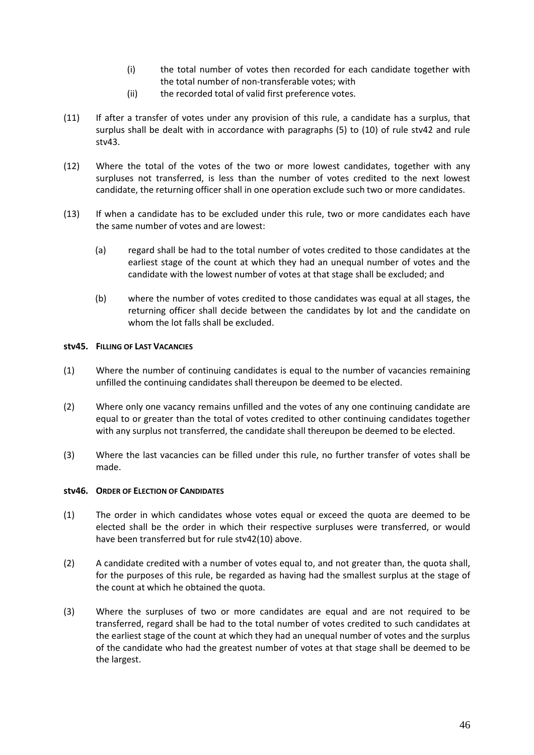- (i) the total number of votes then recorded for each candidate together with the total number of non-transferable votes; with
- (ii) the recorded total of valid first preference votes.
- (11) If after a transfer of votes under any provision of this rule, a candidate has a surplus, that surplus shall be dealt with in accordance with paragraphs (5) to (10) of rule stv42 and rule stv43.
- (12) Where the total of the votes of the two or more lowest candidates, together with any surpluses not transferred, is less than the number of votes credited to the next lowest candidate, the returning officer shall in one operation exclude such two or more candidates.
- (13) If when a candidate has to be excluded under this rule, two or more candidates each have the same number of votes and are lowest:
	- (a) regard shall be had to the total number of votes credited to those candidates at the earliest stage of the count at which they had an unequal number of votes and the candidate with the lowest number of votes at that stage shall be excluded; and
	- (b) where the number of votes credited to those candidates was equal at all stages, the returning officer shall decide between the candidates by lot and the candidate on whom the lot falls shall be excluded.

# **stv45. FILLING OF LAST VACANCIES**

- (1) Where the number of continuing candidates is equal to the number of vacancies remaining unfilled the continuing candidates shall thereupon be deemed to be elected.
- (2) Where only one vacancy remains unfilled and the votes of any one continuing candidate are equal to or greater than the total of votes credited to other continuing candidates together with any surplus not transferred, the candidate shall thereupon be deemed to be elected.
- (3) Where the last vacancies can be filled under this rule, no further transfer of votes shall be made.

### **stv46. ORDER OF ELECTION OF CANDIDATES**

- (1) The order in which candidates whose votes equal or exceed the quota are deemed to be elected shall be the order in which their respective surpluses were transferred, or would have been transferred but for rule stv42(10) above.
- (2) A candidate credited with a number of votes equal to, and not greater than, the quota shall, for the purposes of this rule, be regarded as having had the smallest surplus at the stage of the count at which he obtained the quota.
- (3) Where the surpluses of two or more candidates are equal and are not required to be transferred, regard shall be had to the total number of votes credited to such candidates at the earliest stage of the count at which they had an unequal number of votes and the surplus of the candidate who had the greatest number of votes at that stage shall be deemed to be the largest.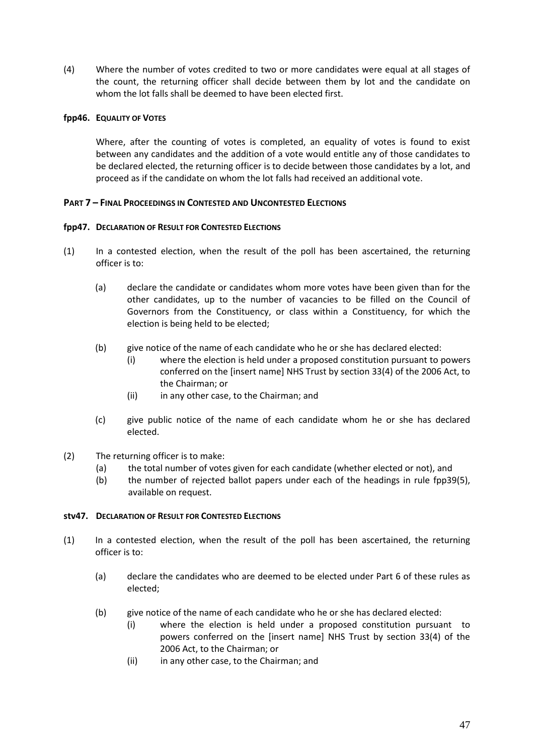(4) Where the number of votes credited to two or more candidates were equal at all stages of the count, the returning officer shall decide between them by lot and the candidate on whom the lot falls shall be deemed to have been elected first.

# **fpp46. EQUALITY OF VOTES**

Where, after the counting of votes is completed, an equality of votes is found to exist between any candidates and the addition of a vote would entitle any of those candidates to be declared elected, the returning officer is to decide between those candidates by a lot, and proceed as if the candidate on whom the lot falls had received an additional vote.

# **PART 7 – FINAL PROCEEDINGS IN CONTESTED AND UNCONTESTED ELECTIONS**

### **fpp47. DECLARATION OF RESULT FOR CONTESTED ELECTIONS**

- (1) In a contested election, when the result of the poll has been ascertained, the returning officer is to:
	- (a) declare the candidate or candidates whom more votes have been given than for the other candidates, up to the number of vacancies to be filled on the Council of Governors from the Constituency, or class within a Constituency, for which the election is being held to be elected;
	- (b) give notice of the name of each candidate who he or she has declared elected:
		- (i) where the election is held under a proposed constitution pursuant to powers conferred on the [insert name] NHS Trust by section 33(4) of the 2006 Act, to the Chairman; or
		- (ii) in any other case, to the Chairman; and
	- (c) give public notice of the name of each candidate whom he or she has declared elected.
- (2) The returning officer is to make:
	- (a) the total number of votes given for each candidate (whether elected or not), and
	- (b) the number of rejected ballot papers under each of the headings in rule fpp39(5), available on request.

# **stv47. DECLARATION OF RESULT FOR CONTESTED ELECTIONS**

- (1) In a contested election, when the result of the poll has been ascertained, the returning officer is to:
	- (a) declare the candidates who are deemed to be elected under Part 6 of these rules as elected;
	- (b) give notice of the name of each candidate who he or she has declared elected:
		- (i) where the election is held under a proposed constitution pursuant to powers conferred on the [insert name] NHS Trust by section 33(4) of the 2006 Act, to the Chairman; or
		- (ii) in any other case, to the Chairman; and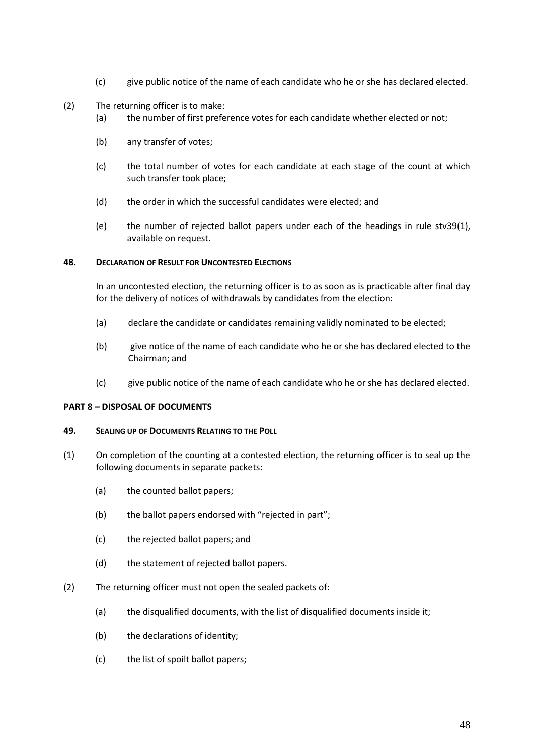- (c) give public notice of the name of each candidate who he or she has declared elected.
- (2) The returning officer is to make:
	- (a) the number of first preference votes for each candidate whether elected or not;
	- (b) any transfer of votes;
	- (c) the total number of votes for each candidate at each stage of the count at which such transfer took place;
	- (d) the order in which the successful candidates were elected; and
	- (e) the number of rejected ballot papers under each of the headings in rule stv39(1), available on request.

#### **48. DECLARATION OF RESULT FOR UNCONTESTED ELECTIONS**

In an uncontested election, the returning officer is to as soon as is practicable after final day for the delivery of notices of withdrawals by candidates from the election:

- (a) declare the candidate or candidates remaining validly nominated to be elected;
- (b) give notice of the name of each candidate who he or she has declared elected to the Chairman; and
- (c) give public notice of the name of each candidate who he or she has declared elected.

# **PART 8 – DISPOSAL OF DOCUMENTS**

#### **49. SEALING UP OF DOCUMENTS RELATING TO THE POLL**

- (1) On completion of the counting at a contested election, the returning officer is to seal up the following documents in separate packets:
	- (a) the counted ballot papers;
	- (b) the ballot papers endorsed with "rejected in part";
	- (c) the rejected ballot papers; and
	- (d) the statement of rejected ballot papers.
- (2) The returning officer must not open the sealed packets of:
	- (a) the disqualified documents, with the list of disqualified documents inside it;
	- (b) the declarations of identity;
	- (c) the list of spoilt ballot papers;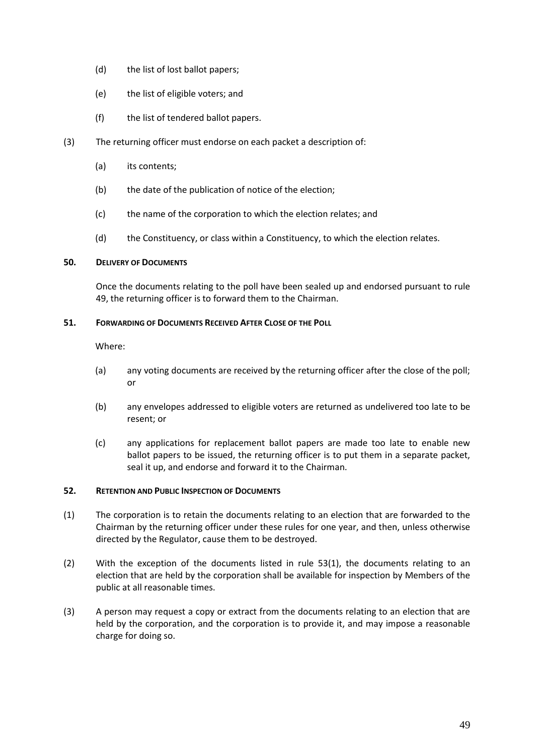- (d) the list of lost ballot papers;
- (e) the list of eligible voters; and
- (f) the list of tendered ballot papers.
- (3) The returning officer must endorse on each packet a description of:
	- (a) its contents;
	- (b) the date of the publication of notice of the election;
	- (c) the name of the corporation to which the election relates; and
	- (d) the Constituency, or class within a Constituency, to which the election relates.

### **50. DELIVERY OF DOCUMENTS**

Once the documents relating to the poll have been sealed up and endorsed pursuant to rule 49, the returning officer is to forward them to the Chairman.

### **51. FORWARDING OF DOCUMENTS RECEIVED AFTER CLOSE OF THE POLL**

Where:

- (a) any voting documents are received by the returning officer after the close of the poll; or
- (b) any envelopes addressed to eligible voters are returned as undelivered too late to be resent; or
- (c) any applications for replacement ballot papers are made too late to enable new ballot papers to be issued, the returning officer is to put them in a separate packet, seal it up, and endorse and forward it to the Chairman.

### **52. RETENTION AND PUBLIC INSPECTION OF DOCUMENTS**

- (1) The corporation is to retain the documents relating to an election that are forwarded to the Chairman by the returning officer under these rules for one year, and then, unless otherwise directed by the Regulator, cause them to be destroyed.
- (2) With the exception of the documents listed in rule 53(1), the documents relating to an election that are held by the corporation shall be available for inspection by Members of the public at all reasonable times.
- (3) A person may request a copy or extract from the documents relating to an election that are held by the corporation, and the corporation is to provide it, and may impose a reasonable charge for doing so.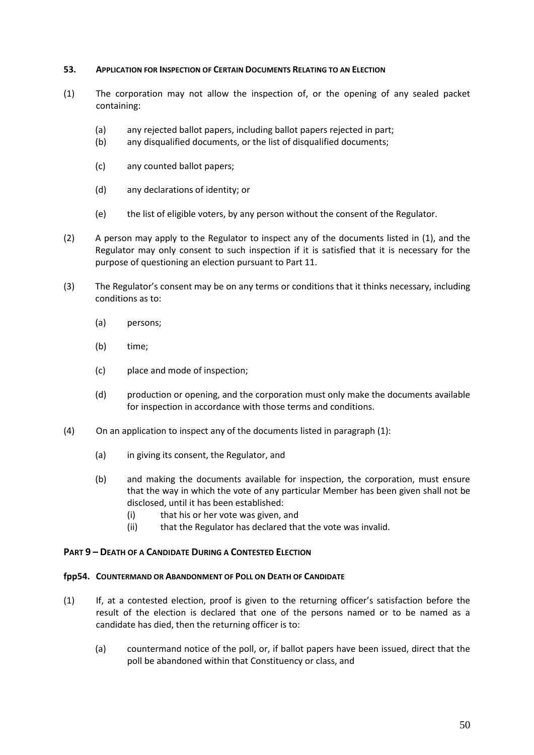### **53. APPLICATION FOR INSPECTION OF CERTAIN DOCUMENTS RELATING TO AN ELECTION**

- (1) The corporation may not allow the inspection of, or the opening of any sealed packet containing:
	- (a) any rejected ballot papers, including ballot papers rejected in part;
	- (b) any disqualified documents, or the list of disqualified documents;
	- (c) any counted ballot papers;
	- (d) any declarations of identity; or
	- (e) the list of eligible voters, by any person without the consent of the Regulator.
- (2) A person may apply to the Regulator to inspect any of the documents listed in (1), and the Regulator may only consent to such inspection if it is satisfied that it is necessary for the purpose of questioning an election pursuant to Part 11.
- (3) The Regulator's consent may be on any terms or conditions that it thinks necessary, including conditions as to:
	- (a) persons;
	- (b) time;
	- (c) place and mode of inspection;
	- (d) production or opening, and the corporation must only make the documents available for inspection in accordance with those terms and conditions.
- (4) On an application to inspect any of the documents listed in paragraph (1):
	- (a) in giving its consent, the Regulator, and
	- (b) and making the documents available for inspection, the corporation, must ensure that the way in which the vote of any particular Member has been given shall not be disclosed, until it has been established:
		- (i) that his or her vote was given, and
		- (ii) that the Regulator has declared that the vote was invalid.

### **PART 9 – DEATH OF A CANDIDATE DURING A CONTESTED ELECTION**

### **fpp54. COUNTERMAND OR ABANDONMENT OF POLL ON DEATH OF CANDIDATE**

- (1) If, at a contested election, proof is given to the returning officer's satisfaction before the result of the election is declared that one of the persons named or to be named as a candidate has died, then the returning officer is to:
	- (a) countermand notice of the poll, or, if ballot papers have been issued, direct that the poll be abandoned within that Constituency or class, and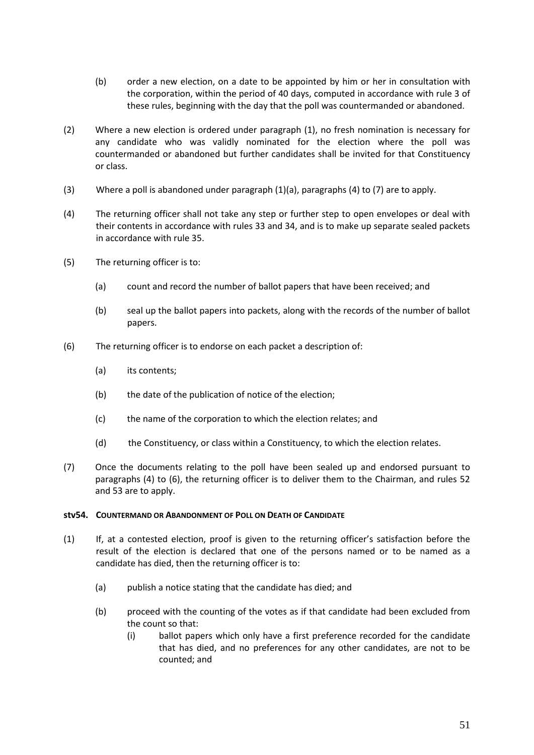- (b) order a new election, on a date to be appointed by him or her in consultation with the corporation, within the period of 40 days, computed in accordance with rule 3 of these rules, beginning with the day that the poll was countermanded or abandoned.
- (2) Where a new election is ordered under paragraph (1), no fresh nomination is necessary for any candidate who was validly nominated for the election where the poll was countermanded or abandoned but further candidates shall be invited for that Constituency or class.
- (3) Where a poll is abandoned under paragraph (1)(a), paragraphs (4) to (7) are to apply.
- (4) The returning officer shall not take any step or further step to open envelopes or deal with their contents in accordance with rules 33 and 34, and is to make up separate sealed packets in accordance with rule 35.
- (5) The returning officer is to:
	- (a) count and record the number of ballot papers that have been received; and
	- (b) seal up the ballot papers into packets, along with the records of the number of ballot papers.
- (6) The returning officer is to endorse on each packet a description of:
	- (a) its contents;
	- (b) the date of the publication of notice of the election;
	- (c) the name of the corporation to which the election relates; and
	- (d) the Constituency, or class within a Constituency, to which the election relates.
- (7) Once the documents relating to the poll have been sealed up and endorsed pursuant to paragraphs (4) to (6), the returning officer is to deliver them to the Chairman, and rules 52 and 53 are to apply.

### **stv54. COUNTERMAND OR ABANDONMENT OF POLL ON DEATH OF CANDIDATE**

- (1) If, at a contested election, proof is given to the returning officer's satisfaction before the result of the election is declared that one of the persons named or to be named as a candidate has died, then the returning officer is to:
	- (a) publish a notice stating that the candidate has died; and
	- (b) proceed with the counting of the votes as if that candidate had been excluded from the count so that:
		- (i) ballot papers which only have a first preference recorded for the candidate that has died, and no preferences for any other candidates, are not to be counted; and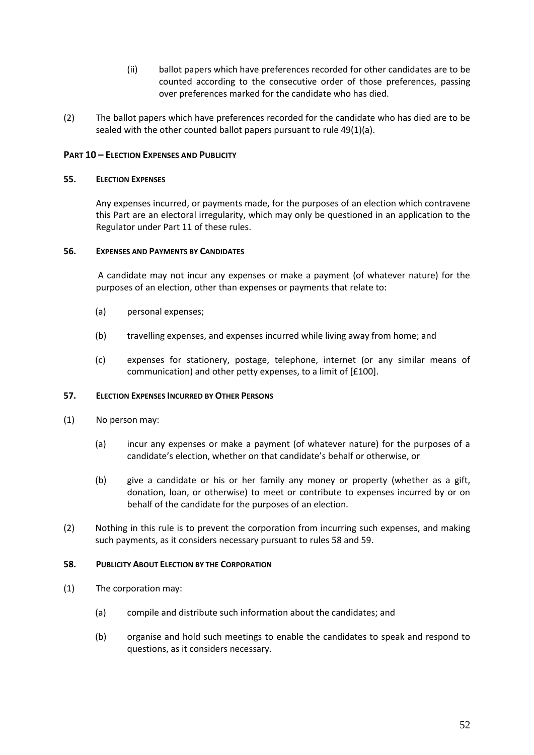- (ii) ballot papers which have preferences recorded for other candidates are to be counted according to the consecutive order of those preferences, passing over preferences marked for the candidate who has died.
- (2) The ballot papers which have preferences recorded for the candidate who has died are to be sealed with the other counted ballot papers pursuant to rule 49(1)(a).

# **PART 10 – ELECTION EXPENSES AND PUBLICITY**

### **55. ELECTION EXPENSES**

Any expenses incurred, or payments made, for the purposes of an election which contravene this Part are an electoral irregularity, which may only be questioned in an application to the Regulator under Part 11 of these rules.

#### **56. EXPENSES AND PAYMENTS BY CANDIDATES**

A candidate may not incur any expenses or make a payment (of whatever nature) for the purposes of an election, other than expenses or payments that relate to:

- (a) personal expenses;
- (b) travelling expenses, and expenses incurred while living away from home; and
- (c) expenses for stationery, postage, telephone, internet (or any similar means of communication) and other petty expenses, to a limit of [£100].

### **57. ELECTION EXPENSES INCURRED BY OTHER PERSONS**

- (1) No person may:
	- (a) incur any expenses or make a payment (of whatever nature) for the purposes of a candidate's election, whether on that candidate's behalf or otherwise, or
	- (b) give a candidate or his or her family any money or property (whether as a gift, donation, loan, or otherwise) to meet or contribute to expenses incurred by or on behalf of the candidate for the purposes of an election.
- (2) Nothing in this rule is to prevent the corporation from incurring such expenses, and making such payments, as it considers necessary pursuant to rules 58 and 59.

### **58. PUBLICITY ABOUT ELECTION BY THE CORPORATION**

- (1) The corporation may:
	- (a) compile and distribute such information about the candidates; and
	- (b) organise and hold such meetings to enable the candidates to speak and respond to questions, as it considers necessary.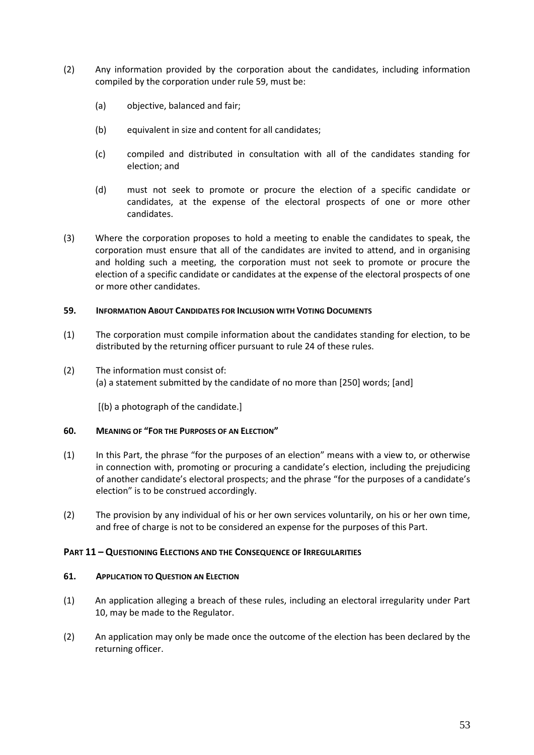- (2) Any information provided by the corporation about the candidates, including information compiled by the corporation under rule 59, must be:
	- (a) objective, balanced and fair;
	- (b) equivalent in size and content for all candidates;
	- (c) compiled and distributed in consultation with all of the candidates standing for election; and
	- (d) must not seek to promote or procure the election of a specific candidate or candidates, at the expense of the electoral prospects of one or more other candidates.
- (3) Where the corporation proposes to hold a meeting to enable the candidates to speak, the corporation must ensure that all of the candidates are invited to attend, and in organising and holding such a meeting, the corporation must not seek to promote or procure the election of a specific candidate or candidates at the expense of the electoral prospects of one or more other candidates.

### **59. INFORMATION ABOUT CANDIDATES FOR INCLUSION WITH VOTING DOCUMENTS**

- (1) The corporation must compile information about the candidates standing for election, to be distributed by the returning officer pursuant to rule 24 of these rules.
- (2) The information must consist of: (a) a statement submitted by the candidate of no more than [250] words; [and]

[(b) a photograph of the candidate.]

### **60. MEANING OF "FOR THE PURPOSES OF AN ELECTION"**

- (1) In this Part, the phrase "for the purposes of an election" means with a view to, or otherwise in connection with, promoting or procuring a candidate's election, including the prejudicing of another candidate's electoral prospects; and the phrase "for the purposes of a candidate's election" is to be construed accordingly.
- (2) The provision by any individual of his or her own services voluntarily, on his or her own time, and free of charge is not to be considered an expense for the purposes of this Part.

### **PART 11 – QUESTIONING ELECTIONS AND THE CONSEQUENCE OF IRREGULARITIES**

### **61. APPLICATION TO QUESTION AN ELECTION**

- (1) An application alleging a breach of these rules, including an electoral irregularity under Part 10, may be made to the Regulator.
- (2) An application may only be made once the outcome of the election has been declared by the returning officer.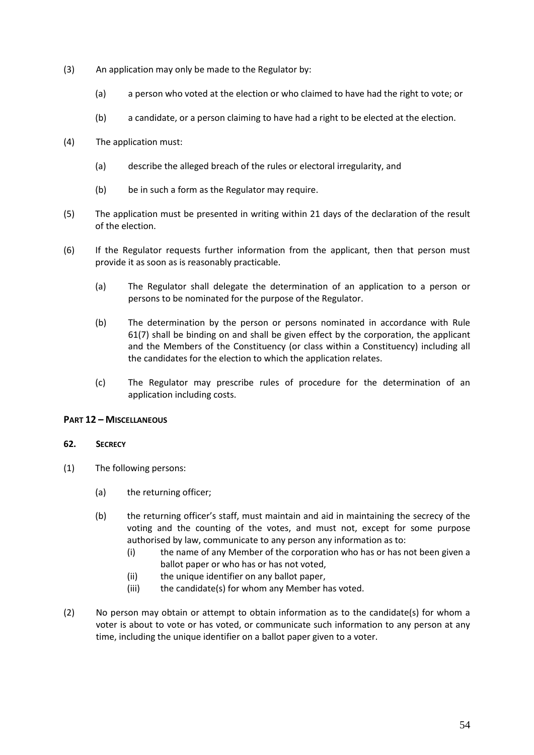- (3) An application may only be made to the Regulator by:
	- (a) a person who voted at the election or who claimed to have had the right to vote; or
	- (b) a candidate, or a person claiming to have had a right to be elected at the election.
- (4) The application must:
	- (a) describe the alleged breach of the rules or electoral irregularity, and
	- (b) be in such a form as the Regulator may require.
- (5) The application must be presented in writing within 21 days of the declaration of the result of the election.
- (6) If the Regulator requests further information from the applicant, then that person must provide it as soon as is reasonably practicable.
	- (a) The Regulator shall delegate the determination of an application to a person or persons to be nominated for the purpose of the Regulator.
	- (b) The determination by the person or persons nominated in accordance with Rule 61(7) shall be binding on and shall be given effect by the corporation, the applicant and the Members of the Constituency (or class within a Constituency) including all the candidates for the election to which the application relates.
	- (c) The Regulator may prescribe rules of procedure for the determination of an application including costs.

### **PART 12 – MISCELLANEOUS**

### **62. SECRECY**

- (1) The following persons:
	- (a) the returning officer;
	- (b) the returning officer's staff, must maintain and aid in maintaining the secrecy of the voting and the counting of the votes, and must not, except for some purpose authorised by law, communicate to any person any information as to:
		- (i) the name of any Member of the corporation who has or has not been given a ballot paper or who has or has not voted,
		- (ii) the unique identifier on any ballot paper,
		- (iii) the candidate(s) for whom any Member has voted.
- (2) No person may obtain or attempt to obtain information as to the candidate(s) for whom a voter is about to vote or has voted, or communicate such information to any person at any time, including the unique identifier on a ballot paper given to a voter.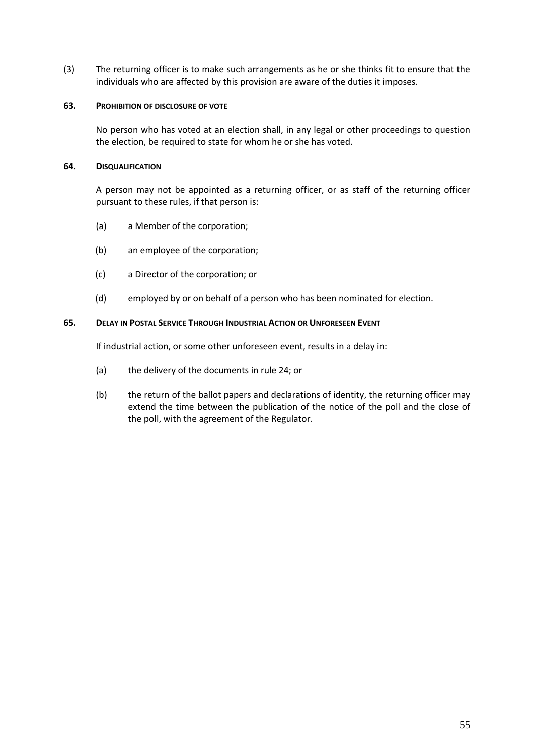(3) The returning officer is to make such arrangements as he or she thinks fit to ensure that the individuals who are affected by this provision are aware of the duties it imposes.

### **63. PROHIBITION OF DISCLOSURE OF VOTE**

No person who has voted at an election shall, in any legal or other proceedings to question the election, be required to state for whom he or she has voted.

### **64. DISQUALIFICATION**

A person may not be appointed as a returning officer, or as staff of the returning officer pursuant to these rules, if that person is:

- (a) a Member of the corporation;
- (b) an employee of the corporation;
- (c) a Director of the corporation; or
- (d) employed by or on behalf of a person who has been nominated for election.

### **65. DELAY IN POSTAL SERVICE THROUGH INDUSTRIAL ACTION OR UNFORESEEN EVENT**

If industrial action, or some other unforeseen event, results in a delay in:

- (a) the delivery of the documents in rule 24; or
- (b) the return of the ballot papers and declarations of identity, the returning officer may extend the time between the publication of the notice of the poll and the close of the poll, with the agreement of the Regulator.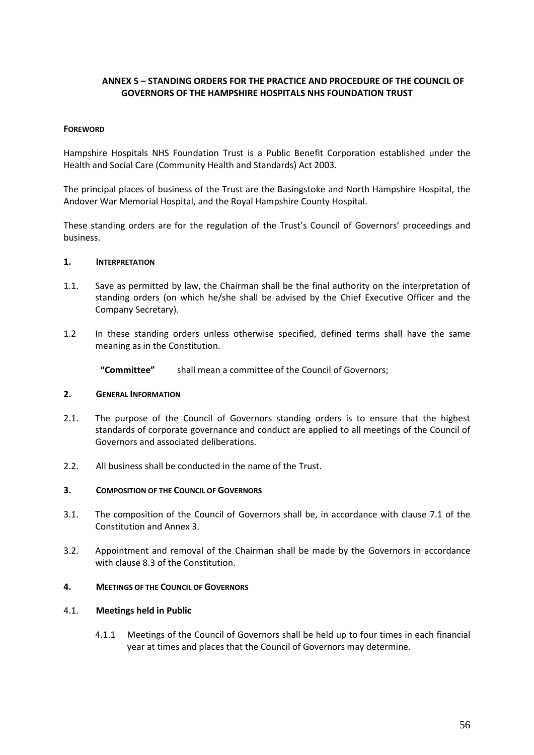# **ANNEX 5 – STANDING ORDERS FOR THE PRACTICE AND PROCEDURE OF THE COUNCIL OF GOVERNORS OF THE HAMPSHIRE HOSPITALS NHS FOUNDATION TRUST**

### **FOREWORD**

Hampshire Hospitals NHS Foundation Trust is a Public Benefit Corporation established under the Health and Social Care (Community Health and Standards) Act 2003.

The principal places of business of the Trust are the Basingstoke and North Hampshire Hospital, the Andover War Memorial Hospital, and the Royal Hampshire County Hospital.

These standing orders are for the regulation of the Trust's Council of Governors' proceedings and business.

#### **1. INTERPRETATION**

- 1.1. Save as permitted by law, the Chairman shall be the final authority on the interpretation of standing orders (on which he/she shall be advised by the Chief Executive Officer and the Company Secretary).
- 1.2 In these standing orders unless otherwise specified, defined terms shall have the same meaning as in the Constitution.

**"Committee"** shall mean a committee of the Council of Governors;

#### **2. GENERAL INFORMATION**

- 2.1. The purpose of the Council of Governors standing orders is to ensure that the highest standards of corporate governance and conduct are applied to all meetings of the Council of Governors and associated deliberations.
- 2.2. All business shall be conducted in the name of the Trust.

#### **3. COMPOSITION OF THE COUNCIL OF GOVERNORS**

- 3.1. The composition of the Council of Governors shall be, in accordance with clause 7.1 of the Constitution and Annex 3.
- 3.2. Appointment and removal of the Chairman shall be made by the Governors in accordance with clause 8.3 of the Constitution.

#### **4. MEETINGS OF THE COUNCIL OF GOVERNORS**

### 4.1. **Meetings held in Public**

4.1.1 Meetings of the Council of Governors shall be held up to four times in each financial year at times and places that the Council of Governors may determine.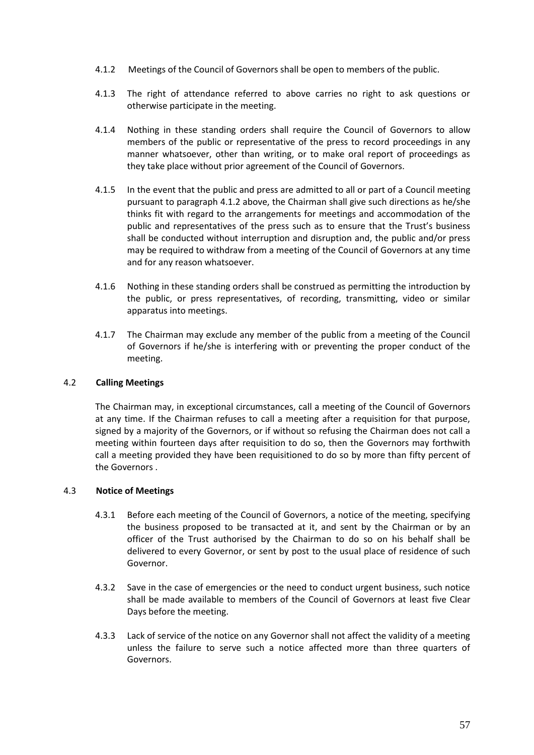- 4.1.2 Meetings of the Council of Governors shall be open to members of the public.
- 4.1.3 The right of attendance referred to above carries no right to ask questions or otherwise participate in the meeting.
- 4.1.4 Nothing in these standing orders shall require the Council of Governors to allow members of the public or representative of the press to record proceedings in any manner whatsoever, other than writing, or to make oral report of proceedings as they take place without prior agreement of the Council of Governors.
- 4.1.5 In the event that the public and press are admitted to all or part of a Council meeting pursuant to paragraph 4.1.2 above, the Chairman shall give such directions as he/she thinks fit with regard to the arrangements for meetings and accommodation of the public and representatives of the press such as to ensure that the Trust's business shall be conducted without interruption and disruption and, the public and/or press may be required to withdraw from a meeting of the Council of Governors at any time and for any reason whatsoever.
- 4.1.6 Nothing in these standing orders shall be construed as permitting the introduction by the public, or press representatives, of recording, transmitting, video or similar apparatus into meetings.
- 4.1.7 The Chairman may exclude any member of the public from a meeting of the Council of Governors if he/she is interfering with or preventing the proper conduct of the meeting.

### 4.2 **Calling Meetings**

The Chairman may, in exceptional circumstances, call a meeting of the Council of Governors at any time. If the Chairman refuses to call a meeting after a requisition for that purpose, signed by a majority of the Governors, or if without so refusing the Chairman does not call a meeting within fourteen days after requisition to do so, then the Governors may forthwith call a meeting provided they have been requisitioned to do so by more than fifty percent of the Governors .

### 4.3 **Notice of Meetings**

- 4.3.1 Before each meeting of the Council of Governors, a notice of the meeting, specifying the business proposed to be transacted at it, and sent by the Chairman or by an officer of the Trust authorised by the Chairman to do so on his behalf shall be delivered to every Governor, or sent by post to the usual place of residence of such Governor.
- 4.3.2 Save in the case of emergencies or the need to conduct urgent business, such notice shall be made available to members of the Council of Governors at least five Clear Days before the meeting.
- 4.3.3 Lack of service of the notice on any Governor shall not affect the validity of a meeting unless the failure to serve such a notice affected more than three quarters of Governors.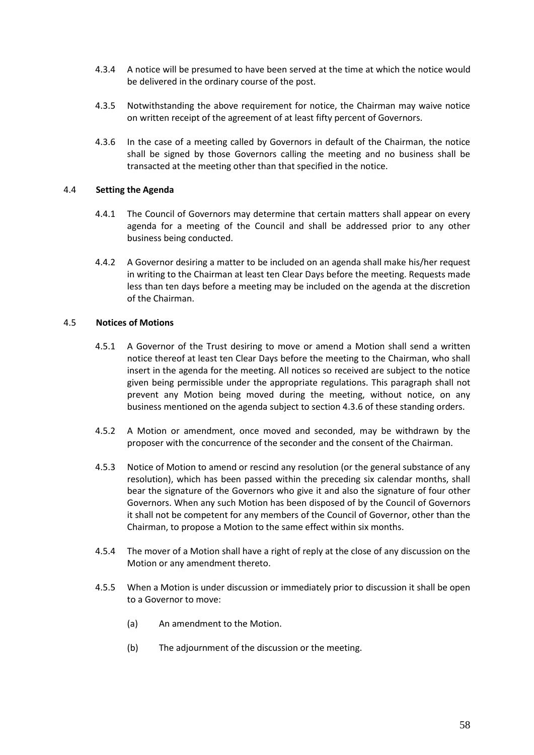- 4.3.4 A notice will be presumed to have been served at the time at which the notice would be delivered in the ordinary course of the post.
- 4.3.5 Notwithstanding the above requirement for notice, the Chairman may waive notice on written receipt of the agreement of at least fifty percent of Governors.
- 4.3.6 In the case of a meeting called by Governors in default of the Chairman, the notice shall be signed by those Governors calling the meeting and no business shall be transacted at the meeting other than that specified in the notice.

### 4.4 **Setting the Agenda**

- 4.4.1 The Council of Governors may determine that certain matters shall appear on every agenda for a meeting of the Council and shall be addressed prior to any other business being conducted.
- 4.4.2 A Governor desiring a matter to be included on an agenda shall make his/her request in writing to the Chairman at least ten Clear Days before the meeting. Requests made less than ten days before a meeting may be included on the agenda at the discretion of the Chairman.

# 4.5 **Notices of Motions**

- 4.5.1 A Governor of the Trust desiring to move or amend a Motion shall send a written notice thereof at least ten Clear Days before the meeting to the Chairman, who shall insert in the agenda for the meeting. All notices so received are subject to the notice given being permissible under the appropriate regulations. This paragraph shall not prevent any Motion being moved during the meeting, without notice, on any business mentioned on the agenda subject to section 4.3.6 of these standing orders.
- 4.5.2 A Motion or amendment, once moved and seconded, may be withdrawn by the proposer with the concurrence of the seconder and the consent of the Chairman.
- 4.5.3 Notice of Motion to amend or rescind any resolution (or the general substance of any resolution), which has been passed within the preceding six calendar months, shall bear the signature of the Governors who give it and also the signature of four other Governors. When any such Motion has been disposed of by the Council of Governors it shall not be competent for any members of the Council of Governor, other than the Chairman, to propose a Motion to the same effect within six months.
- 4.5.4 The mover of a Motion shall have a right of reply at the close of any discussion on the Motion or any amendment thereto.
- 4.5.5 When a Motion is under discussion or immediately prior to discussion it shall be open to a Governor to move:
	- (a) An amendment to the Motion.
	- (b) The adjournment of the discussion or the meeting.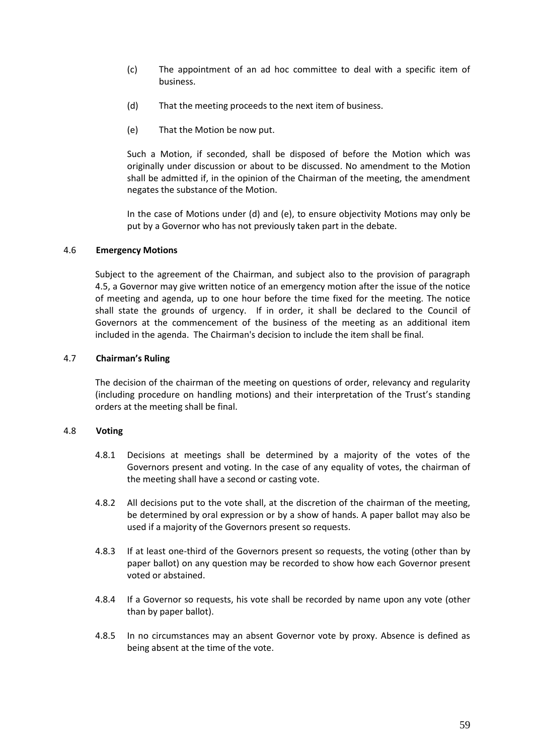- (c) The appointment of an ad hoc committee to deal with a specific item of business.
- (d) That the meeting proceeds to the next item of business.
- (e) That the Motion be now put.

Such a Motion, if seconded, shall be disposed of before the Motion which was originally under discussion or about to be discussed. No amendment to the Motion shall be admitted if, in the opinion of the Chairman of the meeting, the amendment negates the substance of the Motion.

In the case of Motions under (d) and (e), to ensure objectivity Motions may only be put by a Governor who has not previously taken part in the debate.

### 4.6 **Emergency Motions**

Subject to the agreement of the Chairman, and subject also to the provision of paragraph 4.5, a Governor may give written notice of an emergency motion after the issue of the notice of meeting and agenda, up to one hour before the time fixed for the meeting. The notice shall state the grounds of urgency. If in order, it shall be declared to the Council of Governors at the commencement of the business of the meeting as an additional item included in the agenda. The Chairman's decision to include the item shall be final.

# 4.7 **Chairman's Ruling**

The decision of the chairman of the meeting on questions of order, relevancy and regularity (including procedure on handling motions) and their interpretation of the Trust's standing orders at the meeting shall be final.

### 4.8 **Voting**

- 4.8.1 Decisions at meetings shall be determined by a majority of the votes of the Governors present and voting. In the case of any equality of votes, the chairman of the meeting shall have a second or casting vote.
- 4.8.2 All decisions put to the vote shall, at the discretion of the chairman of the meeting, be determined by oral expression or by a show of hands. A paper ballot may also be used if a majority of the Governors present so requests.
- 4.8.3 If at least one-third of the Governors present so requests, the voting (other than by paper ballot) on any question may be recorded to show how each Governor present voted or abstained.
- 4.8.4 If a Governor so requests, his vote shall be recorded by name upon any vote (other than by paper ballot).
- 4.8.5 In no circumstances may an absent Governor vote by proxy. Absence is defined as being absent at the time of the vote.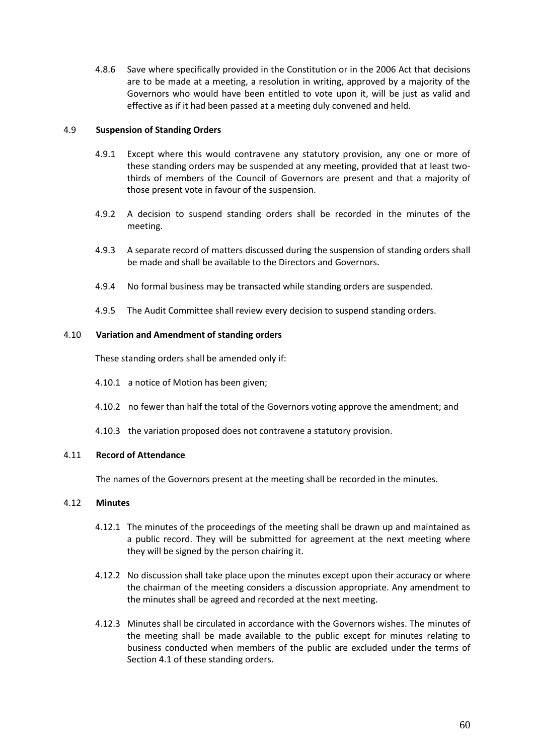4.8.6 Save where specifically provided in the Constitution or in the 2006 Act that decisions are to be made at a meeting, a resolution in writing, approved by a majority of the Governors who would have been entitled to vote upon it, will be just as valid and effective as if it had been passed at a meeting duly convened and held.

### 4.9 **Suspension of Standing Orders**

- 4.9.1 Except where this would contravene any statutory provision, any one or more of these standing orders may be suspended at any meeting, provided that at least twothirds of members of the Council of Governors are present and that a majority of those present vote in favour of the suspension.
- 4.9.2 A decision to suspend standing orders shall be recorded in the minutes of the meeting.
- 4.9.3 A separate record of matters discussed during the suspension of standing orders shall be made and shall be available to the Directors and Governors.
- 4.9.4 No formal business may be transacted while standing orders are suspended.
- 4.9.5 The Audit Committee shall review every decision to suspend standing orders.

# 4.10 **Variation and Amendment of standing orders**

These standing orders shall be amended only if:

- 4.10.1 a notice of Motion has been given;
- 4.10.2 no fewer than half the total of the Governors voting approve the amendment; and
- 4.10.3 the variation proposed does not contravene a statutory provision.

# 4.11 **Record of Attendance**

The names of the Governors present at the meeting shall be recorded in the minutes.

# 4.12 **Minutes**

- 4.12.1 The minutes of the proceedings of the meeting shall be drawn up and maintained as a public record. They will be submitted for agreement at the next meeting where they will be signed by the person chairing it.
- 4.12.2 No discussion shall take place upon the minutes except upon their accuracy or where the chairman of the meeting considers a discussion appropriate. Any amendment to the minutes shall be agreed and recorded at the next meeting.
- 4.12.3 Minutes shall be circulated in accordance with the Governors wishes. The minutes of the meeting shall be made available to the public except for minutes relating to business conducted when members of the public are excluded under the terms of Section 4.1 of these standing orders.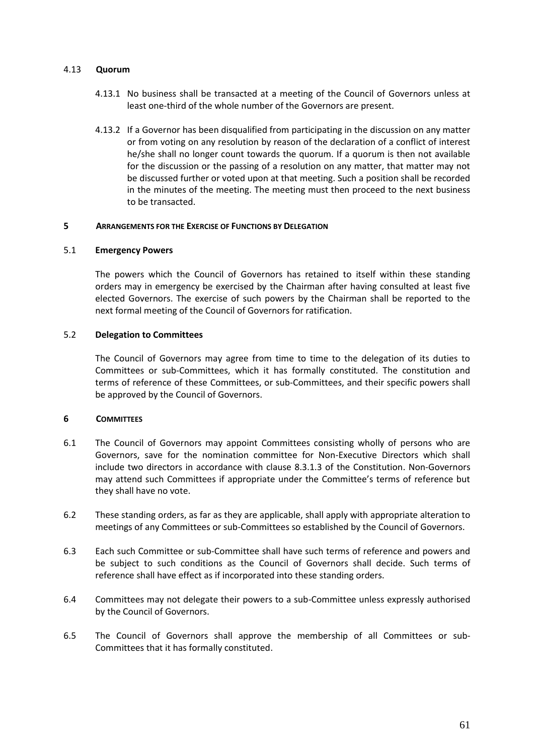### 4.13 **Quorum**

- 4.13.1 No business shall be transacted at a meeting of the Council of Governors unless at least one-third of the whole number of the Governors are present.
- 4.13.2 If a Governor has been disqualified from participating in the discussion on any matter or from voting on any resolution by reason of the declaration of a conflict of interest he/she shall no longer count towards the quorum. If a quorum is then not available for the discussion or the passing of a resolution on any matter, that matter may not be discussed further or voted upon at that meeting. Such a position shall be recorded in the minutes of the meeting. The meeting must then proceed to the next business to be transacted.

#### **5 ARRANGEMENTS FOR THE EXERCISE OF FUNCTIONS BY DELEGATION**

### 5.1 **Emergency Powers**

The powers which the Council of Governors has retained to itself within these standing orders may in emergency be exercised by the Chairman after having consulted at least five elected Governors. The exercise of such powers by the Chairman shall be reported to the next formal meeting of the Council of Governors for ratification.

#### 5.2 **Delegation to Committees**

The Council of Governors may agree from time to time to the delegation of its duties to Committees or sub-Committees, which it has formally constituted. The constitution and terms of reference of these Committees, or sub-Committees, and their specific powers shall be approved by the Council of Governors.

### **6 COMMITTEES**

- 6.1 The Council of Governors may appoint Committees consisting wholly of persons who are Governors, save for the nomination committee for Non-Executive Directors which shall include two directors in accordance with clause 8.3.1.3 of the Constitution. Non-Governors may attend such Committees if appropriate under the Committee's terms of reference but they shall have no vote.
- 6.2 These standing orders, as far as they are applicable, shall apply with appropriate alteration to meetings of any Committees or sub-Committees so established by the Council of Governors.
- 6.3 Each such Committee or sub-Committee shall have such terms of reference and powers and be subject to such conditions as the Council of Governors shall decide. Such terms of reference shall have effect as if incorporated into these standing orders.
- 6.4 Committees may not delegate their powers to a sub-Committee unless expressly authorised by the Council of Governors.
- 6.5 The Council of Governors shall approve the membership of all Committees or sub-Committees that it has formally constituted.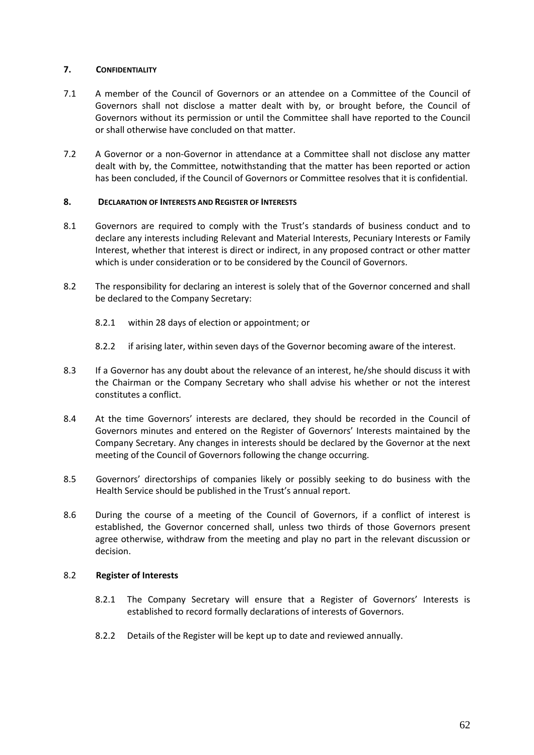# **7. CONFIDENTIALITY**

- 7.1 A member of the Council of Governors or an attendee on a Committee of the Council of Governors shall not disclose a matter dealt with by, or brought before, the Council of Governors without its permission or until the Committee shall have reported to the Council or shall otherwise have concluded on that matter.
- 7.2 A Governor or a non-Governor in attendance at a Committee shall not disclose any matter dealt with by, the Committee, notwithstanding that the matter has been reported or action has been concluded, if the Council of Governors or Committee resolves that it is confidential.

# **8. DECLARATION OF INTERESTS AND REGISTER OF INTERESTS**

- 8.1 Governors are required to comply with the Trust's standards of business conduct and to declare any interests including Relevant and Material Interests, Pecuniary Interests or Family Interest, whether that interest is direct or indirect, in any proposed contract or other matter which is under consideration or to be considered by the Council of Governors.
- 8.2 The responsibility for declaring an interest is solely that of the Governor concerned and shall be declared to the Company Secretary:
	- 8.2.1 within 28 days of election or appointment; or
	- 8.2.2 if arising later, within seven days of the Governor becoming aware of the interest.
- 8.3 If a Governor has any doubt about the relevance of an interest, he/she should discuss it with the Chairman or the Company Secretary who shall advise his whether or not the interest constitutes a conflict.
- 8.4 At the time Governors' interests are declared, they should be recorded in the Council of Governors minutes and entered on the Register of Governors' Interests maintained by the Company Secretary. Any changes in interests should be declared by the Governor at the next meeting of the Council of Governors following the change occurring.
- 8.5 Governors' directorships of companies likely or possibly seeking to do business with the Health Service should be published in the Trust's annual report.
- 8.6 During the course of a meeting of the Council of Governors, if a conflict of interest is established, the Governor concerned shall, unless two thirds of those Governors present agree otherwise, withdraw from the meeting and play no part in the relevant discussion or decision.

### 8.2 **Register of Interests**

- 8.2.1 The Company Secretary will ensure that a Register of Governors' Interests is established to record formally declarations of interests of Governors.
- 8.2.2 Details of the Register will be kept up to date and reviewed annually.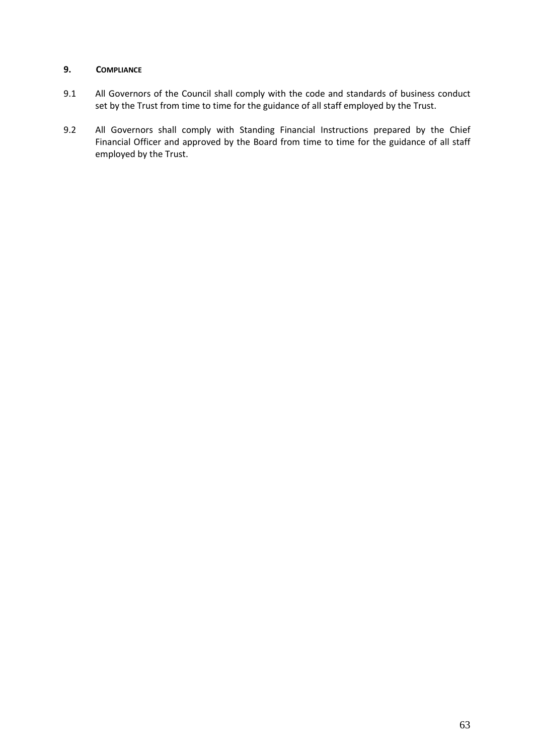# **9. COMPLIANCE**

- 9.1 All Governors of the Council shall comply with the code and standards of business conduct set by the Trust from time to time for the guidance of all staff employed by the Trust.
- 9.2 All Governors shall comply with Standing Financial Instructions prepared by the Chief Financial Officer and approved by the Board from time to time for the guidance of all staff employed by the Trust.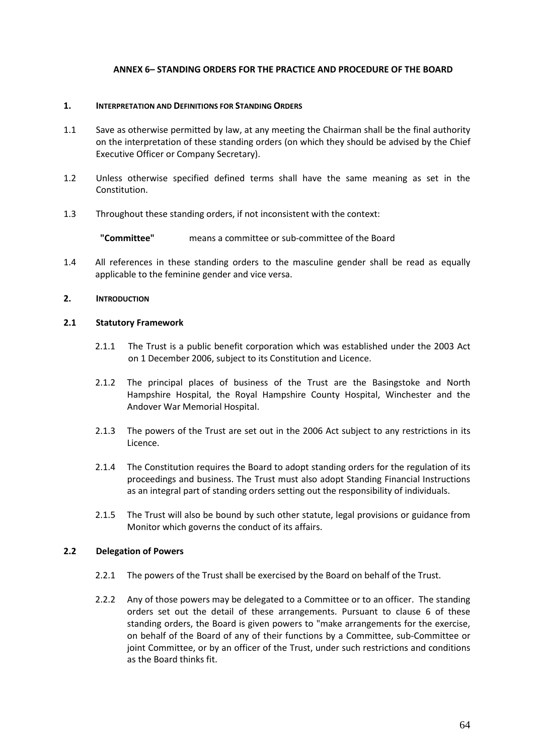# **ANNEX 6– STANDING ORDERS FOR THE PRACTICE AND PROCEDURE OF THE BOARD**

### **1. INTERPRETATION AND DEFINITIONS FOR STANDING ORDERS**

- 1.1 Save as otherwise permitted by law, at any meeting the Chairman shall be the final authority on the interpretation of these standing orders (on which they should be advised by the Chief Executive Officer or Company Secretary).
- 1.2 Unless otherwise specified defined terms shall have the same meaning as set in the Constitution.
- 1.3 Throughout these standing orders, if not inconsistent with the context:

**"Committee"** means a committee or sub-committee of the Board

1.4 All references in these standing orders to the masculine gender shall be read as equally applicable to the feminine gender and vice versa.

### **2. INTRODUCTION**

#### **2.1 Statutory Framework**

- 2.1.1 The Trust is a public benefit corporation which was established under the 2003 Act on 1 December 2006, subject to its Constitution and Licence.
- 2.1.2 The principal places of business of the Trust are the Basingstoke and North Hampshire Hospital, the Royal Hampshire County Hospital, Winchester and the Andover War Memorial Hospital.
- 2.1.3 The powers of the Trust are set out in the 2006 Act subject to any restrictions in its Licence.
- 2.1.4 The Constitution requires the Board to adopt standing orders for the regulation of its proceedings and business. The Trust must also adopt Standing Financial Instructions as an integral part of standing orders setting out the responsibility of individuals.
- 2.1.5 The Trust will also be bound by such other statute, legal provisions or guidance from Monitor which governs the conduct of its affairs.

### **2.2 Delegation of Powers**

- 2.2.1 The powers of the Trust shall be exercised by the Board on behalf of the Trust.
- 2.2.2 Any of those powers may be delegated to a Committee or to an officer. The standing orders set out the detail of these arrangements. Pursuant to clause 6 of these standing orders, the Board is given powers to "make arrangements for the exercise, on behalf of the Board of any of their functions by a Committee, sub-Committee or joint Committee, or by an officer of the Trust, under such restrictions and conditions as the Board thinks fit.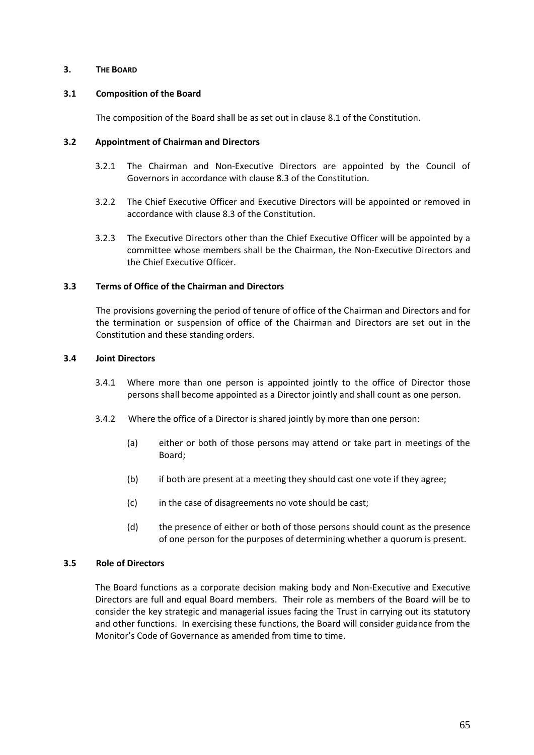### **3. THE BOARD**

### **3.1 Composition of the Board**

The composition of the Board shall be as set out in clause 8.1 of the Constitution.

### **3.2 Appointment of Chairman and Directors**

- 3.2.1 The Chairman and Non-Executive Directors are appointed by the Council of Governors in accordance with clause 8.3 of the Constitution.
- 3.2.2 The Chief Executive Officer and Executive Directors will be appointed or removed in accordance with clause 8.3 of the Constitution.
- 3.2.3 The Executive Directors other than the Chief Executive Officer will be appointed by a committee whose members shall be the Chairman, the Non-Executive Directors and the Chief Executive Officer.

# **3.3 Terms of Office of the Chairman and Directors**

The provisions governing the period of tenure of office of the Chairman and Directors and for the termination or suspension of office of the Chairman and Directors are set out in the Constitution and these standing orders.

# **3.4 Joint Directors**

- 3.4.1 Where more than one person is appointed jointly to the office of Director those persons shall become appointed as a Director jointly and shall count as one person.
- 3.4.2 Where the office of a Director is shared jointly by more than one person:
	- (a) either or both of those persons may attend or take part in meetings of the Board;
	- (b) if both are present at a meeting they should cast one vote if they agree;
	- (c) in the case of disagreements no vote should be cast;
	- (d) the presence of either or both of those persons should count as the presence of one person for the purposes of determining whether a quorum is present.

### **3.5 Role of Directors**

The Board functions as a corporate decision making body and Non-Executive and Executive Directors are full and equal Board members. Their role as members of the Board will be to consider the key strategic and managerial issues facing the Trust in carrying out its statutory and other functions. In exercising these functions, the Board will consider guidance from the Monitor's Code of Governance as amended from time to time.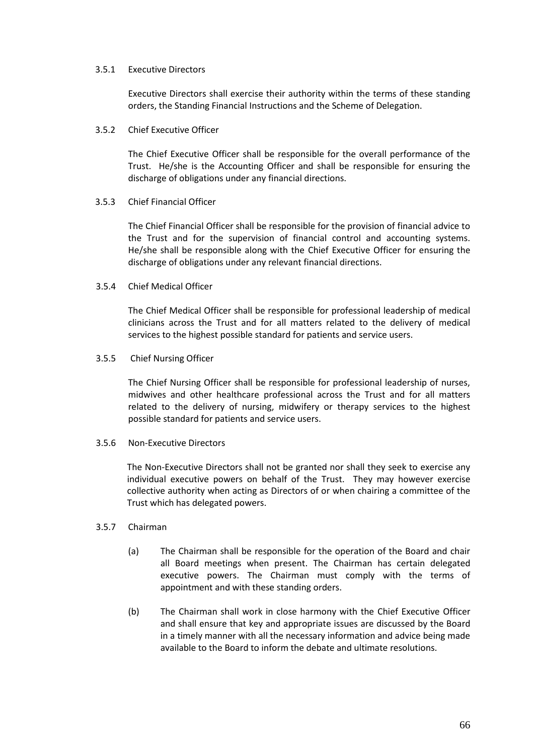### 3.5.1 Executive Directors

Executive Directors shall exercise their authority within the terms of these standing orders, the Standing Financial Instructions and the Scheme of Delegation.

#### 3.5.2 Chief Executive Officer

The Chief Executive Officer shall be responsible for the overall performance of the Trust. He/she is the Accounting Officer and shall be responsible for ensuring the discharge of obligations under any financial directions.

#### 3.5.3 Chief Financial Officer

The Chief Financial Officer shall be responsible for the provision of financial advice to the Trust and for the supervision of financial control and accounting systems. He/she shall be responsible along with the Chief Executive Officer for ensuring the discharge of obligations under any relevant financial directions.

#### 3.5.4 Chief Medical Officer

The Chief Medical Officer shall be responsible for professional leadership of medical clinicians across the Trust and for all matters related to the delivery of medical services to the highest possible standard for patients and service users.

#### 3.5.5 Chief Nursing Officer

The Chief Nursing Officer shall be responsible for professional leadership of nurses, midwives and other healthcare professional across the Trust and for all matters related to the delivery of nursing, midwifery or therapy services to the highest possible standard for patients and service users.

### 3.5.6 Non-Executive Directors

The Non-Executive Directors shall not be granted nor shall they seek to exercise any individual executive powers on behalf of the Trust. They may however exercise collective authority when acting as Directors of or when chairing a committee of the Trust which has delegated powers.

#### 3.5.7 Chairman

- (a) The Chairman shall be responsible for the operation of the Board and chair all Board meetings when present. The Chairman has certain delegated executive powers. The Chairman must comply with the terms of appointment and with these standing orders.
- (b) The Chairman shall work in close harmony with the Chief Executive Officer and shall ensure that key and appropriate issues are discussed by the Board in a timely manner with all the necessary information and advice being made available to the Board to inform the debate and ultimate resolutions.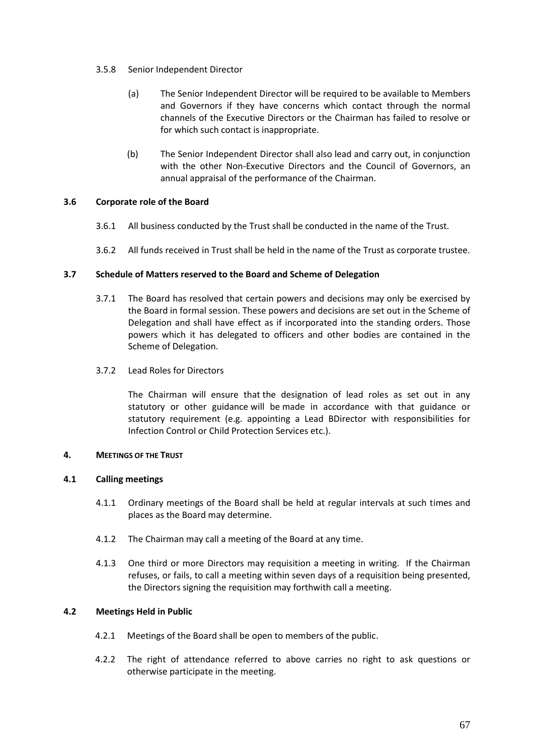### 3.5.8 Senior Independent Director

- (a) The Senior Independent Director will be required to be available to Members and Governors if they have concerns which contact through the normal channels of the Executive Directors or the Chairman has failed to resolve or for which such contact is inappropriate.
- (b) The Senior Independent Director shall also lead and carry out, in conjunction with the other Non-Executive Directors and the Council of Governors, an annual appraisal of the performance of the Chairman.

# **3.6 Corporate role of the Board**

- 3.6.1 All business conducted by the Trust shall be conducted in the name of the Trust.
- 3.6.2 All funds received in Trust shall be held in the name of the Trust as corporate trustee.

# **3.7 Schedule of Matters reserved to the Board and Scheme of Delegation**

- 3.7.1 The Board has resolved that certain powers and decisions may only be exercised by the Board in formal session. These powers and decisions are set out in the Scheme of Delegation and shall have effect as if incorporated into the standing orders. Those powers which it has delegated to officers and other bodies are contained in the Scheme of Delegation.
- 3.7.2 Lead Roles for Directors

The Chairman will ensure that the designation of lead roles as set out in any statutory or other guidance will be made in accordance with that guidance or statutory requirement (e.g. appointing a Lead BDirector with responsibilities for Infection Control or Child Protection Services etc.).

### **4. MEETINGS OF THE TRUST**

### **4.1 Calling meetings**

- 4.1.1 Ordinary meetings of the Board shall be held at regular intervals at such times and places as the Board may determine.
- 4.1.2 The Chairman may call a meeting of the Board at any time.
- 4.1.3 One third or more Directors may requisition a meeting in writing. If the Chairman refuses, or fails, to call a meeting within seven days of a requisition being presented, the Directors signing the requisition may forthwith call a meeting.

### **4.2 Meetings Held in Public**

- 4.2.1 Meetings of the Board shall be open to members of the public.
- 4.2.2 The right of attendance referred to above carries no right to ask questions or otherwise participate in the meeting.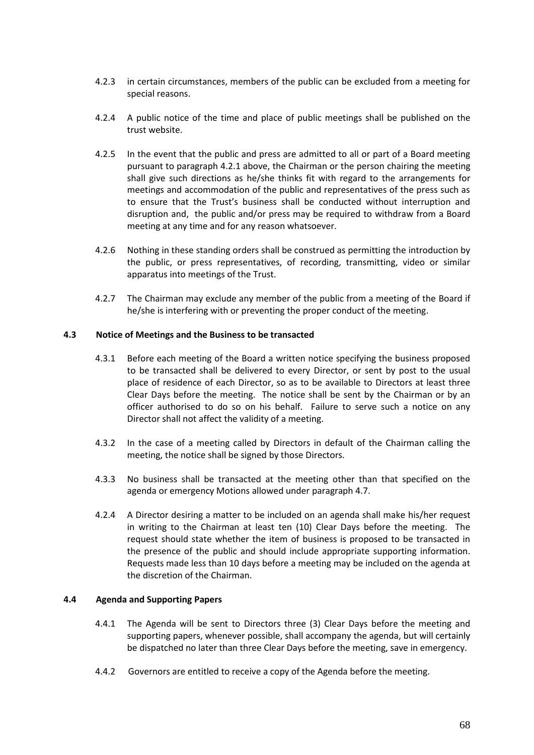- 4.2.3 in certain circumstances, members of the public can be excluded from a meeting for special reasons.
- 4.2.4 A public notice of the time and place of public meetings shall be published on the trust website.
- 4.2.5 In the event that the public and press are admitted to all or part of a Board meeting pursuant to paragraph 4.2.1 above, the Chairman or the person chairing the meeting shall give such directions as he/she thinks fit with regard to the arrangements for meetings and accommodation of the public and representatives of the press such as to ensure that the Trust's business shall be conducted without interruption and disruption and, the public and/or press may be required to withdraw from a Board meeting at any time and for any reason whatsoever.
- 4.2.6 Nothing in these standing orders shall be construed as permitting the introduction by the public, or press representatives, of recording, transmitting, video or similar apparatus into meetings of the Trust.
- 4.2.7 The Chairman may exclude any member of the public from a meeting of the Board if he/she is interfering with or preventing the proper conduct of the meeting.

### **4.3 Notice of Meetings and the Business to be transacted**

- 4.3.1 Before each meeting of the Board a written notice specifying the business proposed to be transacted shall be delivered to every Director, or sent by post to the usual place of residence of each Director, so as to be available to Directors at least three Clear Days before the meeting. The notice shall be sent by the Chairman or by an officer authorised to do so on his behalf. Failure to serve such a notice on any Director shall not affect the validity of a meeting.
- 4.3.2 In the case of a meeting called by Directors in default of the Chairman calling the meeting, the notice shall be signed by those Directors.
- 4.3.3 No business shall be transacted at the meeting other than that specified on the agenda or emergency Motions allowed under paragraph 4.7.
- 4.2.4 A Director desiring a matter to be included on an agenda shall make his/her request in writing to the Chairman at least ten (10) Clear Days before the meeting. The request should state whether the item of business is proposed to be transacted in the presence of the public and should include appropriate supporting information. Requests made less than 10 days before a meeting may be included on the agenda at the discretion of the Chairman.

### **4.4 Agenda and Supporting Papers**

- 4.4.1 The Agenda will be sent to Directors three (3) Clear Days before the meeting and supporting papers, whenever possible, shall accompany the agenda, but will certainly be dispatched no later than three Clear Days before the meeting, save in emergency.
- 4.4.2 Governors are entitled to receive a copy of the Agenda before the meeting.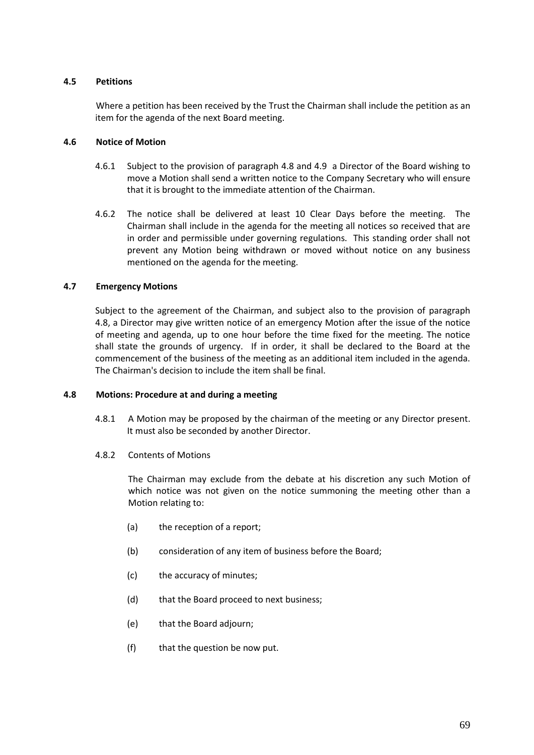## **4.5 Petitions**

Where a petition has been received by the Trust the Chairman shall include the petition as an item for the agenda of the next Board meeting.

## **4.6 Notice of Motion**

- 4.6.1 Subject to the provision of paragraph 4.8 and 4.9 a Director of the Board wishing to move a Motion shall send a written notice to the Company Secretary who will ensure that it is brought to the immediate attention of the Chairman.
- 4.6.2 The notice shall be delivered at least 10 Clear Days before the meeting. The Chairman shall include in the agenda for the meeting all notices so received that are in order and permissible under governing regulations. This standing order shall not prevent any Motion being withdrawn or moved without notice on any business mentioned on the agenda for the meeting.

# **4.7 Emergency Motions**

Subject to the agreement of the Chairman, and subject also to the provision of paragraph 4.8, a Director may give written notice of an emergency Motion after the issue of the notice of meeting and agenda, up to one hour before the time fixed for the meeting. The notice shall state the grounds of urgency. If in order, it shall be declared to the Board at the commencement of the business of the meeting as an additional item included in the agenda. The Chairman's decision to include the item shall be final.

## **4.8 Motions: Procedure at and during a meeting**

- 4.8.1 A Motion may be proposed by the chairman of the meeting or any Director present. It must also be seconded by another Director.
- 4.8.2 Contents of Motions

The Chairman may exclude from the debate at his discretion any such Motion of which notice was not given on the notice summoning the meeting other than a Motion relating to:

- (a) the reception of a report;
- (b) consideration of any item of business before the Board;
- (c) the accuracy of minutes;
- (d) that the Board proceed to next business;
- (e) that the Board adjourn;
- (f) that the question be now put.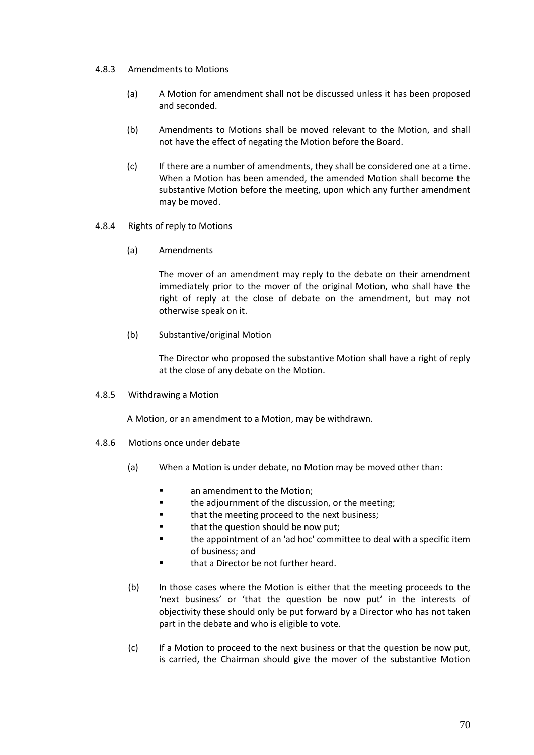## 4.8.3 Amendments to Motions

- (a) A Motion for amendment shall not be discussed unless it has been proposed and seconded.
- (b) Amendments to Motions shall be moved relevant to the Motion, and shall not have the effect of negating the Motion before the Board.
- (c) If there are a number of amendments, they shall be considered one at a time. When a Motion has been amended, the amended Motion shall become the substantive Motion before the meeting, upon which any further amendment may be moved.
- 4.8.4 Rights of reply to Motions
	- (a) Amendments

The mover of an amendment may reply to the debate on their amendment immediately prior to the mover of the original Motion, who shall have the right of reply at the close of debate on the amendment, but may not otherwise speak on it.

(b) Substantive/original Motion

The Director who proposed the substantive Motion shall have a right of reply at the close of any debate on the Motion.

4.8.5 Withdrawing a Motion

A Motion, or an amendment to a Motion, may be withdrawn.

- 4.8.6 Motions once under debate
	- (a) When a Motion is under debate, no Motion may be moved other than:
		- **E** an amendment to the Motion:
		- **the adjournment of the discussion, or the meeting;**
		- **that the meeting proceed to the next business;**
		- **that the question should be now put;**
		- the appointment of an 'ad hoc' committee to deal with a specific item of business; and
		- that a Director be not further heard.
	- (b) In those cases where the Motion is either that the meeting proceeds to the 'next business' or 'that the question be now put' in the interests of objectivity these should only be put forward by a Director who has not taken part in the debate and who is eligible to vote.
	- (c) If a Motion to proceed to the next business or that the question be now put, is carried, the Chairman should give the mover of the substantive Motion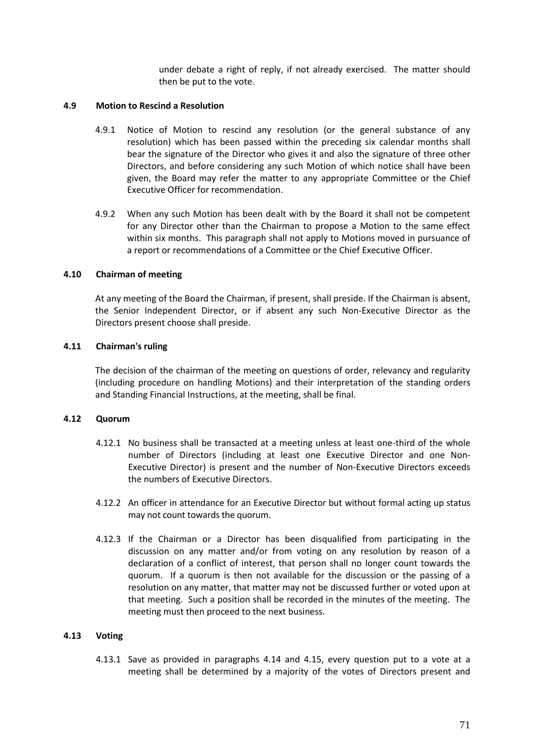under debate a right of reply, if not already exercised. The matter should then be put to the vote.

#### **4.9 Motion to Rescind a Resolution**

- 4.9.1 Notice of Motion to rescind any resolution (or the general substance of any resolution) which has been passed within the preceding six calendar months shall bear the signature of the Director who gives it and also the signature of three other Directors, and before considering any such Motion of which notice shall have been given, the Board may refer the matter to any appropriate Committee or the Chief Executive Officer for recommendation.
- 4.9.2 When any such Motion has been dealt with by the Board it shall not be competent for any Director other than the Chairman to propose a Motion to the same effect within six months. This paragraph shall not apply to Motions moved in pursuance of a report or recommendations of a Committee or the Chief Executive Officer.

#### **4.10 Chairman of meeting**

At any meeting of the Board the Chairman, if present, shall preside. If the Chairman is absent, the Senior Independent Director, or if absent any such Non-Executive Director as the Directors present choose shall preside.

#### **4.11 Chairman's ruling**

The decision of the chairman of the meeting on questions of order, relevancy and regularity (including procedure on handling Motions) and their interpretation of the standing orders and Standing Financial Instructions, at the meeting, shall be final.

#### **4.12 Quorum**

- 4.12.1 No business shall be transacted at a meeting unless at least one-third of the whole number of Directors (including at least one Executive Director and one Non-Executive Director) is present and the number of Non-Executive Directors exceeds the numbers of Executive Directors.
- 4.12.2 An officer in attendance for an Executive Director but without formal acting up status may not count towards the quorum.
- 4.12.3 If the Chairman or a Director has been disqualified from participating in the discussion on any matter and/or from voting on any resolution by reason of a declaration of a conflict of interest, that person shall no longer count towards the quorum. If a quorum is then not available for the discussion or the passing of a resolution on any matter, that matter may not be discussed further or voted upon at that meeting. Such a position shall be recorded in the minutes of the meeting. The meeting must then proceed to the next business.

#### **4.13 Voting**

4.13.1 Save as provided in paragraphs 4.14 and 4.15, every question put to a vote at a meeting shall be determined by a majority of the votes of Directors present and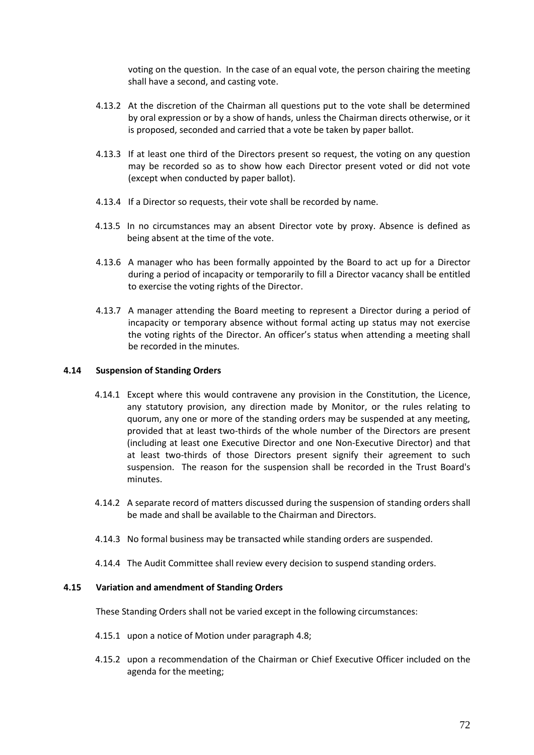voting on the question. In the case of an equal vote, the person chairing the meeting shall have a second, and casting vote.

- 4.13.2 At the discretion of the Chairman all questions put to the vote shall be determined by oral expression or by a show of hands, unless the Chairman directs otherwise, or it is proposed, seconded and carried that a vote be taken by paper ballot.
- 4.13.3 If at least one third of the Directors present so request, the voting on any question may be recorded so as to show how each Director present voted or did not vote (except when conducted by paper ballot).
- 4.13.4 If a Director so requests, their vote shall be recorded by name.
- 4.13.5 In no circumstances may an absent Director vote by proxy. Absence is defined as being absent at the time of the vote.
- 4.13.6 A manager who has been formally appointed by the Board to act up for a Director during a period of incapacity or temporarily to fill a Director vacancy shall be entitled to exercise the voting rights of the Director.
- 4.13.7 A manager attending the Board meeting to represent a Director during a period of incapacity or temporary absence without formal acting up status may not exercise the voting rights of the Director. An officer's status when attending a meeting shall be recorded in the minutes.

# **4.14 Suspension of Standing Orders**

- 4.14.1 Except where this would contravene any provision in the Constitution, the Licence, any statutory provision, any direction made by Monitor, or the rules relating to quorum, any one or more of the standing orders may be suspended at any meeting, provided that at least two-thirds of the whole number of the Directors are present (including at least one Executive Director and one Non-Executive Director) and that at least two-thirds of those Directors present signify their agreement to such suspension. The reason for the suspension shall be recorded in the Trust Board's minutes.
- 4.14.2 A separate record of matters discussed during the suspension of standing orders shall be made and shall be available to the Chairman and Directors.
- 4.14.3 No formal business may be transacted while standing orders are suspended.
- 4.14.4 The Audit Committee shall review every decision to suspend standing orders.

## **4.15 Variation and amendment of Standing Orders**

These Standing Orders shall not be varied except in the following circumstances:

- 4.15.1 upon a notice of Motion under paragraph 4.8;
- 4.15.2 upon a recommendation of the Chairman or Chief Executive Officer included on the agenda for the meeting;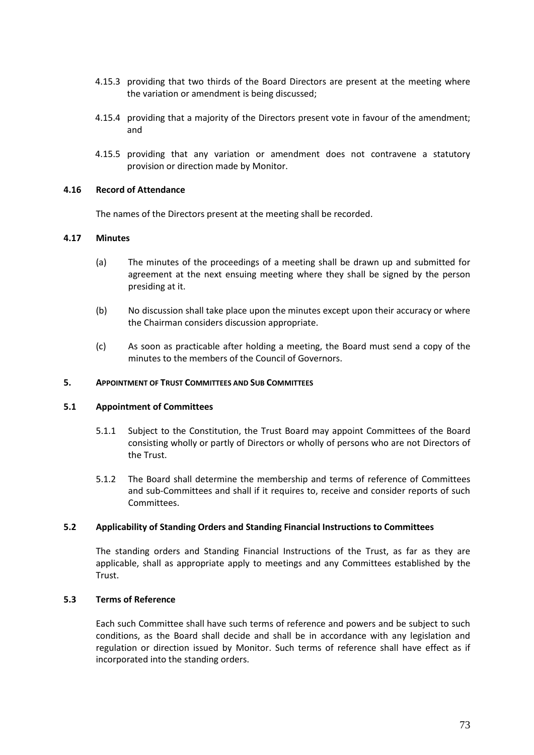- 4.15.3 providing that two thirds of the Board Directors are present at the meeting where the variation or amendment is being discussed;
- 4.15.4 providing that a majority of the Directors present vote in favour of the amendment; and
- 4.15.5 providing that any variation or amendment does not contravene a statutory provision or direction made by Monitor.

#### **4.16 Record of Attendance**

The names of the Directors present at the meeting shall be recorded.

## **4.17 Minutes**

- (a) The minutes of the proceedings of a meeting shall be drawn up and submitted for agreement at the next ensuing meeting where they shall be signed by the person presiding at it.
- (b) No discussion shall take place upon the minutes except upon their accuracy or where the Chairman considers discussion appropriate.
- (c) As soon as practicable after holding a meeting, the Board must send a copy of the minutes to the members of the Council of Governors.

#### **5. APPOINTMENT OF TRUST COMMITTEES AND SUB COMMITTEES**

#### **5.1 Appointment of Committees**

- 5.1.1 Subject to the Constitution, the Trust Board may appoint Committees of the Board consisting wholly or partly of Directors or wholly of persons who are not Directors of the Trust.
- 5.1.2 The Board shall determine the membership and terms of reference of Committees and sub-Committees and shall if it requires to, receive and consider reports of such Committees.

#### **5.2 Applicability of Standing Orders and Standing Financial Instructions to Committees**

The standing orders and Standing Financial Instructions of the Trust, as far as they are applicable, shall as appropriate apply to meetings and any Committees established by the Trust.

#### **5.3 Terms of Reference**

Each such Committee shall have such terms of reference and powers and be subject to such conditions, as the Board shall decide and shall be in accordance with any legislation and regulation or direction issued by Monitor. Such terms of reference shall have effect as if incorporated into the standing orders.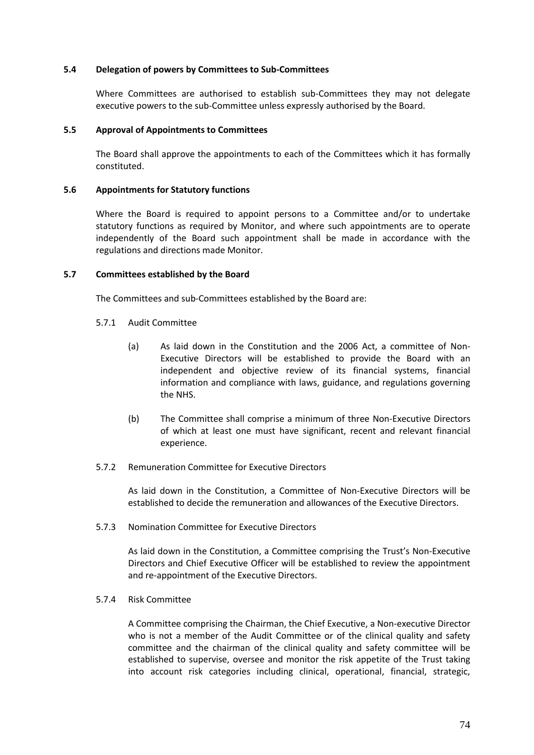## **5.4 Delegation of powers by Committees to Sub-Committees**

Where Committees are authorised to establish sub-Committees they may not delegate executive powers to the sub-Committee unless expressly authorised by the Board.

#### **5.5 Approval of Appointments to Committees**

The Board shall approve the appointments to each of the Committees which it has formally constituted.

#### **5.6 Appointments for Statutory functions**

Where the Board is required to appoint persons to a Committee and/or to undertake statutory functions as required by Monitor, and where such appointments are to operate independently of the Board such appointment shall be made in accordance with the regulations and directions made Monitor.

#### **5.7 Committees established by the Board**

The Committees and sub-Committees established by the Board are:

- 5.7.1 Audit Committee
	- (a) As laid down in the Constitution and the 2006 Act, a committee of Non-Executive Directors will be established to provide the Board with an independent and objective review of its financial systems, financial information and compliance with laws, guidance, and regulations governing the NHS.
	- (b) The Committee shall comprise a minimum of three Non-Executive Directors of which at least one must have significant, recent and relevant financial experience.

#### 5.7.2 Remuneration Committee for Executive Directors

As laid down in the Constitution, a Committee of Non-Executive Directors will be established to decide the remuneration and allowances of the Executive Directors.

5.7.3 Nomination Committee for Executive Directors

As laid down in the Constitution, a Committee comprising the Trust's Non-Executive Directors and Chief Executive Officer will be established to review the appointment and re-appointment of the Executive Directors.

5.7.4 Risk Committee

A Committee comprising the Chairman, the Chief Executive, a Non-executive Director who is not a member of the Audit Committee or of the clinical quality and safety committee and the chairman of the clinical quality and safety committee will be established to supervise, oversee and monitor the risk appetite of the Trust taking into account risk categories including clinical, operational, financial, strategic,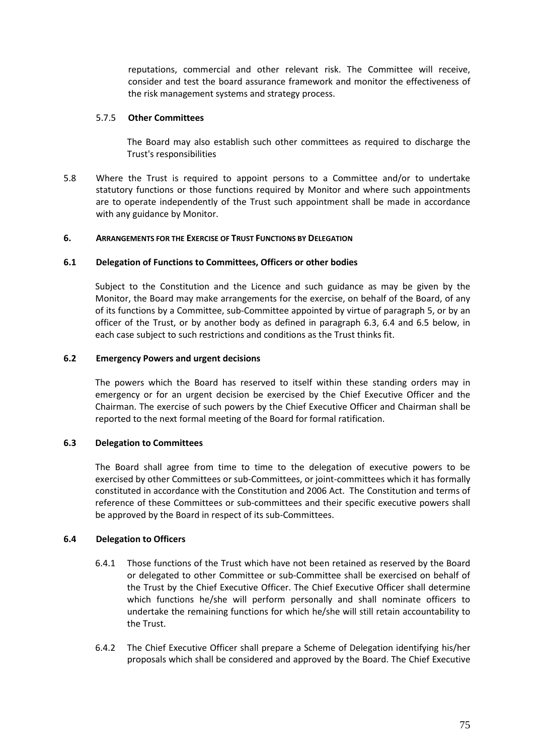reputations, commercial and other relevant risk. The Committee will receive, consider and test the board assurance framework and monitor the effectiveness of the risk management systems and strategy process.

# 5.7.5 **Other Committees**

The Board may also establish such other committees as required to discharge the Trust's responsibilities

5.8 Where the Trust is required to appoint persons to a Committee and/or to undertake statutory functions or those functions required by Monitor and where such appointments are to operate independently of the Trust such appointment shall be made in accordance with any guidance by Monitor.

# **6. ARRANGEMENTS FOR THE EXERCISE OF TRUST FUNCTIONS BY DELEGATION**

# **6.1 Delegation of Functions to Committees, Officers or other bodies**

Subject to the Constitution and the Licence and such guidance as may be given by the Monitor, the Board may make arrangements for the exercise, on behalf of the Board, of any of its functions by a Committee, sub-Committee appointed by virtue of paragraph 5, or by an officer of the Trust, or by another body as defined in paragraph 6.3, 6.4 and 6.5 below, in each case subject to such restrictions and conditions as the Trust thinks fit.

## **6.2 Emergency Powers and urgent decisions**

The powers which the Board has reserved to itself within these standing orders may in emergency or for an urgent decision be exercised by the Chief Executive Officer and the Chairman. The exercise of such powers by the Chief Executive Officer and Chairman shall be reported to the next formal meeting of the Board for formal ratification.

## **6.3 Delegation to Committees**

The Board shall agree from time to time to the delegation of executive powers to be exercised by other Committees or sub-Committees, or joint-committees which it has formally constituted in accordance with the Constitution and 2006 Act. The Constitution and terms of reference of these Committees or sub-committees and their specific executive powers shall be approved by the Board in respect of its sub-Committees.

## **6.4 Delegation to Officers**

- 6.4.1 Those functions of the Trust which have not been retained as reserved by the Board or delegated to other Committee or sub-Committee shall be exercised on behalf of the Trust by the Chief Executive Officer. The Chief Executive Officer shall determine which functions he/she will perform personally and shall nominate officers to undertake the remaining functions for which he/she will still retain accountability to the Trust.
- 6.4.2 The Chief Executive Officer shall prepare a Scheme of Delegation identifying his/her proposals which shall be considered and approved by the Board. The Chief Executive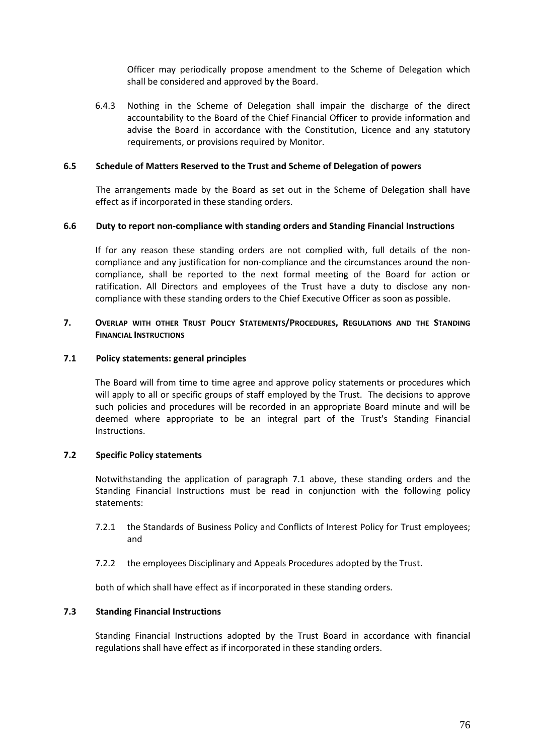Officer may periodically propose amendment to the Scheme of Delegation which shall be considered and approved by the Board.

6.4.3 Nothing in the Scheme of Delegation shall impair the discharge of the direct accountability to the Board of the Chief Financial Officer to provide information and advise the Board in accordance with the Constitution, Licence and any statutory requirements, or provisions required by Monitor.

## **6.5 Schedule of Matters Reserved to the Trust and Scheme of Delegation of powers**

The arrangements made by the Board as set out in the Scheme of Delegation shall have effect as if incorporated in these standing orders.

## **6.6 Duty to report non-compliance with standing orders and Standing Financial Instructions**

If for any reason these standing orders are not complied with, full details of the noncompliance and any justification for non-compliance and the circumstances around the noncompliance, shall be reported to the next formal meeting of the Board for action or ratification. All Directors and employees of the Trust have a duty to disclose any noncompliance with these standing orders to the Chief Executive Officer as soon as possible.

## **7. OVERLAP WITH OTHER TRUST POLICY STATEMENTS/PROCEDURES, REGULATIONS AND THE STANDING FINANCIAL INSTRUCTIONS**

#### **7.1 Policy statements: general principles**

The Board will from time to time agree and approve policy statements or procedures which will apply to all or specific groups of staff employed by the Trust. The decisions to approve such policies and procedures will be recorded in an appropriate Board minute and will be deemed where appropriate to be an integral part of the Trust's Standing Financial Instructions.

## **7.2 Specific Policy statements**

Notwithstanding the application of paragraph 7.1 above, these standing orders and the Standing Financial Instructions must be read in conjunction with the following policy statements:

- 7.2.1 the Standards of Business Policy and Conflicts of Interest Policy for Trust employees; and
- 7.2.2 the employees Disciplinary and Appeals Procedures adopted by the Trust.

both of which shall have effect as if incorporated in these standing orders.

## **7.3 Standing Financial Instructions**

Standing Financial Instructions adopted by the Trust Board in accordance with financial regulations shall have effect as if incorporated in these standing orders.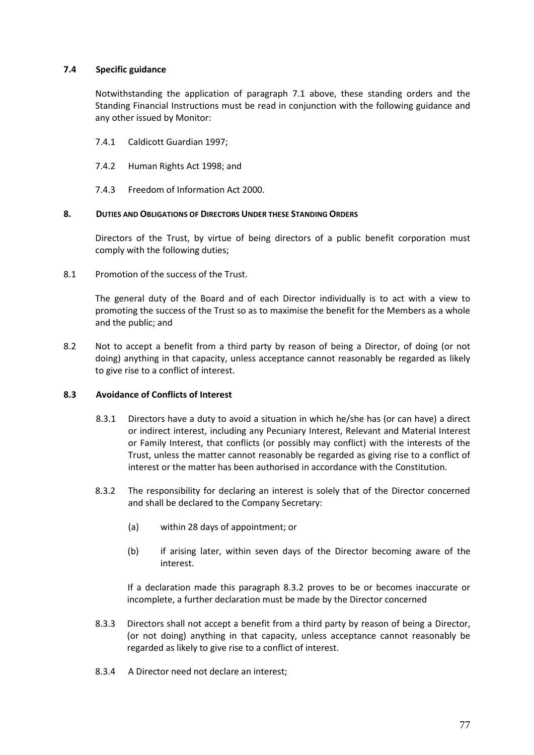# **7.4 Specific guidance**

Notwithstanding the application of paragraph 7.1 above, these standing orders and the Standing Financial Instructions must be read in conjunction with the following guidance and any other issued by Monitor:

- 7.4.1 Caldicott Guardian 1997;
- 7.4.2 Human Rights Act 1998; and
- 7.4.3 Freedom of Information Act 2000.

## **8. DUTIES AND OBLIGATIONS OF DIRECTORS UNDER THESE STANDING ORDERS**

Directors of the Trust, by virtue of being directors of a public benefit corporation must comply with the following duties;

8.1 Promotion of the success of the Trust.

The general duty of the Board and of each Director individually is to act with a view to promoting the success of the Trust so as to maximise the benefit for the Members as a whole and the public; and

8.2 Not to accept a benefit from a third party by reason of being a Director, of doing (or not doing) anything in that capacity, unless acceptance cannot reasonably be regarded as likely to give rise to a conflict of interest.

## **8.3 Avoidance of Conflicts of Interest**

- 8.3.1 Directors have a duty to avoid a situation in which he/she has (or can have) a direct or indirect interest, including any Pecuniary Interest, Relevant and Material Interest or Family Interest, that conflicts (or possibly may conflict) with the interests of the Trust, unless the matter cannot reasonably be regarded as giving rise to a conflict of interest or the matter has been authorised in accordance with the Constitution.
- 8.3.2 The responsibility for declaring an interest is solely that of the Director concerned and shall be declared to the Company Secretary:
	- (a) within 28 days of appointment; or
	- (b) if arising later, within seven days of the Director becoming aware of the interest.

If a declaration made this paragraph 8.3.2 proves to be or becomes inaccurate or incomplete, a further declaration must be made by the Director concerned

- 8.3.3 Directors shall not accept a benefit from a third party by reason of being a Director, (or not doing) anything in that capacity, unless acceptance cannot reasonably be regarded as likely to give rise to a conflict of interest.
- 8.3.4 A Director need not declare an interest;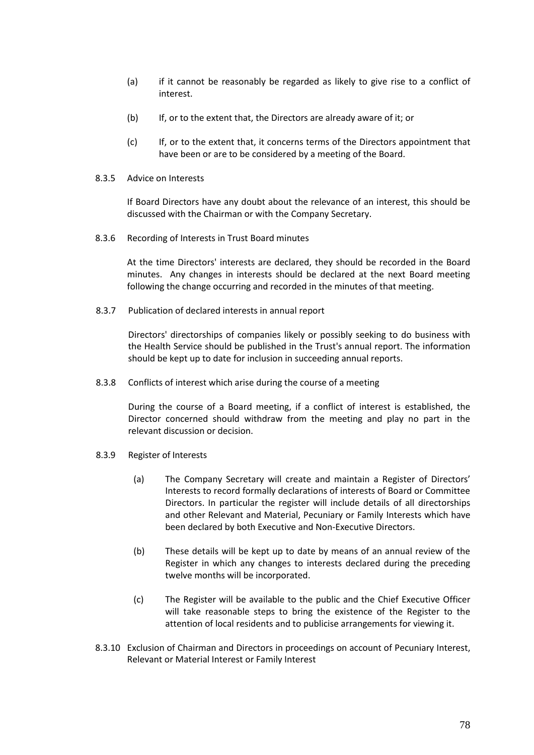- (a) if it cannot be reasonably be regarded as likely to give rise to a conflict of interest.
- (b) If, or to the extent that, the Directors are already aware of it; or
- (c) If, or to the extent that, it concerns terms of the Directors appointment that have been or are to be considered by a meeting of the Board.
- 8.3.5 Advice on Interests

If Board Directors have any doubt about the relevance of an interest, this should be discussed with the Chairman or with the Company Secretary.

8.3.6 Recording of Interests in Trust Board minutes

At the time Directors' interests are declared, they should be recorded in the Board minutes. Any changes in interests should be declared at the next Board meeting following the change occurring and recorded in the minutes of that meeting.

8.3.7 Publication of declared interests in annual report

Directors' directorships of companies likely or possibly seeking to do business with the Health Service should be published in the Trust's annual report. The information should be kept up to date for inclusion in succeeding annual reports.

8.3.8 Conflicts of interest which arise during the course of a meeting

During the course of a Board meeting, if a conflict of interest is established, the Director concerned should withdraw from the meeting and play no part in the relevant discussion or decision.

- 8.3.9 Register of Interests
	- (a) The Company Secretary will create and maintain a Register of Directors' Interests to record formally declarations of interests of Board or Committee Directors. In particular the register will include details of all directorships and other Relevant and Material, Pecuniary or Family Interests which have been declared by both Executive and Non-Executive Directors.
	- (b) These details will be kept up to date by means of an annual review of the Register in which any changes to interests declared during the preceding twelve months will be incorporated.
	- (c) The Register will be available to the public and the Chief Executive Officer will take reasonable steps to bring the existence of the Register to the attention of local residents and to publicise arrangements for viewing it.
- 8.3.10 Exclusion of Chairman and Directors in proceedings on account of Pecuniary Interest, Relevant or Material Interest or Family Interest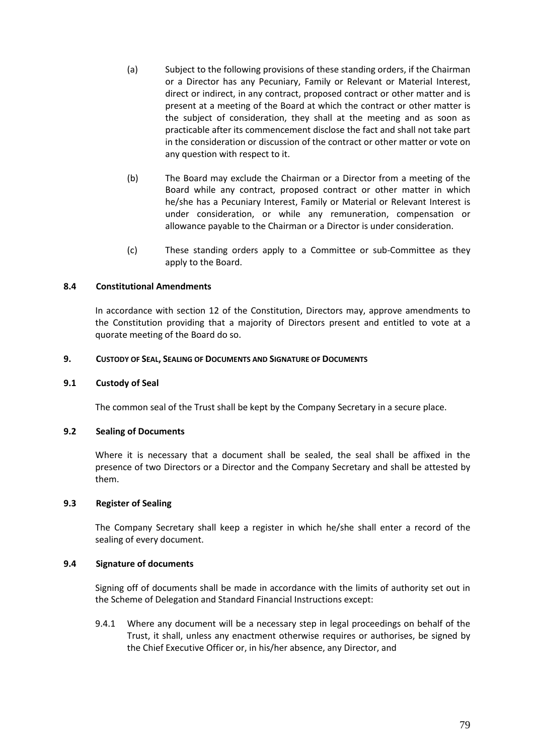- (a) Subject to the following provisions of these standing orders, if the Chairman or a Director has any Pecuniary, Family or Relevant or Material Interest, direct or indirect, in any contract, proposed contract or other matter and is present at a meeting of the Board at which the contract or other matter is the subject of consideration, they shall at the meeting and as soon as practicable after its commencement disclose the fact and shall not take part in the consideration or discussion of the contract or other matter or vote on any question with respect to it.
- (b) The Board may exclude the Chairman or a Director from a meeting of the Board while any contract, proposed contract or other matter in which he/she has a Pecuniary Interest, Family or Material or Relevant Interest is under consideration, or while any remuneration, compensation or allowance payable to the Chairman or a Director is under consideration.
- (c) These standing orders apply to a Committee or sub-Committee as they apply to the Board.

## **8.4 Constitutional Amendments**

In accordance with section 12 of the Constitution, Directors may, approve amendments to the Constitution providing that a majority of Directors present and entitled to vote at a quorate meeting of the Board do so.

## **9. CUSTODY OF SEAL, SEALING OF DOCUMENTS AND SIGNATURE OF DOCUMENTS**

#### **9.1 Custody of Seal**

The common seal of the Trust shall be kept by the Company Secretary in a secure place.

#### **9.2 Sealing of Documents**

Where it is necessary that a document shall be sealed, the seal shall be affixed in the presence of two Directors or a Director and the Company Secretary and shall be attested by them.

#### **9.3 Register of Sealing**

The Company Secretary shall keep a register in which he/she shall enter a record of the sealing of every document.

#### **9.4 Signature of documents**

Signing off of documents shall be made in accordance with the limits of authority set out in the Scheme of Delegation and Standard Financial Instructions except:

9.4.1 Where any document will be a necessary step in legal proceedings on behalf of the Trust, it shall, unless any enactment otherwise requires or authorises, be signed by the Chief Executive Officer or, in his/her absence, any Director, and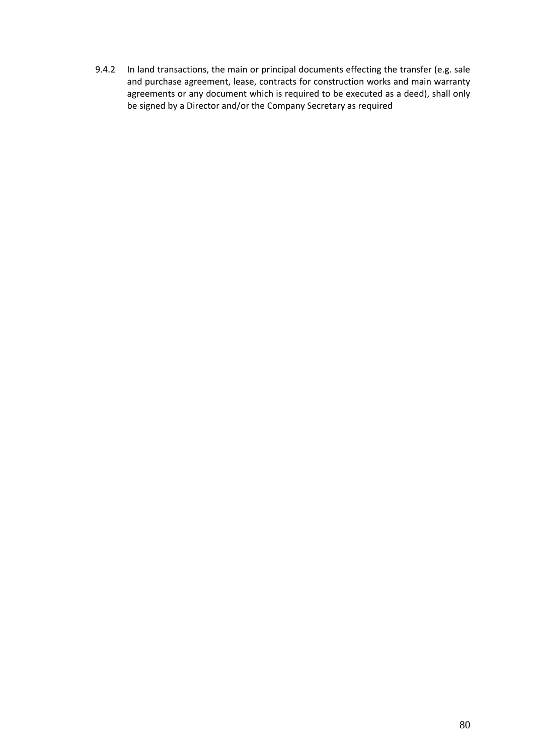9.4.2 In land transactions, the main or principal documents effecting the transfer (e.g. sale and purchase agreement, lease, contracts for construction works and main warranty agreements or any document which is required to be executed as a deed), shall only be signed by a Director and/or the Company Secretary as required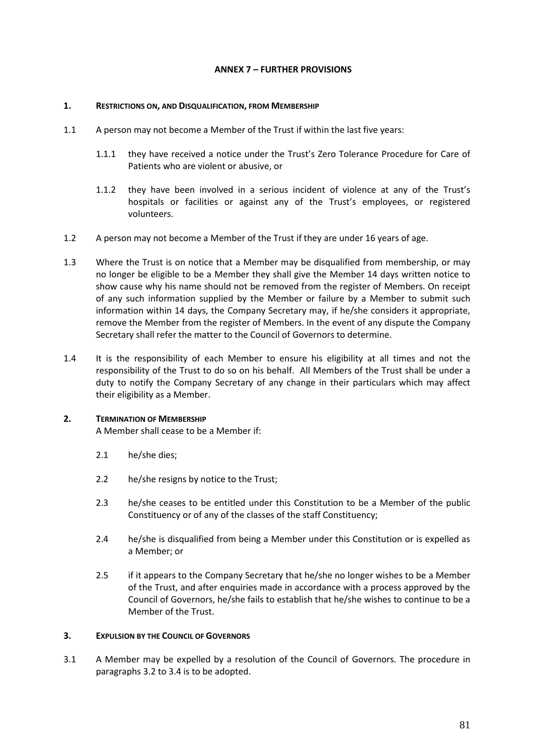# **ANNEX 7 – FURTHER PROVISIONS**

#### **1. RESTRICTIONS ON, AND DISQUALIFICATION, FROM MEMBERSHIP**

- 1.1 A person may not become a Member of the Trust if within the last five years:
	- 1.1.1 they have received a notice under the Trust's Zero Tolerance Procedure for Care of Patients who are violent or abusive, or
	- 1.1.2 they have been involved in a serious incident of violence at any of the Trust's hospitals or facilities or against any of the Trust's employees, or registered volunteers.
- 1.2 A person may not become a Member of the Trust if they are under 16 years of age.
- 1.3 Where the Trust is on notice that a Member may be disqualified from membership, or may no longer be eligible to be a Member they shall give the Member 14 days written notice to show cause why his name should not be removed from the register of Members. On receipt of any such information supplied by the Member or failure by a Member to submit such information within 14 days, the Company Secretary may, if he/she considers it appropriate, remove the Member from the register of Members. In the event of any dispute the Company Secretary shall refer the matter to the Council of Governors to determine.
- 1.4 It is the responsibility of each Member to ensure his eligibility at all times and not the responsibility of the Trust to do so on his behalf. All Members of the Trust shall be under a duty to notify the Company Secretary of any change in their particulars which may affect their eligibility as a Member.

## **2. TERMINATION OF MEMBERSHIP**

A Member shall cease to be a Member if:

- 2.1 he/she dies;
- 2.2 he/she resigns by notice to the Trust;
- 2.3 he/she ceases to be entitled under this Constitution to be a Member of the public Constituency or of any of the classes of the staff Constituency;
- 2.4 he/she is disqualified from being a Member under this Constitution or is expelled as a Member; or
- 2.5 if it appears to the Company Secretary that he/she no longer wishes to be a Member of the Trust, and after enquiries made in accordance with a process approved by the Council of Governors, he/she fails to establish that he/she wishes to continue to be a Member of the Trust.

#### **3. EXPULSION BY THE COUNCIL OF GOVERNORS**

3.1 A Member may be expelled by a resolution of the Council of Governors. The procedure in paragraphs 3.2 to 3.4 is to be adopted.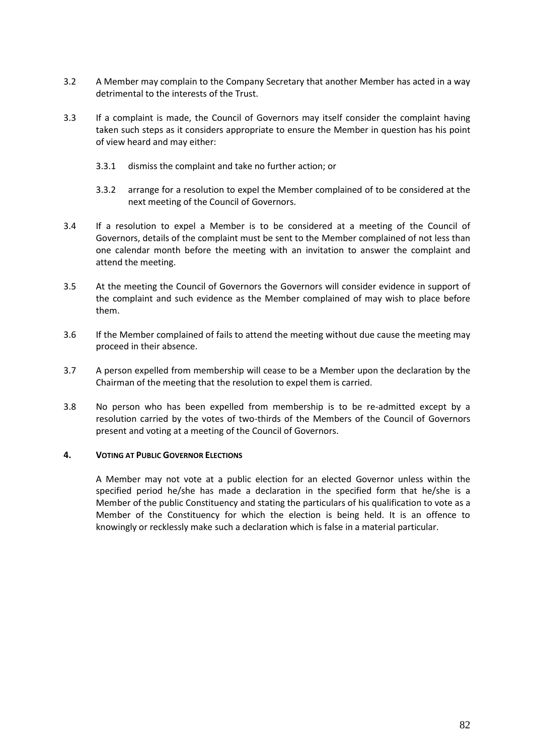- 3.2 A Member may complain to the Company Secretary that another Member has acted in a way detrimental to the interests of the Trust.
- 3.3 If a complaint is made, the Council of Governors may itself consider the complaint having taken such steps as it considers appropriate to ensure the Member in question has his point of view heard and may either:
	- 3.3.1 dismiss the complaint and take no further action; or
	- 3.3.2 arrange for a resolution to expel the Member complained of to be considered at the next meeting of the Council of Governors.
- 3.4 If a resolution to expel a Member is to be considered at a meeting of the Council of Governors, details of the complaint must be sent to the Member complained of not less than one calendar month before the meeting with an invitation to answer the complaint and attend the meeting.
- 3.5 At the meeting the Council of Governors the Governors will consider evidence in support of the complaint and such evidence as the Member complained of may wish to place before them.
- 3.6 If the Member complained of fails to attend the meeting without due cause the meeting may proceed in their absence.
- 3.7 A person expelled from membership will cease to be a Member upon the declaration by the Chairman of the meeting that the resolution to expel them is carried.
- 3.8 No person who has been expelled from membership is to be re-admitted except by a resolution carried by the votes of two-thirds of the Members of the Council of Governors present and voting at a meeting of the Council of Governors.

## **4. VOTING AT PUBLIC GOVERNOR ELECTIONS**

A Member may not vote at a public election for an elected Governor unless within the specified period he/she has made a declaration in the specified form that he/she is a Member of the public Constituency and stating the particulars of his qualification to vote as a Member of the Constituency for which the election is being held. It is an offence to knowingly or recklessly make such a declaration which is false in a material particular.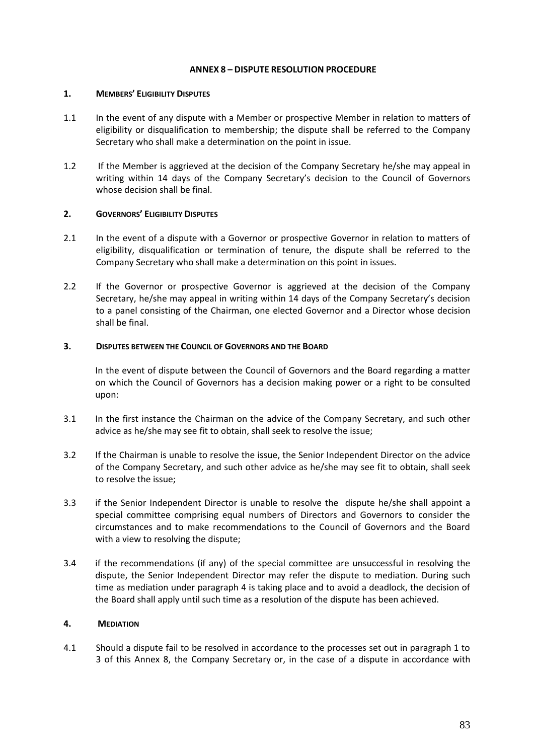## **ANNEX 8 – DISPUTE RESOLUTION PROCEDURE**

#### **1. MEMBERS' ELIGIBILITY DISPUTES**

- 1.1 In the event of any dispute with a Member or prospective Member in relation to matters of eligibility or disqualification to membership; the dispute shall be referred to the Company Secretary who shall make a determination on the point in issue.
- 1.2 If the Member is aggrieved at the decision of the Company Secretary he/she may appeal in writing within 14 days of the Company Secretary's decision to the Council of Governors whose decision shall be final.

## **2. GOVERNORS' ELIGIBILITY DISPUTES**

- 2.1 In the event of a dispute with a Governor or prospective Governor in relation to matters of eligibility, disqualification or termination of tenure, the dispute shall be referred to the Company Secretary who shall make a determination on this point in issues.
- 2.2 If the Governor or prospective Governor is aggrieved at the decision of the Company Secretary, he/she may appeal in writing within 14 days of the Company Secretary's decision to a panel consisting of the Chairman, one elected Governor and a Director whose decision shall be final.

## **3. DISPUTES BETWEEN THE COUNCIL OF GOVERNORS AND THE BOARD**

In the event of dispute between the Council of Governors and the Board regarding a matter on which the Council of Governors has a decision making power or a right to be consulted upon:

- 3.1 In the first instance the Chairman on the advice of the Company Secretary, and such other advice as he/she may see fit to obtain, shall seek to resolve the issue;
- 3.2 If the Chairman is unable to resolve the issue, the Senior Independent Director on the advice of the Company Secretary, and such other advice as he/she may see fit to obtain, shall seek to resolve the issue;
- 3.3 if the Senior Independent Director is unable to resolve the dispute he/she shall appoint a special committee comprising equal numbers of Directors and Governors to consider the circumstances and to make recommendations to the Council of Governors and the Board with a view to resolving the dispute;
- 3.4 if the recommendations (if any) of the special committee are unsuccessful in resolving the dispute, the Senior Independent Director may refer the dispute to mediation. During such time as mediation under paragraph 4 is taking place and to avoid a deadlock, the decision of the Board shall apply until such time as a resolution of the dispute has been achieved.

## **4. MEDIATION**

4.1 Should a dispute fail to be resolved in accordance to the processes set out in paragraph 1 to 3 of this Annex 8, the Company Secretary or, in the case of a dispute in accordance with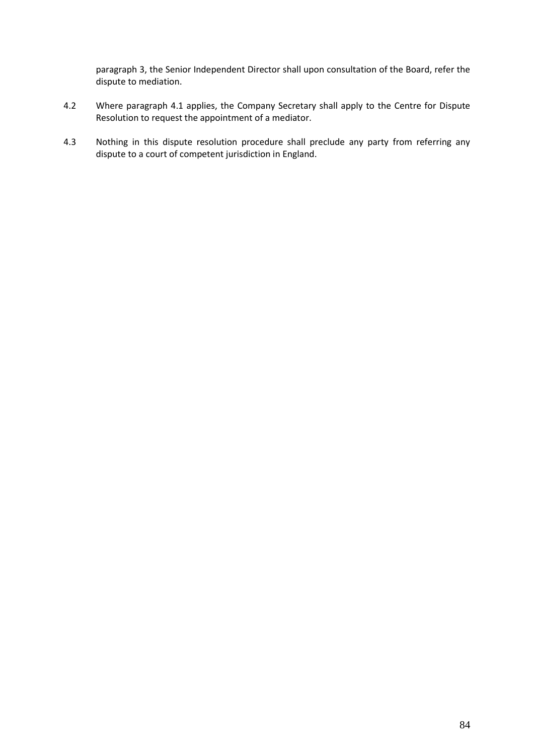paragraph 3, the Senior Independent Director shall upon consultation of the Board, refer the dispute to mediation.

- 4.2 Where paragraph 4.1 applies, the Company Secretary shall apply to the Centre for Dispute Resolution to request the appointment of a mediator.
- 4.3 Nothing in this dispute resolution procedure shall preclude any party from referring any dispute to a court of competent jurisdiction in England.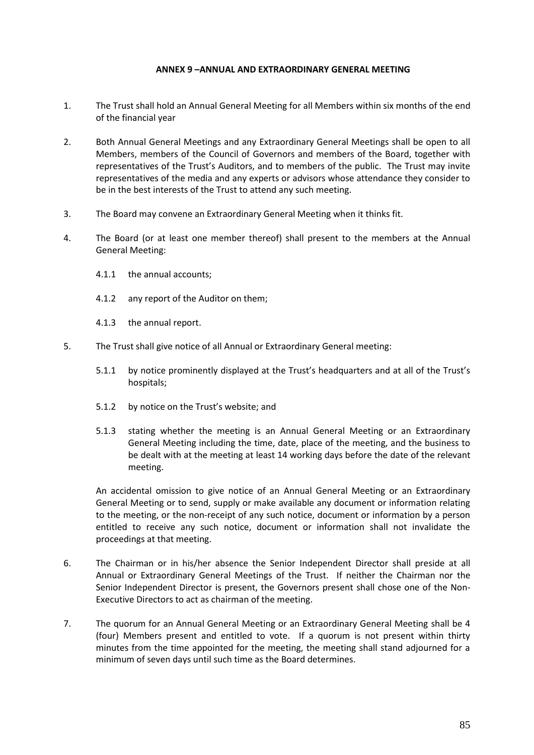## **ANNEX 9 –ANNUAL AND EXTRAORDINARY GENERAL MEETING**

- 1. The Trust shall hold an Annual General Meeting for all Members within six months of the end of the financial year
- 2. Both Annual General Meetings and any Extraordinary General Meetings shall be open to all Members, members of the Council of Governors and members of the Board, together with representatives of the Trust's Auditors, and to members of the public. The Trust may invite representatives of the media and any experts or advisors whose attendance they consider to be in the best interests of the Trust to attend any such meeting.
- 3. The Board may convene an Extraordinary General Meeting when it thinks fit.
- 4. The Board (or at least one member thereof) shall present to the members at the Annual General Meeting:
	- 4.1.1 the annual accounts;
	- 4.1.2 any report of the Auditor on them;
	- 4.1.3 the annual report.
- 5. The Trust shall give notice of all Annual or Extraordinary General meeting:
	- 5.1.1 by notice prominently displayed at the Trust's headquarters and at all of the Trust's hospitals;
	- 5.1.2 by notice on the Trust's website; and
	- 5.1.3 stating whether the meeting is an Annual General Meeting or an Extraordinary General Meeting including the time, date, place of the meeting, and the business to be dealt with at the meeting at least 14 working days before the date of the relevant meeting.

An accidental omission to give notice of an Annual General Meeting or an Extraordinary General Meeting or to send, supply or make available any document or information relating to the meeting, or the non-receipt of any such notice, document or information by a person entitled to receive any such notice, document or information shall not invalidate the proceedings at that meeting.

- 6. The Chairman or in his/her absence the Senior Independent Director shall preside at all Annual or Extraordinary General Meetings of the Trust. If neither the Chairman nor the Senior Independent Director is present, the Governors present shall chose one of the Non-Executive Directors to act as chairman of the meeting.
- 7. The quorum for an Annual General Meeting or an Extraordinary General Meeting shall be 4 (four) Members present and entitled to vote. If a quorum is not present within thirty minutes from the time appointed for the meeting, the meeting shall stand adjourned for a minimum of seven days until such time as the Board determines.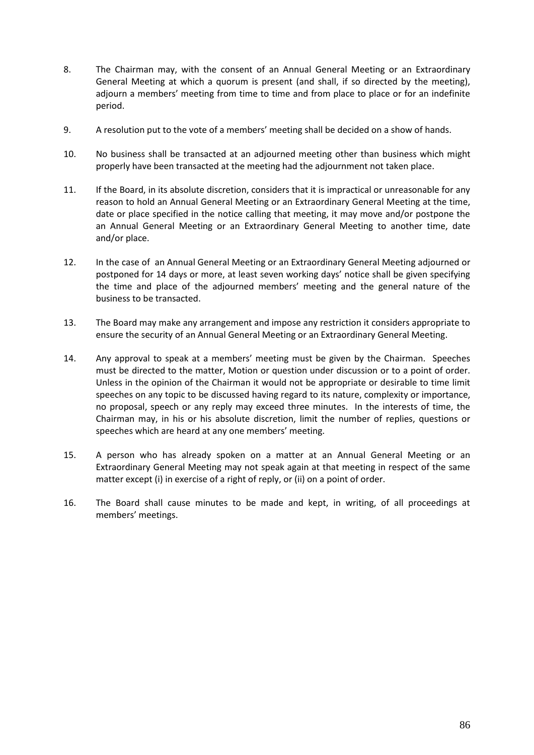- 8. The Chairman may, with the consent of an Annual General Meeting or an Extraordinary General Meeting at which a quorum is present (and shall, if so directed by the meeting), adjourn a members' meeting from time to time and from place to place or for an indefinite period.
- 9. A resolution put to the vote of a members' meeting shall be decided on a show of hands.
- 10. No business shall be transacted at an adjourned meeting other than business which might properly have been transacted at the meeting had the adjournment not taken place.
- 11. If the Board, in its absolute discretion, considers that it is impractical or unreasonable for any reason to hold an Annual General Meeting or an Extraordinary General Meeting at the time, date or place specified in the notice calling that meeting, it may move and/or postpone the an Annual General Meeting or an Extraordinary General Meeting to another time, date and/or place.
- 12. In the case of an Annual General Meeting or an Extraordinary General Meeting adjourned or postponed for 14 days or more, at least seven working days' notice shall be given specifying the time and place of the adjourned members' meeting and the general nature of the business to be transacted.
- 13. The Board may make any arrangement and impose any restriction it considers appropriate to ensure the security of an Annual General Meeting or an Extraordinary General Meeting.
- 14. Any approval to speak at a members' meeting must be given by the Chairman. Speeches must be directed to the matter, Motion or question under discussion or to a point of order. Unless in the opinion of the Chairman it would not be appropriate or desirable to time limit speeches on any topic to be discussed having regard to its nature, complexity or importance, no proposal, speech or any reply may exceed three minutes. In the interests of time, the Chairman may, in his or his absolute discretion, limit the number of replies, questions or speeches which are heard at any one members' meeting.
- 15. A person who has already spoken on a matter at an Annual General Meeting or an Extraordinary General Meeting may not speak again at that meeting in respect of the same matter except (i) in exercise of a right of reply, or (ii) on a point of order.
- 16. The Board shall cause minutes to be made and kept, in writing, of all proceedings at members' meetings.